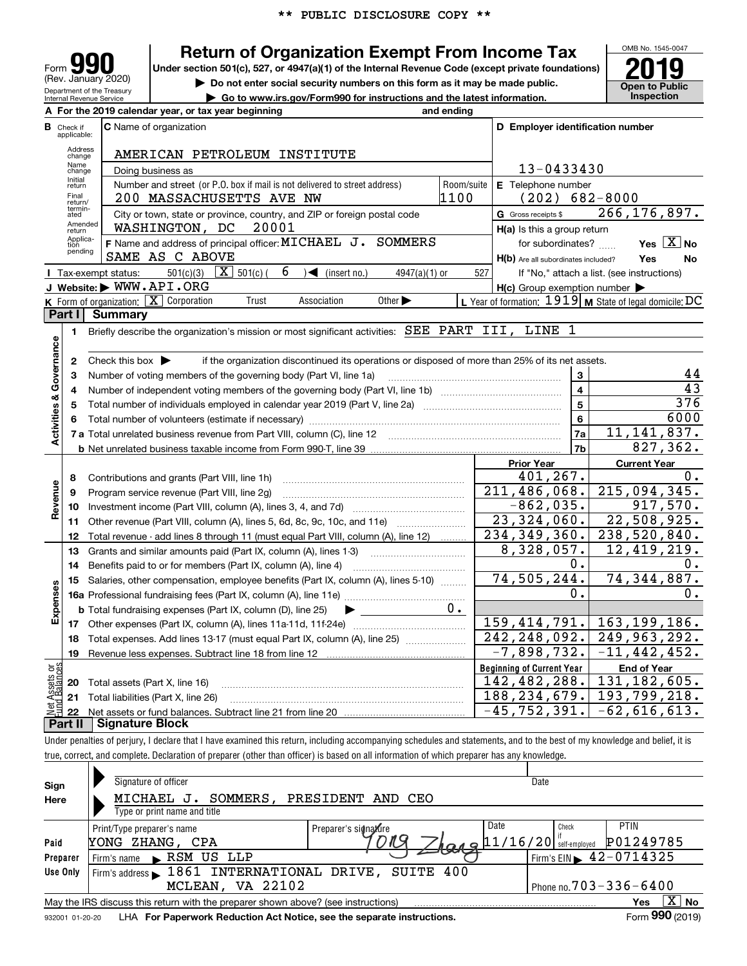

# **Return of Organization Exempt From Income Tax**

Under section 501(c), 527, or 4947(a)(1) of the Internal Revenue Code (except private foundations) **2019** 



**| Do not enter social security numbers on this form as it may be made public. | Go to www.irs.gov/Form990 for instructions and the latest information. Inspection**

**A For the 2019 calendar year, or tax year beginning and ending C** Name of organization **<sup>C</sup> <sup>D</sup> Employer identification number B**Check if applicable:Address change AMERICAN PETROLEUM INSTITUTE Name change13-0433430 Doing business as Initial return**E** Telephone number Sumber and street (or P.O. box if mail is not delivered to street address) [Room/suite | E Telephone number<br>200 MASSACHIISETTS AVE NM Final return/ termin-ated200 MASSACHUSETTS AVE NW <sup>1100</sup> (202) 682-8000 G Gross receipts \$ 266,176,897.  $\overline{e}$  City or town, state or province, country, and ZIP or foreign postal code  $\overline{G}$  Gross receipts \$ Amended returnWASHINGTON, DC 20001 **H(a)** Is this a group return Applica-tion pending SOMMERS | for subordinates? Yes  $\boxed{\text{X}}$  No **F Yes No** Name and address of principal officer: for subordinates? ~~ SAME AS C ABOVE **Yes No** H(b) Are all subordinates included?  $\frac{501(c)(3)}{K}$   $\overline{X}$  501(c) ( 6 ) (insert no.) 4947(a)(1) or 527 Tax-exempt status: 6 If "No," attach a list. (see instructions) **JWebsite: |** WWW.API.ORG **H(c)** Group exemption number Form of organization: <u>[X]</u> Corporation Trust Association Other Leven of formation: 1919 M State of legal domicile: DC<br>**art I Summary K** Form of organization:  $\boxed{\mathbf{X}}$ **LPart I Summary** Briefly describe the organization's mission or most significant activities:  $\rm{SEE}$   $\rm{PART}$   $\rm{IIT}$  ,  $\rm{LINE}$   $\rm{1}$ **1Activities & Governance Activities & Governance** Check this box  $\blacktriangleright$ if the organization discontinued its operations or disposed of more than 25% of its net assets. **2**44 Number of voting members of the governing body (Part VI, line 1a) **33**43 **4**Number of independent voting members of the governing body (Part VI, line 1b) www.community.community.com **4**376 Total number of individuals employed in calendar year 2019 (Part V, line 2a) **55**6000 **66**Total number of volunteers (estimate if necessary) 11,141,837. **7a7a**Total unrelated business revenue from Part VIII, column (C), line 12 **7b**827,362. **b** Net unrelated business taxable income from Form 990-T, line 39 **Prior Year Current Year** 401,267. Contributions and grants (Part VIII, line 1h)<br>Program service revenue (Part VIII, line 2g) 0. **8**Revenue **Revenue** 211,486,068. 215,094,345. **9**Program service revenue (Part VIII, line 2g) ………………………………………………………<br>Investment income (Part VIII, column (A), lines 3, 4, and 7d) ……………………………… -862,035. 917,570. **10**23,324,060. **11**Other revenue (Part VIII, column (A), lines 5, 6d, 8c, 9c, 10c, and 11e) *[[[[[[[[[[[[[[]]]]*] 22,508,925. 234,349,360. 238,520,840. Total revenue - add lines 8 through 11 (must equal Part VIII, column (A), line 12) ........ **12**12,419,219. Grants and similar amounts paid (Part IX, column (A), lines 1-3) 8,328,057. **13**~~~~~~~~~~~ $0 \cdot$ 0. **14**Benefits paid to or for members (Part IX, column (A), line 4) 74,505,244. 74,344,887. **15**Salaries, other compensation, employee benefits (Part IX, column (A), lines 5-10)  $\,$  , , , , , , , **Expenses** 0. 0. **16 a** Professional fundraising fees (Part IX, column (A), line 11e) ~~~~~~~~~~~~~~ 0. **b**Total fundraising expenses (Part IX, column (D), line 25)  $\blacktriangleright$ 159,414,791. 163,199,186. **17**Other expenses (Part IX, column (A), lines 11a-11d, 11f-24e) ………………………………… 242,248,092. 249,963,292.<br>−7,898,732. -11,442,452. **18**Total expenses. Add lines 13-17 (must equal Part IX, column (A), line 25) ~~~~~~~ $-11,442,452.$ **19**Revenue less expenses. Subtract line 18 from line 12 vet Assets or<br>und Balances **Beginning of Current Year End of Year** Total assets (Part X, line 16) <u>142,482,288. 131,182,605.</u><br>188,234,679. 193,799,218. **20**<u>188,234,679.</u><br>-45,752,391. **21**Total liabilities (Part X, line 26) **22**Net assets or fund balances. Subtract line 21 from line 20  $-62,616,613.$ 

**Part II Signature Block**

Under penalties of perjury, I declare that I have examined this return, including accompanying schedules and statements, and to the best of my knowledge and belief, it is true, correct, and complete. Declaration of preparer (other than officer) is based on all information of which preparer has any knowledge.

| Sign            | Signature of officer                                                              | Date                                       |
|-----------------|-----------------------------------------------------------------------------------|--------------------------------------------|
| Here            | PRESIDENT AND CEO<br>SOMMERS.<br>MICHAEL J.                                       |                                            |
|                 | Type or print name and title                                                      |                                            |
|                 | Date<br>Preparer's signature<br>Print/Type preparer's name                        | <b>PTIN</b><br>Check                       |
| Paid            | 711 S<br>$4049$ 11/16/20 s<br>YONG ZHANG, CPA                                     | P01249785<br>self-employed                 |
| Preparer        | $\blacktriangleright$ RSM US LLP<br>Firm's name                                   | $1$ Firm's EIN $\triangleright$ 42-0714325 |
| Use Only        | Firm's address > 1861 INTERNATIONAL DRIVE,<br>SUITE 400                           |                                            |
|                 | MCLEAN, VA 22102                                                                  | Phone no. $703 - 336 - 6400$               |
|                 | May the IRS discuss this return with the preparer shown above? (see instructions) | $\overline{X}$ No<br>Yes                   |
| 932001 01-20-20 | LHA For Paperwork Reduction Act Notice, see the separate instructions.            | Form 990 (2019)                            |
|                 |                                                                                   |                                            |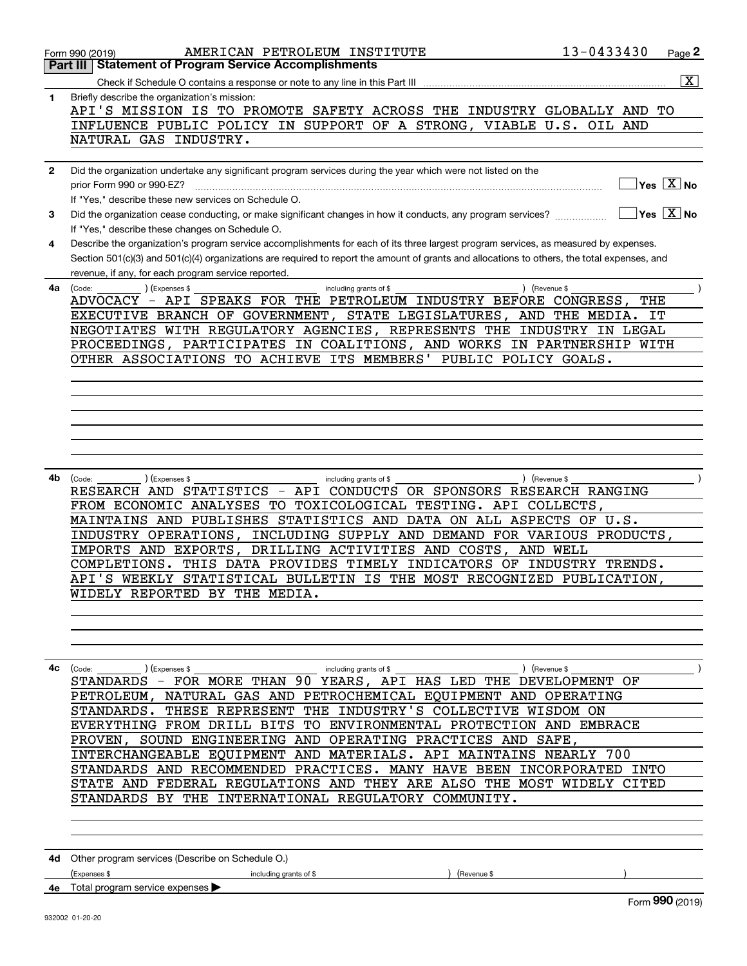|              | AMERICAN PETROLEUM INSTITUTE<br>Form 990 (2019)                                                                                              | 13-0433430    |     | Page 2                                           |
|--------------|----------------------------------------------------------------------------------------------------------------------------------------------|---------------|-----|--------------------------------------------------|
|              | <b>Part III   Statement of Program Service Accomplishments</b>                                                                               |               |     |                                                  |
|              |                                                                                                                                              |               |     | $\overline{\mathbf{x}}$                          |
|              |                                                                                                                                              |               |     |                                                  |
| 1            | Briefly describe the organization's mission:                                                                                                 |               |     |                                                  |
|              | API'S MISSION IS TO PROMOTE SAFETY ACROSS THE INDUSTRY GLOBALLY AND TO                                                                       |               |     |                                                  |
|              | INFLUENCE PUBLIC POLICY IN SUPPORT OF A STRONG, VIABLE U.S. OIL AND                                                                          |               |     |                                                  |
|              | NATURAL GAS INDUSTRY.                                                                                                                        |               |     |                                                  |
|              |                                                                                                                                              |               |     |                                                  |
|              |                                                                                                                                              |               |     |                                                  |
| $\mathbf{2}$ | Did the organization undertake any significant program services during the year which were not listed on the                                 |               |     |                                                  |
|              |                                                                                                                                              |               |     | $\overline{\ }$ Yes $\overline{\phantom{a}X}$ No |
|              | If "Yes," describe these new services on Schedule O.                                                                                         |               |     |                                                  |
|              |                                                                                                                                              |               |     |                                                  |
| 3            | Did the organization cease conducting, or make significant changes in how it conducts, any program services?                                 |               |     | $\sqrt{}$ Yes $\sqrt{}$ X $\sqrt{}$ No           |
|              | If "Yes," describe these changes on Schedule O.                                                                                              |               |     |                                                  |
| 4            | Describe the organization's program service accomplishments for each of its three largest program services, as measured by expenses.         |               |     |                                                  |
|              |                                                                                                                                              |               |     |                                                  |
|              | Section 501(c)(3) and 501(c)(4) organizations are required to report the amount of grants and allocations to others, the total expenses, and |               |     |                                                  |
|              | revenue, if any, for each program service reported.                                                                                          |               |     |                                                  |
| 4a           | (Expenses \$<br>(Code:<br>including grants of \$                                                                                             | ) (Revenue \$ |     |                                                  |
|              | ADVOCACY - API SPEAKS FOR THE PETROLEUM INDUSTRY BEFORE CONGRESS,                                                                            |               | THE |                                                  |
|              |                                                                                                                                              |               |     |                                                  |
|              | EXECUTIVE BRANCH OF GOVERNMENT, STATE LEGISLATURES, AND THE MEDIA. IT                                                                        |               |     |                                                  |
|              | NEGOTIATES WITH REGULATORY AGENCIES, REPRESENTS THE INDUSTRY IN LEGAL                                                                        |               |     |                                                  |
|              | PROCEEDINGS, PARTICIPATES IN COALITIONS, AND WORKS IN PARTNERSHIP WITH                                                                       |               |     |                                                  |
|              | OTHER ASSOCIATIONS TO ACHIEVE ITS MEMBERS' PUBLIC POLICY GOALS.                                                                              |               |     |                                                  |
|              |                                                                                                                                              |               |     |                                                  |
|              |                                                                                                                                              |               |     |                                                  |
|              |                                                                                                                                              |               |     |                                                  |
|              |                                                                                                                                              |               |     |                                                  |
|              |                                                                                                                                              |               |     |                                                  |
|              |                                                                                                                                              |               |     |                                                  |
|              |                                                                                                                                              |               |     |                                                  |
|              |                                                                                                                                              |               |     |                                                  |
|              |                                                                                                                                              |               |     |                                                  |
|              |                                                                                                                                              |               |     |                                                  |
| 4b           | (Code:<br>(Expenses \$<br>including grants of \$                                                                                             | ) (Revenue \$ |     |                                                  |
|              | RESEARCH AND STATISTICS - API CONDUCTS OR SPONSORS RESEARCH RANGING                                                                          |               |     |                                                  |
|              | FROM ECONOMIC ANALYSES TO TOXICOLOGICAL TESTING. API COLLECTS,                                                                               |               |     |                                                  |
|              |                                                                                                                                              |               |     |                                                  |
|              | MAINTAINS AND PUBLISHES STATISTICS AND DATA ON ALL ASPECTS OF U.S.                                                                           |               |     |                                                  |
|              | INDUSTRY OPERATIONS, INCLUDING SUPPLY AND DEMAND FOR VARIOUS PRODUCTS,                                                                       |               |     |                                                  |
|              | IMPORTS AND EXPORTS, DRILLING ACTIVITIES AND COSTS, AND WELL                                                                                 |               |     |                                                  |
|              | COMPLETIONS. THIS DATA PROVIDES TIMELY INDICATORS OF INDUSTRY TRENDS.                                                                        |               |     |                                                  |
|              | API'S WEEKLY STATISTICAL BULLETIN IS THE MOST RECOGNIZED PUBLICATION,                                                                        |               |     |                                                  |
|              |                                                                                                                                              |               |     |                                                  |
|              | WIDELY REPORTED BY THE MEDIA                                                                                                                 |               |     |                                                  |
|              |                                                                                                                                              |               |     |                                                  |
|              |                                                                                                                                              |               |     |                                                  |
|              |                                                                                                                                              |               |     |                                                  |
|              |                                                                                                                                              |               |     |                                                  |
|              |                                                                                                                                              |               |     |                                                  |
| 4с           | (Expenses \$<br>including grants of \$                                                                                                       | ) (Revenue \$ |     |                                                  |
|              | (Code:                                                                                                                                       |               |     |                                                  |
|              | STANDARDS - FOR MORE THAN 90 YEARS, API HAS LED THE DEVELOPMENT OF                                                                           |               |     |                                                  |
|              | PETROLEUM, NATURAL GAS AND PETROCHEMICAL EQUIPMENT AND OPERATING                                                                             |               |     |                                                  |
|              | STANDARDS. THESE REPRESENT THE INDUSTRY'S COLLECTIVE WISDOM ON                                                                               |               |     |                                                  |
|              | EVERYTHING FROM DRILL BITS TO ENVIRONMENTAL PROTECTION AND EMBRACE                                                                           |               |     |                                                  |
|              |                                                                                                                                              |               |     |                                                  |
|              | PROVEN, SOUND ENGINEERING AND OPERATING PRACTICES AND SAFE,                                                                                  |               |     |                                                  |
|              | INTERCHANGEABLE EQUIPMENT AND MATERIALS. API MAINTAINS NEARLY 700                                                                            |               |     |                                                  |
|              | STANDARDS AND RECOMMENDED PRACTICES. MANY HAVE BEEN INCORPORATED INTO                                                                        |               |     |                                                  |
|              |                                                                                                                                              |               |     |                                                  |
|              | STATE AND FEDERAL REGULATIONS AND THEY ARE ALSO THE MOST WIDELY CITED                                                                        |               |     |                                                  |
|              | STANDARDS BY THE INTERNATIONAL REGULATORY COMMUNITY.                                                                                         |               |     |                                                  |
|              |                                                                                                                                              |               |     |                                                  |
|              |                                                                                                                                              |               |     |                                                  |
|              |                                                                                                                                              |               |     |                                                  |
|              |                                                                                                                                              |               |     |                                                  |
|              | 4d Other program services (Describe on Schedule O.)                                                                                          |               |     |                                                  |
|              |                                                                                                                                              |               |     |                                                  |
|              | (Revenue \$<br>(Expenses \$<br>including grants of \$                                                                                        |               |     |                                                  |
|              | 4e Total program service expenses $\blacktriangleright$                                                                                      |               |     |                                                  |
|              |                                                                                                                                              |               |     | Form 990 (2019)                                  |
|              | 932002 01-20-20                                                                                                                              |               |     |                                                  |
|              |                                                                                                                                              |               |     |                                                  |
|              |                                                                                                                                              |               |     |                                                  |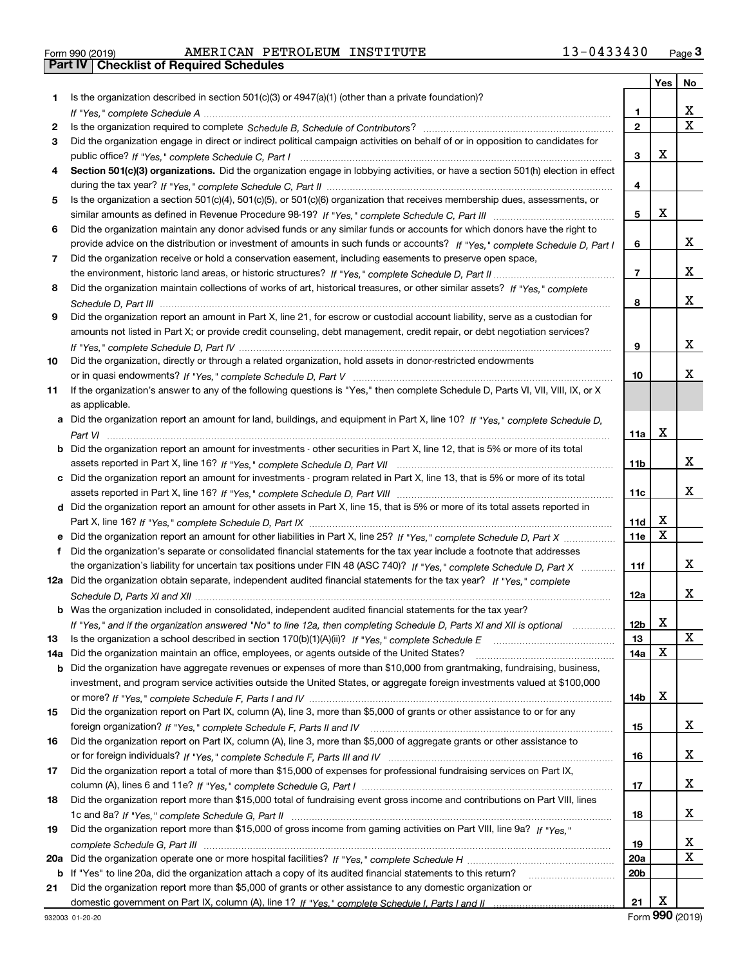| Form 990 (2019) |  |  |
|-----------------|--|--|

Form 990 (2019) AMERICAN PETROLEUM INSTITUTE 13-0433430 <sub>Page</sub> 3<br>**Part IV | Checklist of Required Schedules** 

|          |                                                                                                                                                                                                                                                   |                 | Yes         | No                      |
|----------|---------------------------------------------------------------------------------------------------------------------------------------------------------------------------------------------------------------------------------------------------|-----------------|-------------|-------------------------|
| 1.       | Is the organization described in section $501(c)(3)$ or $4947(a)(1)$ (other than a private foundation)?                                                                                                                                           |                 |             |                         |
|          |                                                                                                                                                                                                                                                   | 1.              |             | x                       |
| 2        |                                                                                                                                                                                                                                                   | $\overline{2}$  |             | $\overline{\mathbf{x}}$ |
| 3        | Did the organization engage in direct or indirect political campaign activities on behalf of or in opposition to candidates for                                                                                                                   |                 |             |                         |
|          |                                                                                                                                                                                                                                                   | 3               | х           |                         |
| 4        | Section 501(c)(3) organizations. Did the organization engage in lobbying activities, or have a section 501(h) election in effect                                                                                                                  |                 |             |                         |
|          |                                                                                                                                                                                                                                                   | 4               |             |                         |
| 5        | Is the organization a section 501(c)(4), 501(c)(5), or 501(c)(6) organization that receives membership dues, assessments, or                                                                                                                      |                 |             |                         |
|          |                                                                                                                                                                                                                                                   | 5               | X           |                         |
| 6        | Did the organization maintain any donor advised funds or any similar funds or accounts for which donors have the right to                                                                                                                         |                 |             |                         |
|          | provide advice on the distribution or investment of amounts in such funds or accounts? If "Yes," complete Schedule D, Part I                                                                                                                      | 6               |             | x                       |
| 7        | Did the organization receive or hold a conservation easement, including easements to preserve open space,                                                                                                                                         |                 |             |                         |
|          |                                                                                                                                                                                                                                                   | $\overline{7}$  |             | x                       |
| 8        | Did the organization maintain collections of works of art, historical treasures, or other similar assets? If "Yes," complete                                                                                                                      |                 |             |                         |
|          |                                                                                                                                                                                                                                                   | 8               |             | x                       |
| 9        | Did the organization report an amount in Part X, line 21, for escrow or custodial account liability, serve as a custodian for                                                                                                                     |                 |             |                         |
|          | amounts not listed in Part X; or provide credit counseling, debt management, credit repair, or debt negotiation services?                                                                                                                         |                 |             |                         |
|          |                                                                                                                                                                                                                                                   | 9               |             | x                       |
| 10       | Did the organization, directly or through a related organization, hold assets in donor-restricted endowments                                                                                                                                      |                 |             |                         |
|          |                                                                                                                                                                                                                                                   | 10              |             | x                       |
| 11       | If the organization's answer to any of the following questions is "Yes," then complete Schedule D, Parts VI, VII, VIII, IX, or X                                                                                                                  |                 |             |                         |
|          | as applicable.                                                                                                                                                                                                                                    |                 |             |                         |
| а        | Did the organization report an amount for land, buildings, and equipment in Part X, line 10? If "Yes," complete Schedule D,                                                                                                                       |                 |             |                         |
|          |                                                                                                                                                                                                                                                   | 11a             | X           |                         |
| b        | Did the organization report an amount for investments - other securities in Part X, line 12, that is 5% or more of its total                                                                                                                      |                 |             |                         |
|          |                                                                                                                                                                                                                                                   | 11b             |             | x                       |
| c        | Did the organization report an amount for investments - program related in Part X, line 13, that is 5% or more of its total                                                                                                                       |                 |             |                         |
|          |                                                                                                                                                                                                                                                   | 11c             |             | x                       |
| d        | Did the organization report an amount for other assets in Part X, line 15, that is 5% or more of its total assets reported in                                                                                                                     |                 | х           |                         |
|          |                                                                                                                                                                                                                                                   | 11d             | $\mathbf X$ |                         |
|          | Did the organization report an amount for other liabilities in Part X, line 25? If "Yes," complete Schedule D, Part X                                                                                                                             | 11e             |             |                         |
| f        | Did the organization's separate or consolidated financial statements for the tax year include a footnote that addresses                                                                                                                           |                 |             | x                       |
|          | the organization's liability for uncertain tax positions under FIN 48 (ASC 740)? If "Yes," complete Schedule D, Part X<br>12a Did the organization obtain separate, independent audited financial statements for the tax year? If "Yes," complete | 11f             |             |                         |
|          |                                                                                                                                                                                                                                                   |                 |             | x                       |
|          | <b>b</b> Was the organization included in consolidated, independent audited financial statements for the tax year?                                                                                                                                | 12a             |             |                         |
|          |                                                                                                                                                                                                                                                   | 12b             | v           |                         |
|          | If "Yes," and if the organization answered "No" to line 12a, then completing Schedule D, Parts XI and XII is optional                                                                                                                             | 13              | ▵           | $\mathbf X$             |
| 13       | Did the organization maintain an office, employees, or agents outside of the United States?                                                                                                                                                       | 14a             | X           |                         |
| 14a<br>b | Did the organization have aggregate revenues or expenses of more than \$10,000 from grantmaking, fundraising, business,                                                                                                                           |                 |             |                         |
|          | investment, and program service activities outside the United States, or aggregate foreign investments valued at \$100,000                                                                                                                        |                 |             |                         |
|          |                                                                                                                                                                                                                                                   | 14b             | х           |                         |
| 15       | Did the organization report on Part IX, column (A), line 3, more than \$5,000 of grants or other assistance to or for any                                                                                                                         |                 |             |                         |
|          | foreign organization? If "Yes," complete Schedule F, Parts II and IV                                                                                                                                                                              | 15              |             | x                       |
| 16       | Did the organization report on Part IX, column (A), line 3, more than \$5,000 of aggregate grants or other assistance to                                                                                                                          |                 |             |                         |
|          |                                                                                                                                                                                                                                                   | 16              |             | x                       |
| 17       | Did the organization report a total of more than \$15,000 of expenses for professional fundraising services on Part IX,                                                                                                                           |                 |             |                         |
|          |                                                                                                                                                                                                                                                   | 17              |             | X                       |
| 18       | Did the organization report more than \$15,000 total of fundraising event gross income and contributions on Part VIII, lines                                                                                                                      |                 |             |                         |
|          |                                                                                                                                                                                                                                                   | 18              |             | x                       |
| 19       | Did the organization report more than \$15,000 of gross income from gaming activities on Part VIII, line 9a? If "Yes."                                                                                                                            |                 |             |                         |
|          |                                                                                                                                                                                                                                                   | 19              |             | х                       |
| 20a      |                                                                                                                                                                                                                                                   | 20a             |             | $\mathbf X$             |
|          | <b>b</b> If "Yes" to line 20a, did the organization attach a copy of its audited financial statements to this return?                                                                                                                             | 20 <sub>b</sub> |             |                         |
| 21       | Did the organization report more than \$5,000 of grants or other assistance to any domestic organization or                                                                                                                                       |                 |             |                         |
|          |                                                                                                                                                                                                                                                   | 21              | X           |                         |

Form (2019) **990**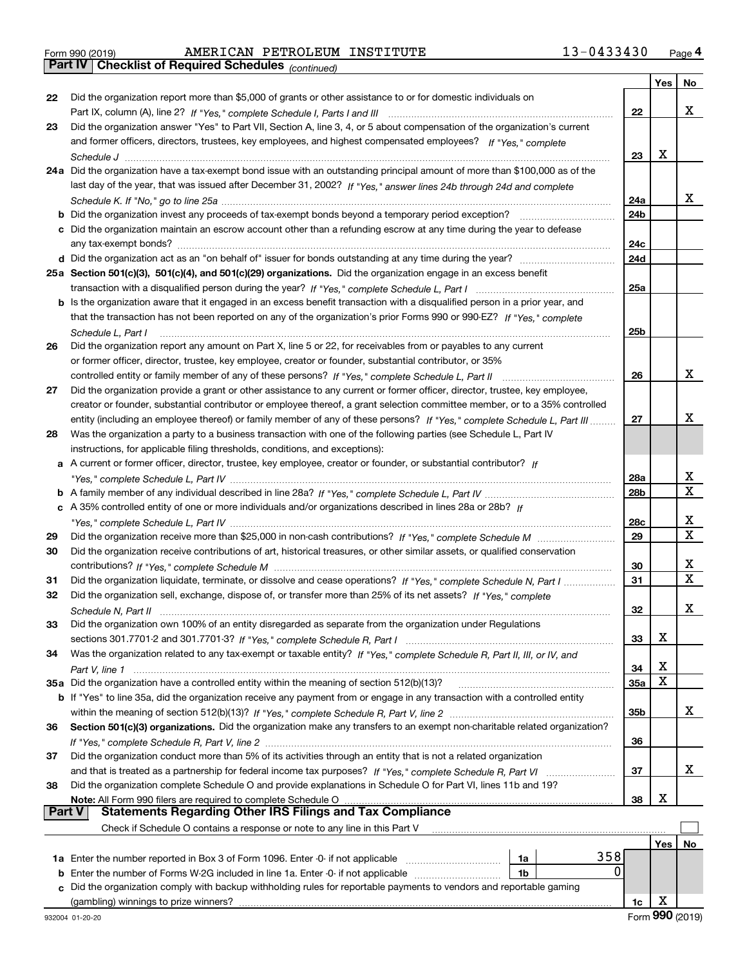| Form 990 (2019) |  |  |
|-----------------|--|--|

Form 990 (2019) AMERICAN PETROLEUM INSTITUTE 13-0433430 <sub>Page</sub> 4<br>**Part IV | Checklist of Required Schedules** <sub>(continued)</sub>

*(continued)*

|               |                                                                                                                              |                 | Yes | No                           |
|---------------|------------------------------------------------------------------------------------------------------------------------------|-----------------|-----|------------------------------|
| 22            | Did the organization report more than \$5,000 of grants or other assistance to or for domestic individuals on                |                 |     |                              |
|               |                                                                                                                              | 22              |     | x                            |
| 23            | Did the organization answer "Yes" to Part VII, Section A, line 3, 4, or 5 about compensation of the organization's current   |                 |     |                              |
|               | and former officers, directors, trustees, key employees, and highest compensated employees? If "Yes," complete               |                 |     |                              |
|               |                                                                                                                              | 23              | х   |                              |
|               | 24a Did the organization have a tax-exempt bond issue with an outstanding principal amount of more than \$100,000 as of the  |                 |     |                              |
|               | last day of the year, that was issued after December 31, 2002? If "Yes," answer lines 24b through 24d and complete           |                 |     |                              |
|               |                                                                                                                              | 24a             |     | x                            |
| b             | Did the organization invest any proceeds of tax-exempt bonds beyond a temporary period exception?                            | 24 <sub>b</sub> |     |                              |
| c             | Did the organization maintain an escrow account other than a refunding escrow at any time during the year to defease         |                 |     |                              |
|               |                                                                                                                              | 24c             |     |                              |
|               |                                                                                                                              | 24d             |     |                              |
|               | 25a Section 501(c)(3), 501(c)(4), and 501(c)(29) organizations. Did the organization engage in an excess benefit             |                 |     |                              |
|               |                                                                                                                              | 25a             |     |                              |
|               | b Is the organization aware that it engaged in an excess benefit transaction with a disqualified person in a prior year, and |                 |     |                              |
|               | that the transaction has not been reported on any of the organization's prior Forms 990 or 990-EZ? If "Yes," complete        |                 |     |                              |
|               | Schedule L, Part I                                                                                                           | 25b             |     |                              |
| 26            | Did the organization report any amount on Part X, line 5 or 22, for receivables from or payables to any current              |                 |     |                              |
|               | or former officer, director, trustee, key employee, creator or founder, substantial contributor, or 35%                      |                 |     |                              |
|               | controlled entity or family member of any of these persons? If "Yes," complete Schedule L, Part II                           | 26              |     | x                            |
| 27            | Did the organization provide a grant or other assistance to any current or former officer, director, trustee, key employee,  |                 |     |                              |
|               | creator or founder, substantial contributor or employee thereof, a grant selection committee member, or to a 35% controlled  |                 |     |                              |
|               | entity (including an employee thereof) or family member of any of these persons? If "Yes," complete Schedule L, Part III     | 27              |     | x                            |
| 28            | Was the organization a party to a business transaction with one of the following parties (see Schedule L, Part IV            |                 |     |                              |
|               | instructions, for applicable filing thresholds, conditions, and exceptions):                                                 |                 |     |                              |
|               | a A current or former officer, director, trustee, key employee, creator or founder, or substantial contributor? If           |                 |     |                              |
|               |                                                                                                                              | 28a             |     | x                            |
|               |                                                                                                                              | 28 <sub>b</sub> |     | $\overline{\mathbf{x}}$      |
|               | c A 35% controlled entity of one or more individuals and/or organizations described in lines 28a or 28b? If                  |                 |     |                              |
|               |                                                                                                                              | 28c             |     | х<br>$\overline{\mathbf{x}}$ |
| 29            |                                                                                                                              | 29              |     |                              |
| 30            | Did the organization receive contributions of art, historical treasures, or other similar assets, or qualified conservation  |                 |     |                              |
|               |                                                                                                                              | 30              |     | х<br>$\mathbf X$             |
| 31            | Did the organization liquidate, terminate, or dissolve and cease operations? If "Yes," complete Schedule N, Part I           | 31              |     |                              |
| 32            | Did the organization sell, exchange, dispose of, or transfer more than 25% of its net assets? If "Yes," complete             |                 |     |                              |
|               |                                                                                                                              | 32              |     | х                            |
| 33            | Did the organization own 100% of an entity disregarded as separate from the organization under Regulations                   |                 |     |                              |
|               |                                                                                                                              | 33              | х   |                              |
| 34            | Was the organization related to any tax-exempt or taxable entity? If "Yes," complete Schedule R, Part II, III, or IV, and    |                 | х   |                              |
|               |                                                                                                                              | 34              | X   |                              |
|               | 35a Did the organization have a controlled entity within the meaning of section 512(b)(13)?                                  | <b>35a</b>      |     |                              |
|               | b If "Yes" to line 35a, did the organization receive any payment from or engage in any transaction with a controlled entity  |                 |     | x                            |
| 36            |                                                                                                                              | 35b             |     |                              |
|               | Section 501(c)(3) organizations. Did the organization make any transfers to an exempt non-charitable related organization?   | 36              |     |                              |
| 37            | Did the organization conduct more than 5% of its activities through an entity that is not a related organization             |                 |     |                              |
|               | and that is treated as a partnership for federal income tax purposes? If "Yes," complete Schedule R, Part VI                 | 37              |     | x                            |
| 38            | Did the organization complete Schedule O and provide explanations in Schedule O for Part VI, lines 11b and 19?               |                 |     |                              |
|               | Note: All Form 990 filers are required to complete Schedule O                                                                | 38              | х   |                              |
| <b>Part V</b> | <b>Statements Regarding Other IRS Filings and Tax Compliance</b>                                                             |                 |     |                              |
|               | Check if Schedule O contains a response or note to any line in this Part V                                                   |                 |     |                              |
|               |                                                                                                                              |                 | Yes | No                           |
|               | 358<br>1a Enter the number reported in Box 3 of Form 1096. Enter -0- if not applicable<br>1a                                 |                 |     |                              |
| b             | 0<br>Enter the number of Forms W-2G included in line 1a. Enter -0- if not applicable<br>1b                                   |                 |     |                              |
| с             | Did the organization comply with backup withholding rules for reportable payments to vendors and reportable gaming           |                 |     |                              |
|               |                                                                                                                              | 1c              | X   |                              |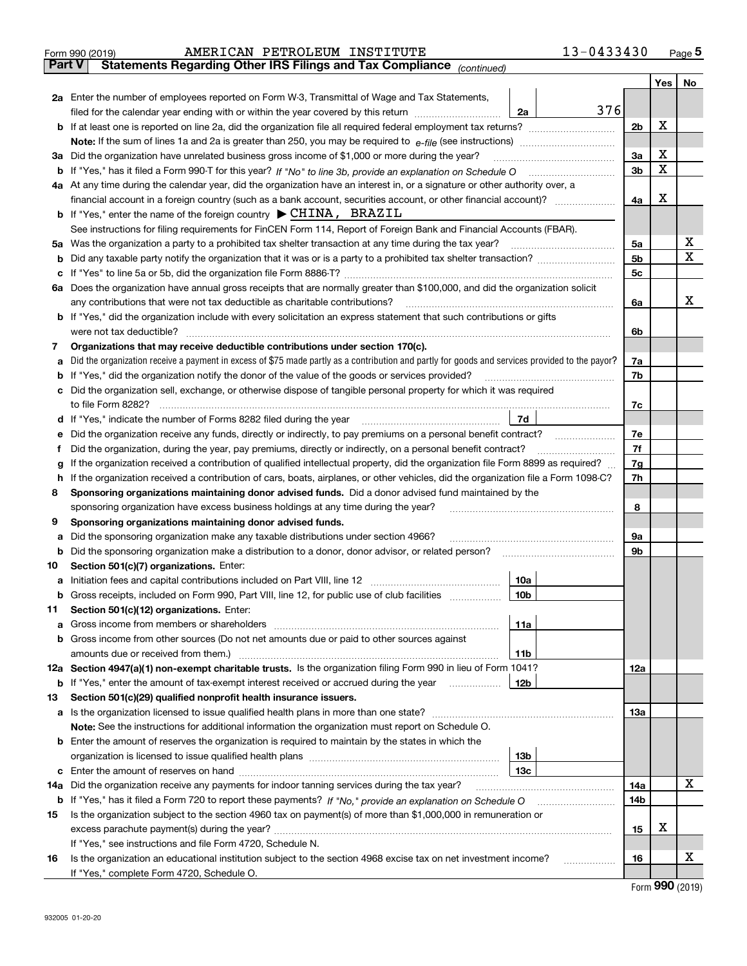|               | AMERICAN PETROLEUM INSTITUTE<br>Form 990 (2019)                                                                                                                                                                                               | 13-0433430     |                   | $_{\text{Page}}$ 5 |
|---------------|-----------------------------------------------------------------------------------------------------------------------------------------------------------------------------------------------------------------------------------------------|----------------|-------------------|--------------------|
| <b>Part V</b> | Statements Regarding Other IRS Filings and Tax Compliance (continued)                                                                                                                                                                         |                |                   |                    |
|               |                                                                                                                                                                                                                                               |                | Yes               | No                 |
|               | 2a Enter the number of employees reported on Form W-3, Transmittal of Wage and Tax Statements,                                                                                                                                                |                |                   |                    |
|               | filed for the calendar year ending with or within the year covered by this return <i>manumumumum</i><br>2a                                                                                                                                    | 376            |                   |                    |
|               |                                                                                                                                                                                                                                               | 2b             | х                 |                    |
|               |                                                                                                                                                                                                                                               |                |                   |                    |
|               | 3a Did the organization have unrelated business gross income of \$1,000 or more during the year?                                                                                                                                              | 3a             | х                 |                    |
|               |                                                                                                                                                                                                                                               | 3b             | X                 |                    |
|               | 4a At any time during the calendar year, did the organization have an interest in, or a signature or other authority over, a                                                                                                                  |                |                   |                    |
|               | financial account in a foreign country (such as a bank account, securities account, or other financial account)?                                                                                                                              | 4a             | х                 |                    |
|               | <b>b</b> If "Yes," enter the name of the foreign country $\triangleright$ CHINA, BRAZIL                                                                                                                                                       |                |                   |                    |
|               | See instructions for filing requirements for FinCEN Form 114, Report of Foreign Bank and Financial Accounts (FBAR).                                                                                                                           |                |                   |                    |
| 5a            | Was the organization a party to a prohibited tax shelter transaction at any time during the tax year?                                                                                                                                         | 5a             |                   | х                  |
| b             |                                                                                                                                                                                                                                               | 5 <sub>b</sub> |                   | X                  |
| c             |                                                                                                                                                                                                                                               | 5c             |                   |                    |
|               | 6a Does the organization have annual gross receipts that are normally greater than \$100,000, and did the organization solicit                                                                                                                |                |                   |                    |
|               | any contributions that were not tax deductible as charitable contributions?                                                                                                                                                                   | 6a             |                   | x                  |
|               | <b>b</b> If "Yes," did the organization include with every solicitation an express statement that such contributions or gifts                                                                                                                 |                |                   |                    |
|               | were not tax deductible?                                                                                                                                                                                                                      | 6b             |                   |                    |
| 7             | Organizations that may receive deductible contributions under section 170(c).                                                                                                                                                                 |                |                   |                    |
| a             | Did the organization receive a payment in excess of \$75 made partly as a contribution and partly for goods and services provided to the payor?                                                                                               | 7a             |                   |                    |
| b             | If "Yes," did the organization notify the donor of the value of the goods or services provided?                                                                                                                                               | 7b             |                   |                    |
|               | Did the organization sell, exchange, or otherwise dispose of tangible personal property for which it was required                                                                                                                             |                |                   |                    |
|               |                                                                                                                                                                                                                                               | 7c             |                   |                    |
| d             | 7d<br>If "Yes," indicate the number of Forms 8282 filed during the year [11] [11] Wes," indicate the number of Forms 8282 filed during the year                                                                                               |                |                   |                    |
| е             | Did the organization receive any funds, directly or indirectly, to pay premiums on a personal benefit contract?                                                                                                                               | 7e             |                   |                    |
| f             | Did the organization, during the year, pay premiums, directly or indirectly, on a personal benefit contract?                                                                                                                                  | 7f             |                   |                    |
| g             | If the organization received a contribution of qualified intellectual property, did the organization file Form 8899 as required?                                                                                                              | 7g             |                   |                    |
| h.            | If the organization received a contribution of cars, boats, airplanes, or other vehicles, did the organization file a Form 1098-C?                                                                                                            | 7h             |                   |                    |
| 8             | Sponsoring organizations maintaining donor advised funds. Did a donor advised fund maintained by the                                                                                                                                          |                |                   |                    |
|               | sponsoring organization have excess business holdings at any time during the year?                                                                                                                                                            | 8              |                   |                    |
| 9             | Sponsoring organizations maintaining donor advised funds.                                                                                                                                                                                     |                |                   |                    |
| a             | Did the sponsoring organization make any taxable distributions under section 4966?                                                                                                                                                            | 9а             |                   |                    |
| b             | Did the sponsoring organization make a distribution to a donor, donor advisor, or related person?                                                                                                                                             | 9b             |                   |                    |
| 10            | Section 501(c)(7) organizations. Enter:                                                                                                                                                                                                       |                |                   |                    |
|               | a Initiation fees and capital contributions included on Part VIII, line 12 [111] [12] [11] [12] [11] [12] [11] [12] [11] [12] [11] [12] [11] [12] [11] [12] [11] [12] [11] [12] [11] [12] [11] [12] [11] [12] [11] [12] [11] [<br>10a<br> 10b |                |                   |                    |
|               | Gross receipts, included on Form 990, Part VIII, line 12, for public use of club facilities                                                                                                                                                   |                |                   |                    |
| 11            | Section 501(c)(12) organizations. Enter:                                                                                                                                                                                                      |                |                   |                    |
| a             | 11a<br>Gross income from members or shareholders<br>b Gross income from other sources (Do not net amounts due or paid to other sources against                                                                                                |                |                   |                    |
|               | <b>11b</b><br>amounts due or received from them.)                                                                                                                                                                                             |                |                   |                    |
|               | 12a Section 4947(a)(1) non-exempt charitable trusts. Is the organization filing Form 990 in lieu of Form 1041?                                                                                                                                | 12a            |                   |                    |
|               | <b>b</b> If "Yes," enter the amount of tax-exempt interest received or accrued during the year<br>12b                                                                                                                                         |                |                   |                    |
| 13            | Section 501(c)(29) qualified nonprofit health insurance issuers.                                                                                                                                                                              |                |                   |                    |
|               | a Is the organization licensed to issue qualified health plans in more than one state?                                                                                                                                                        | 13а            |                   |                    |
|               | Note: See the instructions for additional information the organization must report on Schedule O.                                                                                                                                             |                |                   |                    |
|               | <b>b</b> Enter the amount of reserves the organization is required to maintain by the states in which the                                                                                                                                     |                |                   |                    |
|               | 13b                                                                                                                                                                                                                                           |                |                   |                    |
|               | 13с                                                                                                                                                                                                                                           |                |                   |                    |
| 14a           | Did the organization receive any payments for indoor tanning services during the tax year?                                                                                                                                                    | 14a            |                   | X                  |
|               | <b>b</b> If "Yes," has it filed a Form 720 to report these payments? If "No," provide an explanation on Schedule O                                                                                                                            | 14b            |                   |                    |
| 15            | Is the organization subject to the section 4960 tax on payment(s) of more than \$1,000,000 in remuneration or                                                                                                                                 |                |                   |                    |
|               |                                                                                                                                                                                                                                               | 15             | х                 |                    |
|               | If "Yes," see instructions and file Form 4720, Schedule N.                                                                                                                                                                                    |                |                   |                    |
| 16            | Is the organization an educational institution subject to the section 4968 excise tax on net investment income?                                                                                                                               | 16             |                   | х                  |
|               | If "Yes," complete Form 4720, Schedule O.                                                                                                                                                                                                     |                |                   |                    |
|               |                                                                                                                                                                                                                                               |                | $\Omega$ $\Omega$ |                    |

| Form 990 (2019) |  |
|-----------------|--|
|-----------------|--|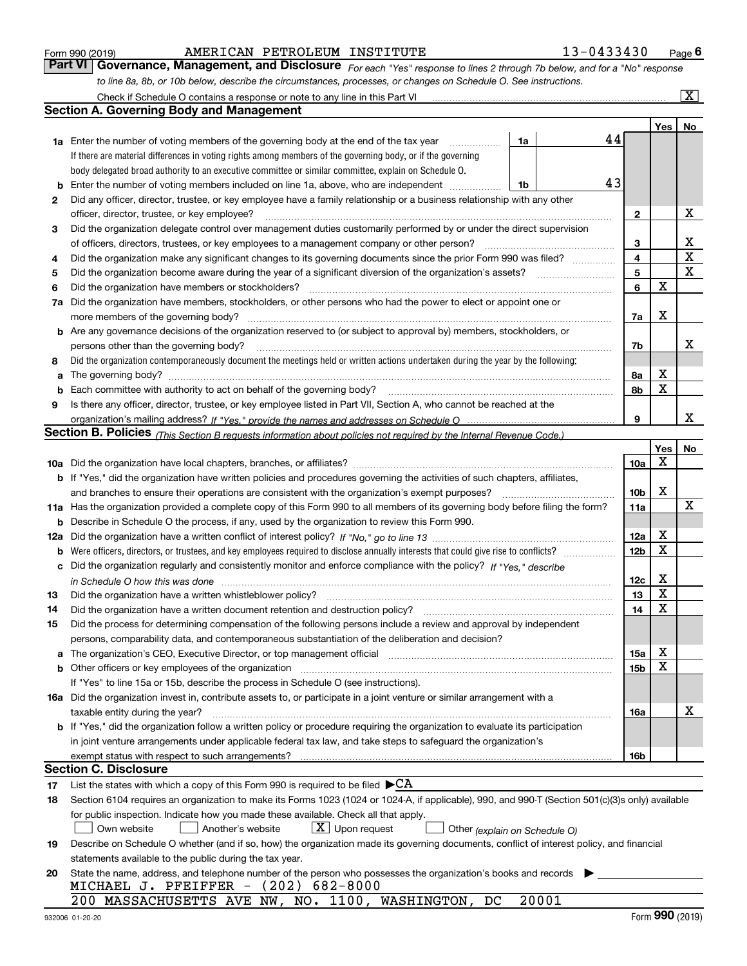| Form 990 (2019 |  |  |
|----------------|--|--|
|                |  |  |

AMERICAN PETROLEUM INSTITUTE 13-0433430

*For each "Yes" response to lines 2 through 7b below, and for a "No" response to line 8a, 8b, or 10b below, describe the circumstances, processes, or changes on Schedule O. See instructions.* Form 990 (2019) **COM BIGGET AMERICAN PETROLEUM INSTITUTE** 13-0433430 Page 6<br>**Part VI Governance, Management, and Disclosure** For each "Yes" response to lines 2 through 7b below, and for a "No" response

|    | Check if Schedule O contains a response or note to any line in this Part VI                                                                                                                                                    |                 |             | $\overline{\text{X}}$   |
|----|--------------------------------------------------------------------------------------------------------------------------------------------------------------------------------------------------------------------------------|-----------------|-------------|-------------------------|
|    | Section A. Governing Body and Management                                                                                                                                                                                       |                 |             |                         |
|    |                                                                                                                                                                                                                                |                 | Yes         | No                      |
|    | 44<br>1a<br><b>1a</b> Enter the number of voting members of the governing body at the end of the tax year <i>manumum</i>                                                                                                       |                 |             |                         |
|    | If there are material differences in voting rights among members of the governing body, or if the governing                                                                                                                    |                 |             |                         |
|    | body delegated broad authority to an executive committee or similar committee, explain on Schedule O.                                                                                                                          |                 |             |                         |
| b  | 43<br>Enter the number of voting members included on line 1a, above, who are independent<br>1b                                                                                                                                 |                 |             |                         |
| 2  | Did any officer, director, trustee, or key employee have a family relationship or a business relationship with any other                                                                                                       |                 |             |                         |
|    | officer, director, trustee, or key employee?                                                                                                                                                                                   | $\mathbf{2}$    |             | х                       |
| 3  | Did the organization delegate control over management duties customarily performed by or under the direct supervision                                                                                                          |                 |             |                         |
|    | of officers, directors, trustees, or key employees to a management company or other person?                                                                                                                                    | 3               |             | х                       |
| 4  | Did the organization make any significant changes to its governing documents since the prior Form 990 was filed?                                                                                                               | 4               |             | $\overline{\mathbf{x}}$ |
| 5  | Did the organization become aware during the year of a significant diversion of the organization's assets?                                                                                                                     | 5               |             | $\mathbf x$             |
| 6  | Did the organization have members or stockholders?                                                                                                                                                                             | 6               | X           |                         |
| 7a | Did the organization have members, stockholders, or other persons who had the power to elect or appoint one or                                                                                                                 |                 |             |                         |
|    | more members of the governing body?                                                                                                                                                                                            | 7a              | X           |                         |
|    | <b>b</b> Are any governance decisions of the organization reserved to (or subject to approval by) members, stockholders, or                                                                                                    |                 |             |                         |
|    | persons other than the governing body?                                                                                                                                                                                         | 7b              |             | x                       |
| 8  | Did the organization contemporaneously document the meetings held or written actions undertaken during the year by the following:                                                                                              |                 |             |                         |
| a  | The governing body?                                                                                                                                                                                                            | 8a              | х           |                         |
| b  | Each committee with authority to act on behalf of the governing body?                                                                                                                                                          | 8b              | $\mathbf X$ |                         |
| 9  | Is there any officer, director, trustee, or key employee listed in Part VII, Section A, who cannot be reached at the                                                                                                           |                 |             |                         |
|    |                                                                                                                                                                                                                                | 9               |             | x                       |
|    | Section B. Policies <sub>(This Section B requests information about policies not required by the Internal Revenue Code.)</sub>                                                                                                 |                 |             |                         |
|    |                                                                                                                                                                                                                                |                 | Yes         | No                      |
|    |                                                                                                                                                                                                                                | 10a             | X           |                         |
|    | <b>b</b> If "Yes," did the organization have written policies and procedures governing the activities of such chapters, affiliates,                                                                                            |                 |             |                         |
|    | and branches to ensure their operations are consistent with the organization's exempt purposes?                                                                                                                                | 10b             | X           |                         |
|    | 11a Has the organization provided a complete copy of this Form 990 to all members of its governing body before filing the form?                                                                                                | 11a             |             | X                       |
| b  | Describe in Schedule O the process, if any, used by the organization to review this Form 990.                                                                                                                                  |                 |             |                         |
|    |                                                                                                                                                                                                                                | 12a             | х           |                         |
|    |                                                                                                                                                                                                                                | 12 <sub>b</sub> | X           |                         |
|    | c Did the organization regularly and consistently monitor and enforce compliance with the policy? If "Yes," describe                                                                                                           |                 |             |                         |
|    | in Schedule O how this was done we construct the control of the control of the state of the control of the con                                                                                                                 | 12c             | х           |                         |
| 13 | Did the organization have a written whistleblower policy?                                                                                                                                                                      | 13              | X           |                         |
| 14 | Did the organization have a written document retention and destruction policy?                                                                                                                                                 | 14              | X           |                         |
| 15 | Did the process for determining compensation of the following persons include a review and approval by independent                                                                                                             |                 |             |                         |
|    | persons, comparability data, and contemporaneous substantiation of the deliberation and decision?                                                                                                                              |                 |             |                         |
|    | a The organization's CEO, Executive Director, or top management official manufactured content content of the organization's CEO, Executive Director, or top management official manufactured content of the state of the state | 15a             | х           |                         |
|    | b Other officers or key employees of the organization measurements are constructed by Other officers or key employees of the organization                                                                                      | 15b             | X           |                         |
|    | If "Yes" to line 15a or 15b, describe the process in Schedule O (see instructions).                                                                                                                                            |                 |             |                         |
|    | 16a Did the organization invest in, contribute assets to, or participate in a joint venture or similar arrangement with a                                                                                                      |                 |             |                         |
|    | taxable entity during the year?                                                                                                                                                                                                | 16a             |             | х                       |
|    | b If "Yes," did the organization follow a written policy or procedure requiring the organization to evaluate its participation                                                                                                 |                 |             |                         |
|    | in joint venture arrangements under applicable federal tax law, and take steps to safeguard the organization's                                                                                                                 |                 |             |                         |
|    |                                                                                                                                                                                                                                | 16b             |             |                         |
|    | Section C. Disclosure                                                                                                                                                                                                          |                 |             |                         |
| 17 | List the states with which a copy of this Form 990 is required to be filed $\blacktriangleright$ CA                                                                                                                            |                 |             |                         |
| 18 | Section 6104 requires an organization to make its Forms 1023 (1024 or 1024-A, if applicable), 990, and 990-T (Section 501(c)(3)s only) available                                                                               |                 |             |                         |
|    | for public inspection. Indicate how you made these available. Check all that apply.                                                                                                                                            |                 |             |                         |
|    | $X$ Upon request<br>Another's website<br>Own website<br>Other (explain on Schedule O)                                                                                                                                          |                 |             |                         |
| 19 | Describe on Schedule O whether (and if so, how) the organization made its governing documents, conflict of interest policy, and financial                                                                                      |                 |             |                         |
|    | statements available to the public during the tax year.                                                                                                                                                                        |                 |             |                         |
| 20 | State the name, address, and telephone number of the person who possesses the organization's books and records                                                                                                                 |                 |             |                         |
|    | MICHAEL J. PFEIFFER $-$ (202) 682-8000                                                                                                                                                                                         |                 |             |                         |
|    | 20001<br>200 MASSACHUSETTS AVE NW, NO. 1100, WASHINGTON, DC                                                                                                                                                                    |                 |             |                         |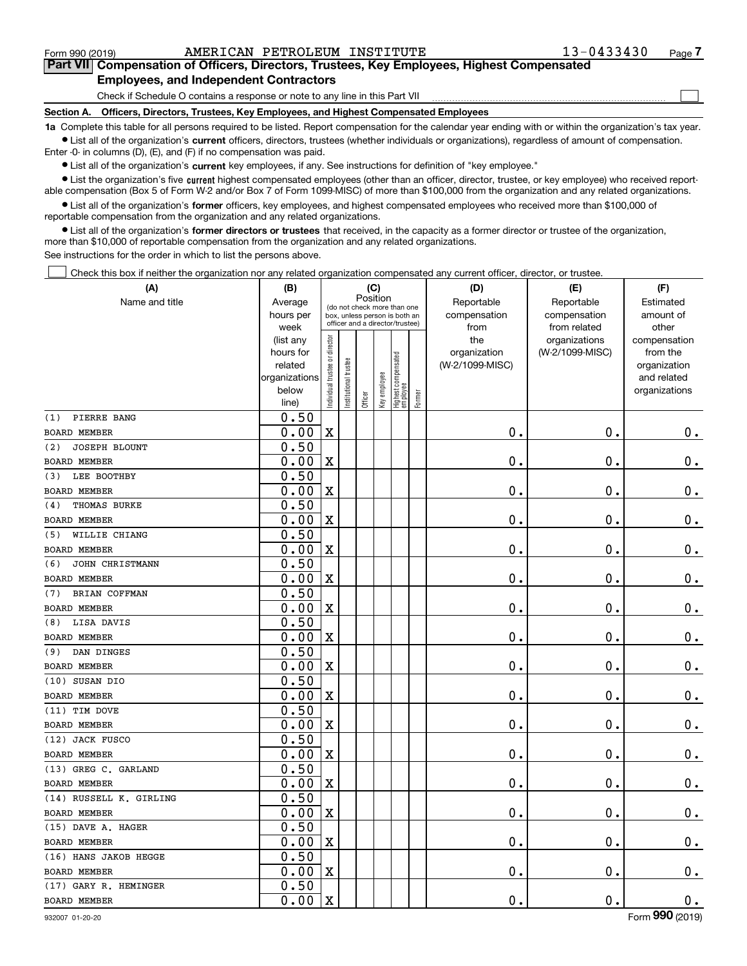$\mathcal{L}^{\text{max}}$ 

# **7Part VII Compensation of Officers, Directors, Trustees, Key Employees, Highest Compensated Employees, and Independent Contractors**

Check if Schedule O contains a response or note to any line in this Part VII

**Section A. Officers, Directors, Trustees, Key Employees, and Highest Compensated Employees**

**1a**  Complete this table for all persons required to be listed. Report compensation for the calendar year ending with or within the organization's tax year. **•** List all of the organization's current officers, directors, trustees (whether individuals or organizations), regardless of amount of compensation.

Enter -0- in columns (D), (E), and (F) if no compensation was paid.

 $\bullet$  List all of the organization's  $\,$ current key employees, if any. See instructions for definition of "key employee."

**•** List the organization's five current highest compensated employees (other than an officer, director, trustee, or key employee) who received reportable compensation (Box 5 of Form W-2 and/or Box 7 of Form 1099-MISC) of more than \$100,000 from the organization and any related organizations.

**•** List all of the organization's former officers, key employees, and highest compensated employees who received more than \$100,000 of reportable compensation from the organization and any related organizations.

**former directors or trustees**  ¥ List all of the organization's that received, in the capacity as a former director or trustee of the organization, more than \$10,000 of reportable compensation from the organization and any related organizations.

See instructions for the order in which to list the persons above.

Check this box if neither the organization nor any related organization compensated any current officer, director, or trustee.  $\mathcal{L}^{\text{max}}$ 

| (A)                     | (B)               |                               |                                                                  | (C)      |              |                                   |        | (D)             | (E)                           | (F)                   |
|-------------------------|-------------------|-------------------------------|------------------------------------------------------------------|----------|--------------|-----------------------------------|--------|-----------------|-------------------------------|-----------------------|
| Name and title          | Average           |                               | (do not check more than one                                      | Position |              |                                   |        | Reportable      | Reportable                    | Estimated             |
|                         | hours per         |                               | box, unless person is both an<br>officer and a director/trustee) |          |              |                                   |        | compensation    | compensation                  | amount of             |
|                         | week<br>(list any |                               |                                                                  |          |              |                                   |        | from<br>the     | from related<br>organizations | other<br>compensation |
|                         | hours for         |                               |                                                                  |          |              |                                   |        | organization    | (W-2/1099-MISC)               | from the              |
|                         | related           |                               |                                                                  |          |              |                                   |        | (W-2/1099-MISC) |                               | organization          |
|                         | organizations     |                               |                                                                  |          |              |                                   |        |                 |                               | and related           |
|                         | below             | ndividual trustee or director | nstitutional trustee                                             | Officer  | Key employee | Highest compensated<br>  employee | Former |                 |                               | organizations         |
|                         | line)             |                               |                                                                  |          |              |                                   |        |                 |                               |                       |
| PIERRE BANG<br>(1)      | 0.50              |                               |                                                                  |          |              |                                   |        |                 |                               |                       |
| <b>BOARD MEMBER</b>     | 0.00              | $\mathbf X$                   |                                                                  |          |              |                                   |        | $\mathbf 0$ .   | $\mathbf 0$ .                 | $0_{.}$               |
| JOSEPH BLOUNT<br>(2)    | 0.50              |                               |                                                                  |          |              |                                   |        |                 |                               |                       |
| <b>BOARD MEMBER</b>     | 0.00              | $\mathbf X$                   |                                                                  |          |              |                                   |        | $\mathbf 0$ .   | $\mathbf 0$ .                 | $\mathbf 0$ .         |
| (3)<br>LEE BOOTHBY      | 0.50              |                               |                                                                  |          |              |                                   |        |                 |                               |                       |
| <b>BOARD MEMBER</b>     | 0.00              | $\mathbf X$                   |                                                                  |          |              |                                   |        | $\mathbf 0$ .   | $\mathbf 0$ .                 | $\mathbf 0$ .         |
| THOMAS BURKE<br>(4)     | 0.50              |                               |                                                                  |          |              |                                   |        |                 |                               |                       |
| <b>BOARD MEMBER</b>     | 0.00              | $\mathbf X$                   |                                                                  |          |              |                                   |        | $\mathbf 0$ .   | $\mathbf 0$ .                 | $\mathbf 0$ .         |
| WILLIE CHIANG<br>(5)    | 0.50              |                               |                                                                  |          |              |                                   |        |                 |                               |                       |
| BOARD MEMBER            | 0.00              | $\mathbf X$                   |                                                                  |          |              |                                   |        | $\mathbf 0$ .   | $\mathbf 0$ .                 | $\mathbf 0$ .         |
| (6)<br>JOHN CHRISTMANN  | 0.50              |                               |                                                                  |          |              |                                   |        |                 |                               |                       |
| <b>BOARD MEMBER</b>     | 0.00              | $\mathbf X$                   |                                                                  |          |              |                                   |        | $\mathbf 0$ .   | $\mathbf 0$ .                 | $\mathbf 0$ .         |
| (7)<br>BRIAN COFFMAN    | 0.50              |                               |                                                                  |          |              |                                   |        |                 |                               |                       |
| <b>BOARD MEMBER</b>     | 0.00              | $\mathbf X$                   |                                                                  |          |              |                                   |        | $\mathbf 0$ .   | $\mathbf 0$ .                 | $\mathbf 0$ .         |
| LISA DAVIS<br>(8)       | 0.50              |                               |                                                                  |          |              |                                   |        |                 |                               |                       |
| <b>BOARD MEMBER</b>     | 0.00              | $\overline{\textbf{X}}$       |                                                                  |          |              |                                   |        | $\mathbf 0$ .   | $\mathbf 0$ .                 | $\mathbf 0$ .         |
| (9) DAN DINGES          | 0.50              |                               |                                                                  |          |              |                                   |        |                 |                               |                       |
| <b>BOARD MEMBER</b>     | 0.00              | $\mathbf X$                   |                                                                  |          |              |                                   |        | $\mathbf 0$ .   | $\mathbf 0$ .                 | $\mathbf 0$ .         |
| (10) SUSAN DIO          | 0.50              |                               |                                                                  |          |              |                                   |        |                 |                               |                       |
| <b>BOARD MEMBER</b>     | 0.00              | $\overline{\textbf{X}}$       |                                                                  |          |              |                                   |        | $\mathbf 0$ .   | $\mathbf 0$ .                 | $0$ .                 |
| (11) TIM DOVE           | 0.50              |                               |                                                                  |          |              |                                   |        |                 |                               |                       |
| <b>BOARD MEMBER</b>     | 0.00              | $\mathbf X$                   |                                                                  |          |              |                                   |        | $\mathbf 0$ .   | $\mathbf 0$ .                 | $\mathbf 0$ .         |
| (12) JACK FUSCO         | 0.50              |                               |                                                                  |          |              |                                   |        |                 |                               |                       |
| <b>BOARD MEMBER</b>     | 0.00              | $\mathbf X$                   |                                                                  |          |              |                                   |        | $\mathbf 0$ .   | $\mathbf 0$ .                 | $\mathbf 0$ .         |
| (13) GREG C. GARLAND    | 0.50              |                               |                                                                  |          |              |                                   |        |                 |                               |                       |
| <b>BOARD MEMBER</b>     | 0.00              | $\mathbf X$                   |                                                                  |          |              |                                   |        | $\mathbf 0$ .   | $\mathbf 0$ .                 | $0_{.}$               |
| (14) RUSSELL K. GIRLING | 0.50              |                               |                                                                  |          |              |                                   |        |                 |                               |                       |
| <b>BOARD MEMBER</b>     | 0.00              | $\mathbf X$                   |                                                                  |          |              |                                   |        | $0$ .           | $\mathbf 0$ .                 | $\mathbf 0$ .         |
| (15) DAVE A. HAGER      | 0.50              |                               |                                                                  |          |              |                                   |        |                 |                               |                       |
| <b>BOARD MEMBER</b>     | 0.00              | $\mathbf X$                   |                                                                  |          |              |                                   |        | $\mathbf{0}$ .  | $\mathbf{0}$ .                | $\mathbf 0$ .         |
| (16) HANS JAKOB HEGGE   | 0.50              |                               |                                                                  |          |              |                                   |        |                 |                               |                       |
| <b>BOARD MEMBER</b>     | 0.00              | X                             |                                                                  |          |              |                                   |        | $\mathbf 0$ .   | $\mathbf 0$ .                 | $0$ .                 |
| (17) GARY R. HEMINGER   | 0.50              |                               |                                                                  |          |              |                                   |        |                 |                               |                       |
| <b>BOARD MEMBER</b>     | 0.00              | $\mathbf X$                   |                                                                  |          |              |                                   |        | $\mathbf 0$ .   | $\mathbf 0$ .                 | $0\,.$                |

932007 01-20-20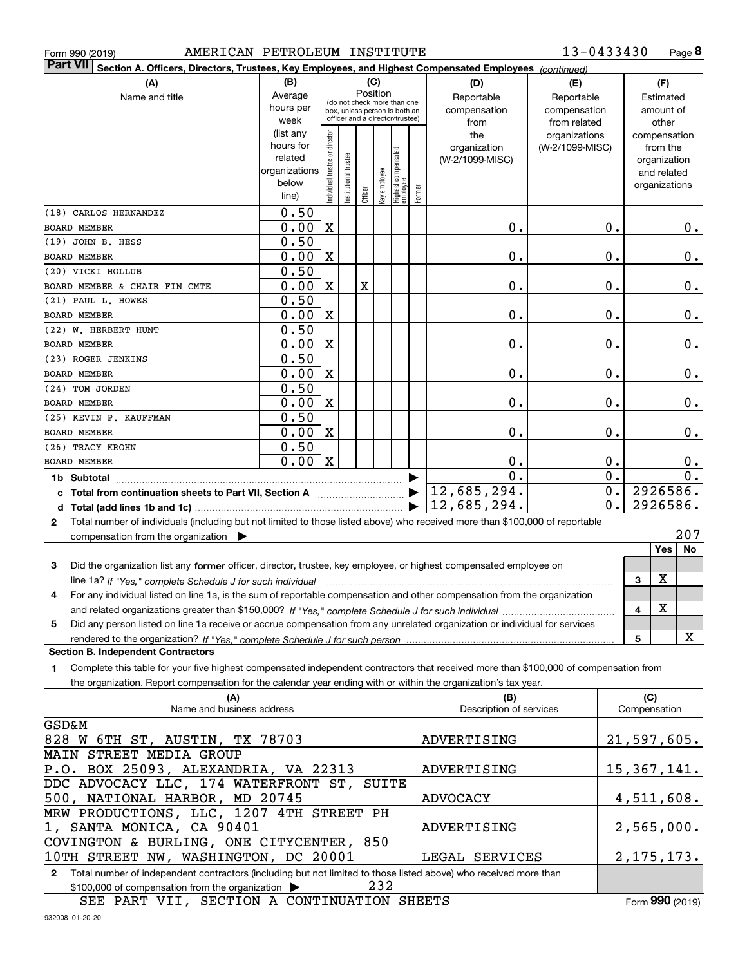| Form 990 (2019) |  |  |
|-----------------|--|--|
|                 |  |  |

Form 990 (2019) AMERICAN PETROLEUM INSTITUTE 13-0433430 Page

**8** 13-0433430

| <b>Part VII</b>                                                                             | Section A. Officers, Directors, Trustees, Key Employees, and Highest Compensated Employees (continued)                                 |                        |                                |                                                              |         |              |                                  |        |                                |                 |               |                     |                  |
|---------------------------------------------------------------------------------------------|----------------------------------------------------------------------------------------------------------------------------------------|------------------------|--------------------------------|--------------------------------------------------------------|---------|--------------|----------------------------------|--------|--------------------------------|-----------------|---------------|---------------------|------------------|
|                                                                                             | (A)                                                                                                                                    | (B)                    |                                |                                                              |         | (C)          |                                  |        | (D)                            | (E)             |               |                     | (F)              |
|                                                                                             | Name and title                                                                                                                         | Average                |                                |                                                              |         | Position     |                                  |        | Reportable                     | Reportable      |               |                     | Estimated        |
|                                                                                             |                                                                                                                                        | hours per              |                                | (do not check more than one<br>box, unless person is both an |         |              |                                  |        | compensation                   | compensation    |               |                     | amount of        |
|                                                                                             |                                                                                                                                        | week                   |                                | officer and a director/trustee)                              |         |              |                                  |        | from                           | from related    |               |                     | other            |
|                                                                                             |                                                                                                                                        | (list any              |                                |                                                              |         |              |                                  |        | the                            | organizations   |               |                     | compensation     |
|                                                                                             |                                                                                                                                        | hours for              |                                |                                                              |         |              |                                  |        | organization                   | (W-2/1099-MISC) |               |                     | from the         |
|                                                                                             |                                                                                                                                        | related                |                                |                                                              |         |              |                                  |        | (W-2/1099-MISC)                |                 |               |                     | organization     |
|                                                                                             |                                                                                                                                        | organizations<br>below |                                |                                                              |         |              |                                  |        |                                |                 |               |                     | and related      |
|                                                                                             |                                                                                                                                        | line)                  | Individual trustee or director | Institutional trustee                                        | Officer | Key employee | Highest compensated<br> employee | Former |                                |                 |               |                     | organizations    |
| (18) CARLOS HERNANDEZ                                                                       |                                                                                                                                        | 0.50                   |                                |                                                              |         |              |                                  |        |                                |                 |               |                     |                  |
| <b>BOARD MEMBER</b>                                                                         |                                                                                                                                        | 0.00                   | $\mathbf x$                    |                                                              |         |              |                                  |        | 0.                             |                 | 0.            |                     | $0$ .            |
| (19) JOHN B. HESS                                                                           |                                                                                                                                        | 0.50                   |                                |                                                              |         |              |                                  |        |                                |                 |               |                     |                  |
| <b>BOARD MEMBER</b>                                                                         |                                                                                                                                        | 0.00                   | $\mathbf x$                    |                                                              |         |              |                                  |        | 0.                             |                 | $\mathbf 0$ . |                     | 0.               |
| (20) VICKI HOLLUB                                                                           |                                                                                                                                        | 0.50                   |                                |                                                              |         |              |                                  |        |                                |                 |               |                     |                  |
| BOARD MEMBER & CHAIR FIN CMTE                                                               |                                                                                                                                        | 0.00                   | $\mathbf X$                    |                                                              | X       |              |                                  |        | 0.                             |                 | $\mathbf 0$ . |                     | $0$ .            |
| (21) PAUL L. HOWES                                                                          |                                                                                                                                        | 0.50                   |                                |                                                              |         |              |                                  |        |                                |                 |               |                     |                  |
| <b>BOARD MEMBER</b>                                                                         |                                                                                                                                        | 0.00                   | $\mathbf X$                    |                                                              |         |              |                                  |        | 0.                             |                 | $\mathbf 0$ . |                     | $0$ .            |
| (22) W. HERBERT HUNT                                                                        |                                                                                                                                        | 0.50                   |                                |                                                              |         |              |                                  |        |                                |                 |               |                     |                  |
| <b>BOARD MEMBER</b>                                                                         |                                                                                                                                        | 0.00                   | $\mathbf X$                    |                                                              |         |              |                                  |        | 0.                             |                 | 0.            |                     | $0$ .            |
| (23) ROGER JENKINS                                                                          |                                                                                                                                        | 0.50                   |                                |                                                              |         |              |                                  |        |                                |                 |               |                     |                  |
| <b>BOARD MEMBER</b>                                                                         |                                                                                                                                        | 0.00                   | X                              |                                                              |         |              |                                  |        | 0.                             |                 | 0.            |                     | $0$ .            |
| (24) TOM JORDEN                                                                             |                                                                                                                                        | 0.50                   |                                |                                                              |         |              |                                  |        |                                |                 |               |                     |                  |
| <b>BOARD MEMBER</b>                                                                         |                                                                                                                                        | 0.00                   | X                              |                                                              |         |              |                                  |        | 0.                             |                 | 0.            |                     | 0.               |
| (25) KEVIN P. KAUFFMAN                                                                      |                                                                                                                                        | 0.50                   |                                |                                                              |         |              |                                  |        |                                |                 |               |                     |                  |
| <b>BOARD MEMBER</b>                                                                         |                                                                                                                                        | 0.00                   | X                              |                                                              |         |              |                                  |        | 0.                             |                 | 0.            |                     | 0.               |
| (26) TRACY KROHN                                                                            |                                                                                                                                        | 0.50                   |                                |                                                              |         |              |                                  |        |                                |                 |               |                     |                  |
| BOARD MEMBER                                                                                |                                                                                                                                        | 0.00                   | $\mathbf x$                    |                                                              |         |              |                                  |        | 0.                             |                 | 0.            |                     | 0.               |
| 1b Subtotal                                                                                 |                                                                                                                                        |                        |                                |                                                              |         |              |                                  |        | $\mathbf 0$ .                  |                 | 0.            |                     | 0.               |
|                                                                                             | c Total from continuation sheets to Part VII, Section A manuscreen continuum                                                           |                        |                                |                                                              |         |              |                                  |        | 12,685,294.                    |                 | 0.            |                     | 2926586.         |
|                                                                                             |                                                                                                                                        |                        |                                |                                                              |         |              |                                  |        | 12,685,294.                    |                 | 0.            |                     | 2926586.         |
| $\mathbf{2}$                                                                                | Total number of individuals (including but not limited to those listed above) who received more than \$100,000 of reportable           |                        |                                |                                                              |         |              |                                  |        |                                |                 |               |                     |                  |
|                                                                                             | compensation from the organization $\blacktriangleright$                                                                               |                        |                                |                                                              |         |              |                                  |        |                                |                 |               |                     | 207              |
|                                                                                             |                                                                                                                                        |                        |                                |                                                              |         |              |                                  |        |                                |                 |               |                     | <b>Yes</b><br>No |
| 3                                                                                           | Did the organization list any former officer, director, trustee, key employee, or highest compensated employee on                      |                        |                                |                                                              |         |              |                                  |        |                                |                 |               |                     |                  |
|                                                                                             | line 1a? If "Yes," complete Schedule J for such individual manufactured contains and the Ves," complete Schedule J for such individual |                        |                                |                                                              |         |              |                                  |        |                                |                 |               | 3                   | x                |
|                                                                                             | For any individual listed on line 1a, is the sum of reportable compensation and other compensation from the organization               |                        |                                |                                                              |         |              |                                  |        |                                |                 |               |                     |                  |
|                                                                                             |                                                                                                                                        |                        |                                |                                                              |         |              |                                  |        |                                |                 |               | 4                   | X                |
| 5                                                                                           | Did any person listed on line 1a receive or accrue compensation from any unrelated organization or individual for services             |                        |                                |                                                              |         |              |                                  |        |                                |                 |               |                     |                  |
|                                                                                             | rendered to the organization? If "Yes." complete Schedule J for such person                                                            |                        |                                |                                                              |         |              |                                  |        |                                |                 |               | 5                   | X                |
| <b>Section B. Independent Contractors</b>                                                   |                                                                                                                                        |                        |                                |                                                              |         |              |                                  |        |                                |                 |               |                     |                  |
| 1                                                                                           | Complete this table for your five highest compensated independent contractors that received more than \$100,000 of compensation from   |                        |                                |                                                              |         |              |                                  |        |                                |                 |               |                     |                  |
|                                                                                             | the organization. Report compensation for the calendar year ending with or within the organization's tax year.                         |                        |                                |                                                              |         |              |                                  |        |                                |                 |               |                     |                  |
|                                                                                             | (A)<br>Name and business address                                                                                                       |                        |                                |                                                              |         |              |                                  |        | (B)<br>Description of services |                 |               | (C)<br>Compensation |                  |
| <b>GSD&amp;M</b>                                                                            |                                                                                                                                        |                        |                                |                                                              |         |              |                                  |        |                                |                 |               |                     |                  |
|                                                                                             | 828 W 6TH ST, AUSTIN, TX 78703                                                                                                         |                        |                                |                                                              |         |              |                                  |        | ADVERTISING                    |                 |               |                     | 21,597,605.      |
| MAIN STREET MEDIA GROUP                                                                     |                                                                                                                                        |                        |                                |                                                              |         |              |                                  |        |                                |                 |               |                     |                  |
|                                                                                             | P.O. BOX 25093, ALEXANDRIA, VA 22313                                                                                                   |                        |                                |                                                              |         |              |                                  |        | ADVERTISING                    |                 |               |                     | 15, 367, 141.    |
|                                                                                             |                                                                                                                                        |                        |                                |                                                              |         |              |                                  |        |                                |                 |               |                     |                  |
| DDC ADVOCACY LLC, 174 WATERFRONT ST,<br>SUITE<br>500, NATIONAL HARBOR, MD 20745<br>ADVOCACY |                                                                                                                                        |                        |                                |                                                              |         |              |                                  |        |                                | 4,511,608.      |               |                     |                  |
|                                                                                             |                                                                                                                                        |                        |                                |                                                              |         |              |                                  |        |                                |                 |               |                     |                  |
|                                                                                             | MRW PRODUCTIONS, LLC, 1207 4TH STREET PH<br>1, SANTA MONICA, CA 90401<br>2,565,000.<br>ADVERTISING                                     |                        |                                |                                                              |         |              |                                  |        |                                |                 |               |                     |                  |
|                                                                                             | COVINGTON & BURLING, ONE CITYCENTER, 850                                                                                               |                        |                                |                                                              |         |              |                                  |        |                                |                 |               |                     |                  |
|                                                                                             | 10TH STREET NW, WASHINGTON, DC 20001                                                                                                   |                        |                                |                                                              |         |              |                                  |        | LEGAL SERVICES                 |                 |               |                     | 2, 175, 173.     |
|                                                                                             |                                                                                                                                        |                        |                                |                                                              |         |              |                                  |        |                                |                 |               |                     |                  |

**2**Total number of independent contractors (including but not limited to those listed above) who received more than \$100,000 of compensation from the organization 232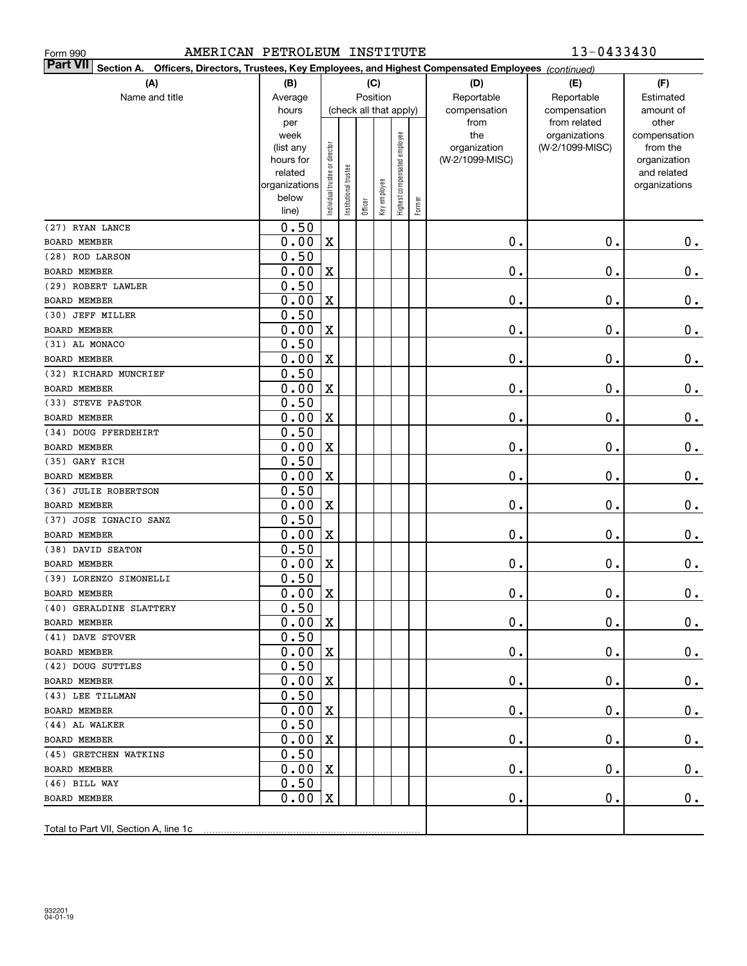| AMERICAN PETROLEUM INSTITUTE<br>Form 990                                                                                  |               |                                |                       |         |              |                        |        |                 | 13-0433430                    |                       |
|---------------------------------------------------------------------------------------------------------------------------|---------------|--------------------------------|-----------------------|---------|--------------|------------------------|--------|-----------------|-------------------------------|-----------------------|
| <b>Part VII</b><br>Section A. Officers, Directors, Trustees, Key Employees, and Highest Compensated Employees (continued) |               |                                |                       |         |              |                        |        |                 |                               |                       |
| (A)                                                                                                                       | (B)           | (C)                            |                       |         |              |                        |        | (D)             | (E)                           | (F)                   |
| Name and title                                                                                                            | Average       |                                |                       |         | Position     |                        |        | Reportable      | Reportable                    | Estimated             |
|                                                                                                                           | hours         |                                |                       |         |              | (check all that apply) |        | compensation    | compensation                  | amount of             |
|                                                                                                                           | per<br>week   |                                |                       |         |              |                        |        | from<br>the     | from related<br>organizations | other<br>compensation |
|                                                                                                                           | (list any     |                                |                       |         |              | employee               |        | organization    | (W-2/1099-MISC)               | from the              |
|                                                                                                                           | hours for     |                                |                       |         |              |                        |        | (W-2/1099-MISC) |                               | organization          |
|                                                                                                                           | related       |                                |                       |         |              |                        |        |                 |                               | and related           |
|                                                                                                                           | organizations |                                |                       |         |              |                        |        |                 |                               | organizations         |
|                                                                                                                           | below         | Individual trustee or director | Institutional trustee | Officer | Key employee | Highest compensated    | Former |                 |                               |                       |
|                                                                                                                           | line)         |                                |                       |         |              |                        |        |                 |                               |                       |
| (27) RYAN LANCE                                                                                                           | 0.50          |                                |                       |         |              |                        |        |                 |                               |                       |
| <b>BOARD MEMBER</b>                                                                                                       | 0.00          | $\mathbf X$                    |                       |         |              |                        |        | $\mathbf 0$ .   | 0.                            | 0.                    |
| (28) ROD LARSON                                                                                                           | 0.50          |                                |                       |         |              |                        |        |                 |                               |                       |
| <b>BOARD MEMBER</b>                                                                                                       | 0.00          | $\mathbf X$                    |                       |         |              |                        |        | $\mathbf 0$ .   | 0.                            | $\mathbf 0$ .         |
| (29) ROBERT LAWLER                                                                                                        | 0.50          |                                |                       |         |              |                        |        |                 |                               |                       |
| <b>BOARD MEMBER</b>                                                                                                       | 0.00          | $\mathbf X$                    |                       |         |              |                        |        | $\mathbf 0$ .   | 0.                            | $\mathbf 0$ .         |
| (30) JEFF MILLER                                                                                                          | 0.50          |                                |                       |         |              |                        |        |                 |                               |                       |
| <b>BOARD MEMBER</b>                                                                                                       | 0.00          | $\mathbf X$                    |                       |         |              |                        |        | $\mathbf 0$ .   | 0.                            | $\mathbf 0$ .         |
| (31) AL MONACO                                                                                                            | 0.50          |                                |                       |         |              |                        |        |                 |                               |                       |
| <b>BOARD MEMBER</b>                                                                                                       | 0.00          | $\mathbf X$                    |                       |         |              |                        |        | $\mathbf 0$ .   | $\mathbf 0$ .                 | $\mathbf 0$ .         |
| (32) RICHARD MUNCRIEF                                                                                                     | 0.50          |                                |                       |         |              |                        |        |                 |                               |                       |
| <b>BOARD MEMBER</b>                                                                                                       | 0.00          | $\mathbf X$                    |                       |         |              |                        |        | $\mathbf 0$ .   | $\mathbf 0$ .                 | $\mathbf 0$ .         |
| (33) STEVE PASTOR                                                                                                         | 0.50          |                                |                       |         |              |                        |        |                 |                               |                       |
| <b>BOARD MEMBER</b>                                                                                                       | 0.00          | $\mathbf X$                    |                       |         |              |                        |        | $\mathbf 0$ .   | $\mathbf 0$ .                 | $\mathbf 0$ .         |
| (34) DOUG PFERDEHIRT                                                                                                      | 0.50          |                                |                       |         |              |                        |        |                 |                               |                       |
| <b>BOARD MEMBER</b>                                                                                                       | 0.00          | $\mathbf X$                    |                       |         |              |                        |        | $\mathbf 0$ .   | $\mathbf 0$ .                 | $\mathbf 0$ .         |
| (35) GARY RICH                                                                                                            | 0.50          |                                |                       |         |              |                        |        |                 |                               |                       |
| <b>BOARD MEMBER</b>                                                                                                       | 0.00          | $\mathbf X$                    |                       |         |              |                        |        | $\mathbf 0$ .   | $\mathbf 0$ .                 | $\mathbf 0$ .         |
| (36) JULIE ROBERTSON                                                                                                      | 0.50          |                                |                       |         |              |                        |        |                 |                               |                       |
| <b>BOARD MEMBER</b>                                                                                                       | 0.00          | $\mathbf X$                    |                       |         |              |                        |        | $\mathbf 0$ .   | $\mathbf 0$ .                 | 0.                    |
| (37) JOSE IGNACIO SANZ                                                                                                    | 0.50          |                                |                       |         |              |                        |        |                 | 0.                            |                       |
| <b>BOARD MEMBER</b>                                                                                                       | 0.00<br>0.50  | $\mathbf X$                    |                       |         |              |                        |        | $\mathbf 0$ .   |                               | 0.                    |
| (38) DAVID SEATON                                                                                                         | 0.00          |                                |                       |         |              |                        |        | $\mathbf 0$ .   | 0.                            |                       |
| <b>BOARD MEMBER</b>                                                                                                       | 0.50          | $\mathbf X$                    |                       |         |              |                        |        |                 |                               | $\mathbf 0$ .         |
| (39) LORENZO SIMONELLI                                                                                                    | 0.00          |                                |                       |         |              |                        |        | $\mathbf 0$ .   | $\mathbf 0$ .                 |                       |
| <b>BOARD MEMBER</b><br>(40) GERALDINE SLATTERY                                                                            | 0.50          | X                              |                       |         |              |                        |        |                 |                               | 0.                    |
| BOARD MEMBER                                                                                                              | 0.00          | $\mathbf X$                    |                       |         |              |                        |        | $\mathfrak o$ . | $\mathbf 0$ .                 | $0_{.}$               |
| (41) DAVE STOVER                                                                                                          | 0.50          |                                |                       |         |              |                        |        |                 |                               |                       |
| BOARD MEMBER                                                                                                              | 0.00          | X                              |                       |         |              |                        |        | $\mathfrak o$ . | 0.                            | $\mathbf 0$ .         |
| (42) DOUG SUTTLES                                                                                                         | 0.50          |                                |                       |         |              |                        |        |                 |                               |                       |
| BOARD MEMBER                                                                                                              | 0.00          | X                              |                       |         |              |                        |        | $\mathfrak o$ . | 0.                            | $\mathbf 0$ .         |
| (43) LEE TILLMAN                                                                                                          | 0.50          |                                |                       |         |              |                        |        |                 |                               |                       |
| BOARD MEMBER                                                                                                              | 0.00          | X                              |                       |         |              |                        |        | $\mathfrak o$ . | 0.                            | $\mathbf 0$ .         |
| (44) AL WALKER                                                                                                            | 0.50          |                                |                       |         |              |                        |        |                 |                               |                       |
| BOARD MEMBER                                                                                                              | 0.00          | X                              |                       |         |              |                        |        | $\mathfrak o$ . | 0.                            | $\mathbf 0$ .         |
| (45) GRETCHEN WATKINS                                                                                                     | 0.50          |                                |                       |         |              |                        |        |                 |                               |                       |
| BOARD MEMBER                                                                                                              | 0.00          | X                              |                       |         |              |                        |        | $\mathfrak o$ . | 0.                            | $\mathbf 0$ .         |
| $(46)$ BILL WAY                                                                                                           | 0.50          |                                |                       |         |              |                        |        |                 |                               |                       |
| BOARD MEMBER                                                                                                              | 0.00          | X                              |                       |         |              |                        |        | $\mathbf 0$ .   | 0.                            | $0$ .                 |
|                                                                                                                           |               |                                |                       |         |              |                        |        |                 |                               |                       |
| Total to Part VII, Section A, line 1c                                                                                     |               |                                |                       |         |              |                        |        |                 |                               |                       |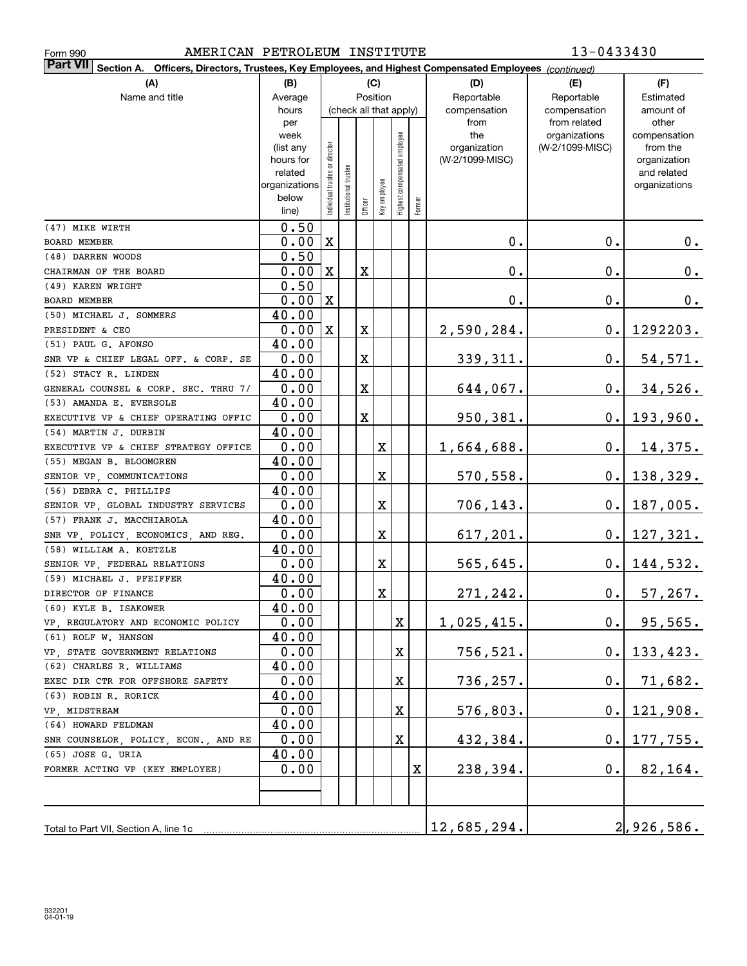| AMERICAN PETROLEUM INSTITUTE<br>Form 990                                                                               |                   |                                |                        |             |              |                              |        |                     | 13-0433430                       |                          |
|------------------------------------------------------------------------------------------------------------------------|-------------------|--------------------------------|------------------------|-------------|--------------|------------------------------|--------|---------------------|----------------------------------|--------------------------|
| Part VII <br>Section A.<br>Officers, Directors, Trustees, Key Employees, and Highest Compensated Employees (continued) |                   |                                |                        |             |              |                              |        |                     |                                  |                          |
| (A)                                                                                                                    | (B)               |                                |                        |             | (C)          |                              |        | (D)                 | (E)                              | (F)                      |
| Name and title                                                                                                         | Average           |                                |                        |             | Position     |                              |        | Reportable          | Reportable                       | Estimated                |
|                                                                                                                        | hours             |                                | (check all that apply) |             |              |                              |        | compensation        | compensation                     | amount of                |
|                                                                                                                        | per               |                                |                        |             |              |                              |        | from                | from related                     | other                    |
|                                                                                                                        | week<br>(list any |                                |                        |             |              |                              |        | the<br>organization | organizations<br>(W-2/1099-MISC) | compensation<br>from the |
|                                                                                                                        | hours for         |                                |                        |             |              |                              |        | (W-2/1099-MISC)     |                                  | organization             |
|                                                                                                                        | related           |                                |                        |             |              |                              |        |                     |                                  | and related              |
|                                                                                                                        | organizations     |                                |                        |             |              |                              |        |                     |                                  | organizations            |
|                                                                                                                        | below             | Individual trustee or director | Institutional trustee  |             | Key employee | Highest compensated employee | Former |                     |                                  |                          |
|                                                                                                                        | line)             |                                |                        | Officer     |              |                              |        |                     |                                  |                          |
| (47) MIKE WIRTH                                                                                                        | 0.50              |                                |                        |             |              |                              |        |                     |                                  |                          |
| <b>BOARD MEMBER</b>                                                                                                    | 0.00              | X                              |                        |             |              |                              |        | $\mathbf 0$ .       | 0.                               | $0_{.}$                  |
| (48) DARREN WOODS                                                                                                      | 0.50              |                                |                        |             |              |                              |        |                     |                                  |                          |
| CHAIRMAN OF THE BOARD                                                                                                  | 0.00              | X                              |                        | X           |              |                              |        | $\mathbf 0$ .       | 0.                               | 0.                       |
| (49) KAREN WRIGHT                                                                                                      | 0.50              |                                |                        |             |              |                              |        |                     |                                  |                          |
| <b>BOARD MEMBER</b>                                                                                                    | 0.00              | X                              |                        |             |              |                              |        | $\mathbf 0$ .       | 0.                               | 0.                       |
| (50) MICHAEL J. SOMMERS                                                                                                | 40.00             |                                |                        |             |              |                              |        |                     |                                  |                          |
| PRESIDENT & CEO                                                                                                        | 0.00              | X                              |                        | X           |              |                              |        | 2,590,284.          | 0.                               | 1292203.                 |
| (51) PAUL G. AFONSO                                                                                                    | 40.00             |                                |                        |             |              |                              |        |                     |                                  |                          |
| SNR VP & CHIEF LEGAL OFF. & CORP. SE                                                                                   | 0.00              |                                |                        | $\mathbf X$ |              |                              |        | 339, 311.           | 0.                               | 54,571.                  |
| (52) STACY R. LINDEN                                                                                                   | 40.00             |                                |                        |             |              |                              |        |                     |                                  |                          |
| GENERAL COUNSEL & CORP. SEC. THRU 7/                                                                                   | 0.00              |                                |                        | X           |              |                              |        | 644,067.            | 0.                               | 34,526.                  |
| (53) AMANDA E. EVERSOLE                                                                                                | 40.00             |                                |                        |             |              |                              |        |                     |                                  |                          |
| EXECUTIVE VP & CHIEF OPERATING OFFIC                                                                                   | 0.00              |                                |                        | $\mathbf X$ |              |                              |        | 950,381.            | 0.                               | 193,960.                 |
| (54) MARTIN J. DURBIN                                                                                                  | 40.00             |                                |                        |             |              |                              |        |                     |                                  |                          |
| EXECUTIVE VP & CHIEF STRATEGY OFFICE                                                                                   | 0.00              |                                |                        |             | $\mathbf X$  |                              |        | 1,664,688.          | 0.                               | <u>14,375.</u>           |
| (55) MEGAN B. BLOOMGREN                                                                                                | 40.00             |                                |                        |             |              |                              |        |                     |                                  |                          |
| SENIOR VP, COMMUNICATIONS                                                                                              | 0.00              |                                |                        |             | X            |                              |        | 570,558.            | 0.                               | 138,329.                 |
| (56) DEBRA C. PHILLIPS                                                                                                 | 40.00             |                                |                        |             |              |                              |        |                     |                                  |                          |
| SENIOR VP, GLOBAL INDUSTRY SERVICES                                                                                    | 0.00              |                                |                        |             | X            |                              |        | 706, 143.           | 0.                               | 187,005.                 |
| (57) FRANK J. MACCHIAROLA                                                                                              | 40.00             |                                |                        |             |              |                              |        |                     |                                  |                          |
| SNR VP, POLICY, ECONOMICS, AND REG.                                                                                    | 0.00              |                                |                        |             | X            |                              |        | 617,201.            | 0.                               | <u>127,321.</u>          |
| (58) WILLIAM A. KOETZLE                                                                                                | 40.00             |                                |                        |             |              |                              |        |                     |                                  |                          |
| SENIOR VP, FEDERAL RELATIONS                                                                                           | 0.00              |                                |                        |             | X            |                              |        | 565,645.            | 0.                               | 144,532.                 |
| (59) MICHAEL J. PFEIFFER                                                                                               | 40.00             |                                |                        |             |              |                              |        |                     |                                  |                          |
| DIRECTOR OF FINANCE                                                                                                    | 0.00              |                                |                        |             | X.           |                              |        | 271,242.            | $\mathbf 0$ .                    | 57, 267.                 |
| (60) KYLE B. ISAKOWER                                                                                                  | 40.00             |                                |                        |             |              |                              |        |                     |                                  |                          |
| VP, REGULATORY AND ECONOMIC POLICY                                                                                     | 0.00              |                                |                        |             |              | X                            |        | 1,025,415.          | $\mathbf 0$ .                    | 95,565.                  |
| (61) ROLF W. HANSON                                                                                                    | 40.00             |                                |                        |             |              |                              |        |                     |                                  |                          |
| VP, STATE GOVERNMENT RELATIONS                                                                                         | 0.00              |                                |                        |             |              | X                            |        | 756,521.            | $0$ .                            | 133, 423.                |
| (62) CHARLES R. WILLIAMS                                                                                               | 40.00             |                                |                        |             |              |                              |        |                     |                                  |                          |
| EXEC DIR CTR FOR OFFSHORE SAFETY                                                                                       | 0.00              |                                |                        |             |              | X                            |        | 736,257.            | $\mathbf 0$ .                    | 71,682.                  |
| (63) ROBIN R. RORICK                                                                                                   | 40.00             |                                |                        |             |              |                              |        |                     |                                  |                          |
| VP, MIDSTREAM                                                                                                          | 0.00              |                                |                        |             |              | X                            |        | 576,803.            | 0.                               | 121,908.                 |
| (64) HOWARD FELDMAN                                                                                                    | 40.00             |                                |                        |             |              |                              |        |                     |                                  |                          |
| SNR COUNSELOR, POLICY, ECON., AND RE                                                                                   | 0.00              |                                |                        |             |              | X                            |        | 432,384.            | $0$ .                            | 177,755.                 |
| (65) JOSE G. URIA                                                                                                      | 40.00             |                                |                        |             |              |                              |        |                     |                                  |                          |
| FORMER ACTING VP (KEY EMPLOYEE)                                                                                        | 0.00              |                                |                        |             |              |                              | X      | 238,394.            | 0.                               | 82, 164.                 |
|                                                                                                                        |                   |                                |                        |             |              |                              |        |                     |                                  |                          |
|                                                                                                                        |                   |                                |                        |             |              |                              |        |                     |                                  |                          |
|                                                                                                                        |                   |                                |                        |             |              |                              |        |                     |                                  |                          |
| Total to Part VII, Section A, line 1c                                                                                  |                   |                                |                        |             |              |                              |        | 12,685,294.         |                                  | $2$ , 926, 586.          |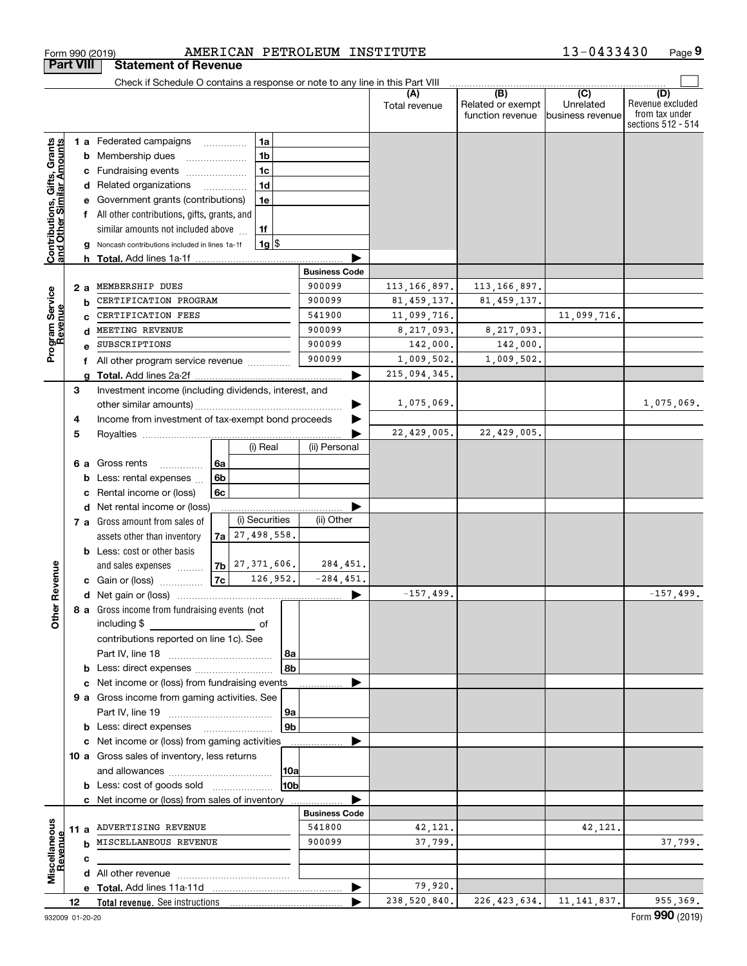|                                                                  |    |    | Form 990 (2019)                                                               |    |                                            |                | AMERICAN PETROLEUM INSTITUTE |                      |                                              | 13-0433430                                      | Page 9                                                          |
|------------------------------------------------------------------|----|----|-------------------------------------------------------------------------------|----|--------------------------------------------|----------------|------------------------------|----------------------|----------------------------------------------|-------------------------------------------------|-----------------------------------------------------------------|
| <b>Part VIII</b>                                                 |    |    | <b>Statement of Revenue</b>                                                   |    |                                            |                |                              |                      |                                              |                                                 |                                                                 |
|                                                                  |    |    | Check if Schedule O contains a response or note to any line in this Part VIII |    |                                            |                |                              |                      |                                              |                                                 |                                                                 |
|                                                                  |    |    |                                                                               |    |                                            |                |                              | (A)<br>Total revenue | (B)<br>Related or exempt<br>function revenue | $\overline{C}$<br>Unrelated<br>business revenue | (D)<br>Revenue excluded<br>from tax under<br>sections 512 - 514 |
|                                                                  |    |    | 1 a Federated campaigns                                                       |    | 1a                                         |                |                              |                      |                                              |                                                 |                                                                 |
| <b>Contributions, Gifts, Grants</b><br>and Other Similar Amounts |    |    | <b>b</b> Membership dues                                                      |    | 1 <sub>b</sub>                             |                |                              |                      |                                              |                                                 |                                                                 |
|                                                                  |    |    | c Fundraising events                                                          |    | 1 <sub>c</sub>                             |                |                              |                      |                                              |                                                 |                                                                 |
|                                                                  |    |    | d Related organizations                                                       |    | 1 <sub>d</sub><br>$\overline{\phantom{a}}$ |                |                              |                      |                                              |                                                 |                                                                 |
|                                                                  |    |    | e Government grants (contributions)                                           |    | 1e                                         |                |                              |                      |                                              |                                                 |                                                                 |
|                                                                  |    |    | f All other contributions, gifts, grants, and                                 |    |                                            |                |                              |                      |                                              |                                                 |                                                                 |
|                                                                  |    |    | similar amounts not included above                                            |    | 1f                                         |                |                              |                      |                                              |                                                 |                                                                 |
|                                                                  |    |    | g Noncash contributions included in lines 1a-1f                               |    | $1g$ \$                                    |                |                              |                      |                                              |                                                 |                                                                 |
|                                                                  |    |    | <b>h</b> Total. Add lines 1a-1f                                               |    |                                            |                |                              |                      |                                              |                                                 |                                                                 |
|                                                                  |    |    |                                                                               |    |                                            |                | <b>Business Code</b>         |                      |                                              |                                                 |                                                                 |
|                                                                  |    | 2a | MEMBERSHIP DUES                                                               |    |                                            |                | 900099                       | 113, 166, 897.       | 113, 166, 897.                               |                                                 |                                                                 |
| Program Service<br>Revenue                                       |    |    | CERTIFICATION PROGRAM                                                         |    |                                            |                | 900099                       | 81, 459, 137.        | 81, 459, 137.                                |                                                 |                                                                 |
|                                                                  |    |    | CERTIFICATION FEES                                                            |    |                                            |                | 541900                       | 11,099,716.          |                                              | 11,099,716.                                     |                                                                 |
|                                                                  |    |    | MEETING REVENUE                                                               |    |                                            |                | 900099                       | 8,217,093.           | 8,217,093.                                   |                                                 |                                                                 |
|                                                                  |    |    | SUBSCRIPTIONS                                                                 |    |                                            |                | 900099                       | 142,000.             | 142,000.                                     |                                                 |                                                                 |
|                                                                  |    |    | f All other program service revenue                                           |    |                                            |                | 900099                       | 1,009,502.           | 1,009,502.                                   |                                                 |                                                                 |
|                                                                  |    |    | g Total. Add lines 2a-2f.                                                     |    |                                            |                |                              | 215,094,345.         |                                              |                                                 |                                                                 |
|                                                                  | З  |    | Investment income (including dividends, interest, and                         |    |                                            |                |                              |                      |                                              |                                                 |                                                                 |
|                                                                  |    |    | other similar amounts)                                                        |    |                                            |                |                              | 1,075,069.           |                                              |                                                 | 1,075,069.                                                      |
|                                                                  | 4  |    | Income from investment of tax-exempt bond proceeds                            |    |                                            |                |                              |                      |                                              |                                                 |                                                                 |
|                                                                  | 5  |    |                                                                               |    |                                            |                |                              | 22,429,005.          | 22,429,005.                                  |                                                 |                                                                 |
|                                                                  |    |    |                                                                               |    | (i) Real                                   |                | (ii) Personal                |                      |                                              |                                                 |                                                                 |
|                                                                  |    |    | 6 a Gross rents<br>.                                                          | 6a |                                            |                |                              |                      |                                              |                                                 |                                                                 |
|                                                                  |    |    | <b>b</b> Less: rental expenses                                                | 6b |                                            |                |                              |                      |                                              |                                                 |                                                                 |
|                                                                  |    |    | Rental income or (loss)                                                       | 6c |                                            |                |                              |                      |                                              |                                                 |                                                                 |
|                                                                  |    |    | d Net rental income or (loss)                                                 |    |                                            |                |                              |                      |                                              |                                                 |                                                                 |
|                                                                  |    |    | 7 a Gross amount from sales of                                                |    | (i) Securities                             |                | (ii) Other                   |                      |                                              |                                                 |                                                                 |
|                                                                  |    |    | assets other than inventory                                                   |    | $7a$ 27, 498, 558.                         |                |                              |                      |                                              |                                                 |                                                                 |
|                                                                  |    |    | <b>b</b> Less: cost or other basis                                            |    |                                            |                |                              |                      |                                              |                                                 |                                                                 |
|                                                                  |    |    | and sales expenses                                                            |    | $7b$ $27,371,606$ .                        |                | 284,451.                     |                      |                                              |                                                 |                                                                 |
| evenue                                                           |    |    | c Gain or (loss)                                                              | 7c | 126,952.                                   |                | $-284, 451.$                 |                      |                                              |                                                 |                                                                 |
| Œ.                                                               |    |    |                                                                               |    |                                            |                |                              | $-157,499.$          |                                              |                                                 | $-157, 499.$                                                    |
|                                                                  |    |    | 8 a Gross income from fundraising events (not                                 |    |                                            |                |                              |                      |                                              |                                                 |                                                                 |
| Other                                                            |    |    | including \$                                                                  |    | of                                         |                |                              |                      |                                              |                                                 |                                                                 |
|                                                                  |    |    | contributions reported on line 1c). See                                       |    |                                            |                |                              |                      |                                              |                                                 |                                                                 |
|                                                                  |    |    |                                                                               |    |                                            | 8a             |                              |                      |                                              |                                                 |                                                                 |
|                                                                  |    |    | <b>b</b> Less: direct expenses <i></i>                                        |    |                                            | 8b             |                              |                      |                                              |                                                 |                                                                 |
|                                                                  |    |    | c Net income or (loss) from fundraising events                                |    |                                            |                |                              |                      |                                              |                                                 |                                                                 |
|                                                                  |    |    | 9 a Gross income from gaming activities. See                                  |    |                                            |                |                              |                      |                                              |                                                 |                                                                 |
|                                                                  |    |    |                                                                               |    |                                            | 9a             |                              |                      |                                              |                                                 |                                                                 |
|                                                                  |    |    |                                                                               |    |                                            | 9 <sub>b</sub> |                              |                      |                                              |                                                 |                                                                 |
|                                                                  |    |    | c Net income or (loss) from gaming activities                                 |    |                                            |                |                              |                      |                                              |                                                 |                                                                 |
|                                                                  |    |    | 10 a Gross sales of inventory, less returns                                   |    |                                            |                |                              |                      |                                              |                                                 |                                                                 |
|                                                                  |    |    |                                                                               |    |                                            | 10a            |                              |                      |                                              |                                                 |                                                                 |
|                                                                  |    |    | <b>b</b> Less: cost of goods sold                                             |    |                                            | 10b            |                              |                      |                                              |                                                 |                                                                 |
|                                                                  |    |    | c Net income or (loss) from sales of inventory                                |    |                                            |                |                              |                      |                                              |                                                 |                                                                 |
|                                                                  |    |    |                                                                               |    |                                            |                | <b>Business Code</b>         |                      |                                              |                                                 |                                                                 |
|                                                                  |    |    | 11 a ADVERTISING REVENUE                                                      |    |                                            |                | 541800                       | 42,121.              |                                              | 42,121.                                         |                                                                 |
| Revenue                                                          |    |    | MISCELLANEOUS REVENUE                                                         |    |                                            |                | 900099                       | 37,799.              |                                              |                                                 | 37,799.                                                         |
|                                                                  |    | с  |                                                                               |    |                                            |                |                              |                      |                                              |                                                 |                                                                 |
| Miscellaneous                                                    |    |    |                                                                               |    |                                            |                |                              |                      |                                              |                                                 |                                                                 |
|                                                                  |    |    |                                                                               |    |                                            |                | ▶                            | 79,920.              |                                              |                                                 |                                                                 |
|                                                                  | 12 |    |                                                                               |    |                                            |                |                              | 238,520,840.         |                                              | $226, 423, 634. \vert 11, 141, 837. \vert$      | 955,369.                                                        |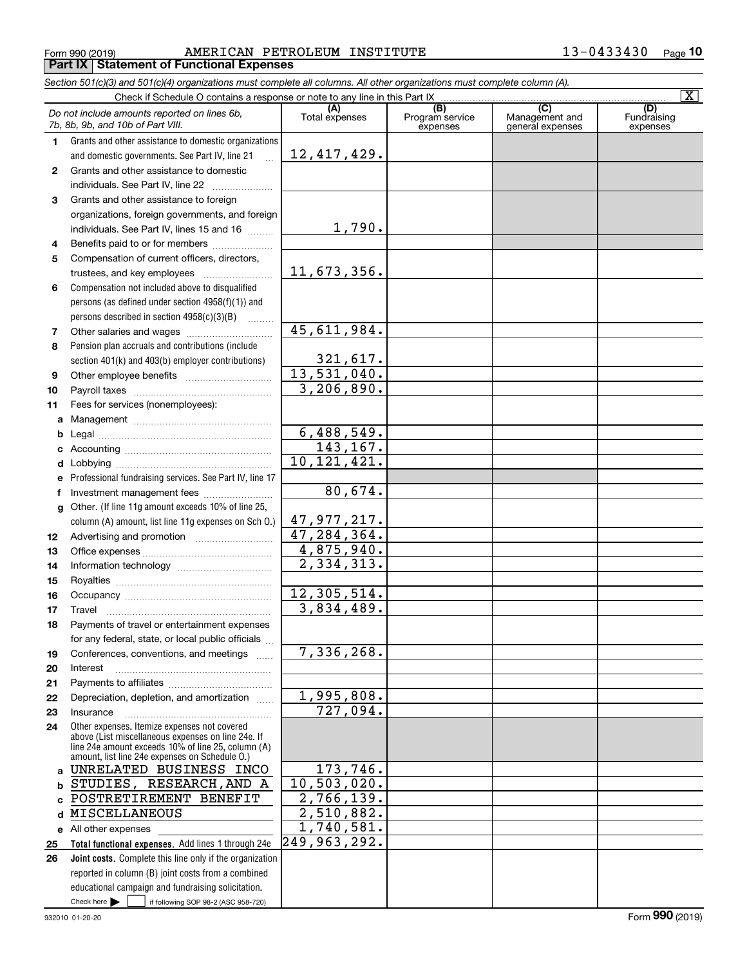#### Form 990 (2019) Page **Part IX Statement of Functional Expenses** AMERICAN PETROLEUM INSTITUTE 13-0433430

*Section 501(c)(3) and 501(c)(4) organizations must complete all columns. All other organizations must complete column (A).*

|              |                                                                                                          |                                |                                                 |                                                      | $\overline{\mathbf{x}}$        |
|--------------|----------------------------------------------------------------------------------------------------------|--------------------------------|-------------------------------------------------|------------------------------------------------------|--------------------------------|
|              | Do not include amounts reported on lines 6b,<br>7b, 8b, 9b, and 10b of Part VIII.                        | (A)<br>Total expenses          | $\overline{(B)}$<br>Program service<br>expenses | $\overline{C}$<br>Management and<br>general expenses | (D)<br>Fundraising<br>expenses |
| 1.           | Grants and other assistance to domestic organizations                                                    |                                |                                                 |                                                      |                                |
|              | and domestic governments. See Part IV, line 21                                                           | 12, 417, 429.                  |                                                 |                                                      |                                |
| $\mathbf{2}$ | Grants and other assistance to domestic                                                                  |                                |                                                 |                                                      |                                |
|              | individuals. See Part IV, line 22                                                                        |                                |                                                 |                                                      |                                |
| 3            | Grants and other assistance to foreign                                                                   |                                |                                                 |                                                      |                                |
|              | organizations, foreign governments, and foreign                                                          |                                |                                                 |                                                      |                                |
|              | individuals. See Part IV, lines 15 and 16                                                                | 1,790.                         |                                                 |                                                      |                                |
| 4            | Benefits paid to or for members                                                                          |                                |                                                 |                                                      |                                |
| 5            | Compensation of current officers, directors,                                                             |                                |                                                 |                                                      |                                |
|              | trustees, and key employees                                                                              | 11,673,356.                    |                                                 |                                                      |                                |
| 6            | Compensation not included above to disqualified                                                          |                                |                                                 |                                                      |                                |
|              | persons (as defined under section 4958(f)(1)) and                                                        |                                |                                                 |                                                      |                                |
|              | persons described in section 4958(c)(3)(B)                                                               |                                |                                                 |                                                      |                                |
| 7            |                                                                                                          | $\overline{45,611,984}$ .      |                                                 |                                                      |                                |
| 8            | Pension plan accruals and contributions (include                                                         |                                |                                                 |                                                      |                                |
|              | section 401(k) and 403(b) employer contributions)                                                        | 321,617.                       |                                                 |                                                      |                                |
| 9            |                                                                                                          | 13,531,040.                    |                                                 |                                                      |                                |
| 10           |                                                                                                          | 3,206,890.                     |                                                 |                                                      |                                |
| 11           | Fees for services (nonemployees):                                                                        |                                |                                                 |                                                      |                                |
| a            |                                                                                                          |                                |                                                 |                                                      |                                |
| b            |                                                                                                          | 6,488,549.                     |                                                 |                                                      |                                |
| c            |                                                                                                          | 143, 167.                      |                                                 |                                                      |                                |
| d            |                                                                                                          | 10, 121, 421.                  |                                                 |                                                      |                                |
| е            | Professional fundraising services. See Part IV, line 17                                                  |                                |                                                 |                                                      |                                |
| f            | Investment management fees                                                                               | 80,674.                        |                                                 |                                                      |                                |
| g            | Other. (If line 11g amount exceeds 10% of line 25,                                                       |                                |                                                 |                                                      |                                |
|              | column (A) amount, list line 11g expenses on Sch O.)                                                     | 47, 977, 217.<br>47, 284, 364. |                                                 |                                                      |                                |
| 12           |                                                                                                          | 4,875,940.                     |                                                 |                                                      |                                |
| 13           |                                                                                                          | 2,334,313.                     |                                                 |                                                      |                                |
| 14           |                                                                                                          |                                |                                                 |                                                      |                                |
| 15           |                                                                                                          | 12,305,514.                    |                                                 |                                                      |                                |
| 16<br>17     | Travel                                                                                                   | 3,834,489.                     |                                                 |                                                      |                                |
| 18           | Payments of travel or entertainment expenses                                                             |                                |                                                 |                                                      |                                |
|              | for any federal, state, or local public officials                                                        |                                |                                                 |                                                      |                                |
| 19           | Conferences, conventions, and meetings                                                                   | 7,336,268.                     |                                                 |                                                      |                                |
| 20           | Interest                                                                                                 |                                |                                                 |                                                      |                                |
| 21           |                                                                                                          |                                |                                                 |                                                      |                                |
| 22           | Depreciation, depletion, and amortization                                                                | $\overline{1,995,808}$ .       |                                                 |                                                      |                                |
| 23           | Insurance                                                                                                | 727,094.                       |                                                 |                                                      |                                |
| 24           | Other expenses. Itemize expenses not covered                                                             |                                |                                                 |                                                      |                                |
|              | above (List miscellaneous expenses on line 24e. If<br>line 24e amount exceeds 10% of line 25, column (A) |                                |                                                 |                                                      |                                |
|              | amount. list line 24e expenses on Schedule O.)                                                           |                                |                                                 |                                                      |                                |
| a            | UNRELATED BUSINESS INCO                                                                                  | 173,746.                       |                                                 |                                                      |                                |
| b            | STUDIES, RESEARCH, AND A                                                                                 | 10,503,020.                    |                                                 |                                                      |                                |
| C            | POSTRETIREMENT BENEFIT                                                                                   | 2,766,139.                     |                                                 |                                                      |                                |
| d            | MISCELLANEOUS                                                                                            | $\overline{2,510},882.$        |                                                 |                                                      |                                |
| е            | All other expenses                                                                                       | 1,740,581.                     |                                                 |                                                      |                                |
| 25           | Total functional expenses. Add lines 1 through 24e                                                       | 249, 963, 292.                 |                                                 |                                                      |                                |
| 26           | <b>Joint costs.</b> Complete this line only if the organization                                          |                                |                                                 |                                                      |                                |
|              | reported in column (B) joint costs from a combined                                                       |                                |                                                 |                                                      |                                |
|              | educational campaign and fundraising solicitation.                                                       |                                |                                                 |                                                      |                                |
|              | Check here $\blacktriangleright$<br>if following SOP 98-2 (ASC 958-720)                                  |                                |                                                 |                                                      |                                |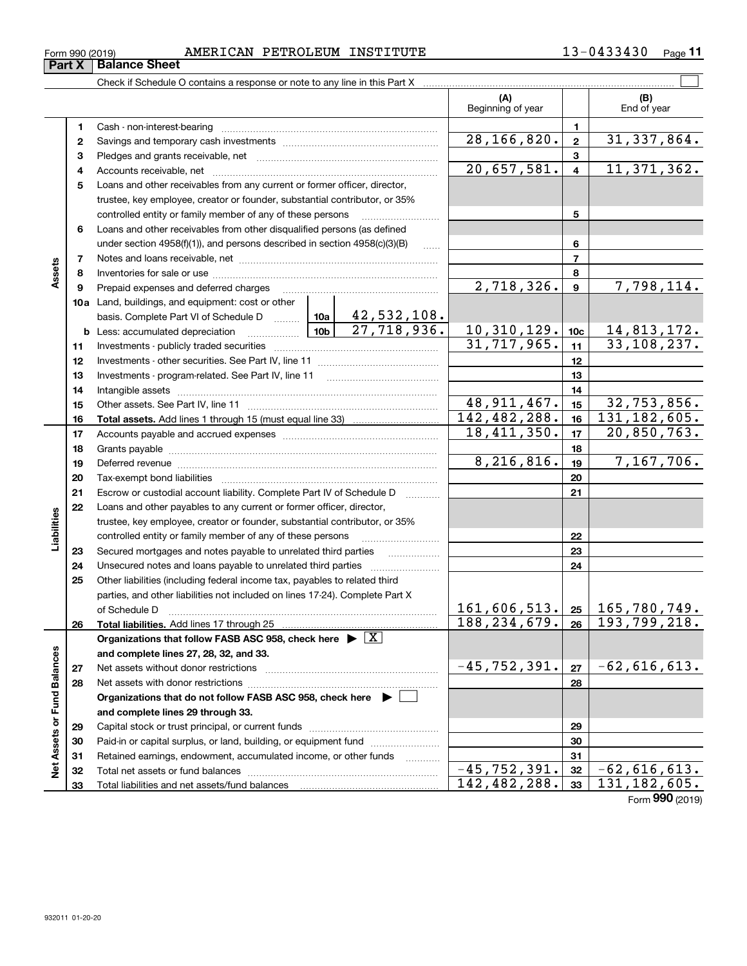| 0433430<br>AMERICAN PETROLEUM INSTITUTE<br>Page 1 |  |
|---------------------------------------------------|--|
|---------------------------------------------------|--|

| Form 990 (2019) |                 | AMERICAN PETROLEUM INSTITUTE | 3-0433430 | Page |
|-----------------|-----------------|------------------------------|-----------|------|
| Part X          | ∣ Balance Sheet |                              |           |      |

|                             |    | Check if Schedule O contains a response or note to any line in this Part X                                                                                                                                                     |                             |                         |                              |
|-----------------------------|----|--------------------------------------------------------------------------------------------------------------------------------------------------------------------------------------------------------------------------------|-----------------------------|-------------------------|------------------------------|
|                             |    |                                                                                                                                                                                                                                | (A)<br>Beginning of year    |                         | (B)<br>End of year           |
|                             | 1. |                                                                                                                                                                                                                                |                             | 1.                      |                              |
|                             | 2  |                                                                                                                                                                                                                                | 28, 166, 820.               | $\mathbf{2}$            | 31, 337, 864.                |
|                             | з  |                                                                                                                                                                                                                                |                             | 3                       |                              |
|                             | 4  |                                                                                                                                                                                                                                | $\overline{20,657,581}$ .   | $\overline{\mathbf{4}}$ | 11, 371, 362.                |
|                             | 5  | Loans and other receivables from any current or former officer, director,                                                                                                                                                      |                             |                         |                              |
|                             |    | trustee, key employee, creator or founder, substantial contributor, or 35%                                                                                                                                                     |                             |                         |                              |
|                             |    | controlled entity or family member of any of these persons                                                                                                                                                                     |                             | 5                       |                              |
|                             | 6  | Loans and other receivables from other disqualified persons (as defined                                                                                                                                                        |                             |                         |                              |
|                             |    | under section 4958(f)(1)), and persons described in section 4958(c)(3)(B)<br>$\sim$                                                                                                                                            |                             | 6                       |                              |
|                             | 7  |                                                                                                                                                                                                                                |                             | $\overline{7}$          |                              |
| Assets                      | 8  |                                                                                                                                                                                                                                |                             | 8                       |                              |
|                             | 9  | Prepaid expenses and deferred charges [11] matter continuum matter and the Prepaid expenses and deferred charges                                                                                                               | 2,718,326.                  | 9                       | 7,798,114.                   |
|                             |    | 10a Land, buildings, and equipment: cost or other                                                                                                                                                                              |                             |                         |                              |
|                             |    | 42,532,108.<br>basis. Complete Part VI of Schedule D  10a                                                                                                                                                                      |                             |                         |                              |
|                             |    | $\overline{27,718,936}$ .                                                                                                                                                                                                      | 10,310,129.                 | 10c                     | 14,813,172.                  |
|                             | 11 |                                                                                                                                                                                                                                | 31,717,965.                 | 11                      | 33, 108, 237.                |
|                             | 12 |                                                                                                                                                                                                                                |                             | 12                      |                              |
|                             | 13 |                                                                                                                                                                                                                                |                             | 13                      |                              |
|                             | 14 |                                                                                                                                                                                                                                |                             | 14                      |                              |
|                             | 15 |                                                                                                                                                                                                                                | $\overline{48,911,467}$ .   | 15                      | 32,753,856.                  |
|                             | 16 |                                                                                                                                                                                                                                | 142,482,288.                | 16                      | $\overline{131}$ , 182, 605. |
|                             | 17 |                                                                                                                                                                                                                                | $\overline{18}$ , 411, 350. | 17                      | $\overline{20}$ , 850, 763.  |
|                             | 18 |                                                                                                                                                                                                                                |                             | 18                      |                              |
|                             | 19 | Deferred revenue manual contracts and contracts are all the contracts and contracts are contracted and contracts are contracted and contract are contracted and contract are contracted and contract are contracted and contra | 8,216,816.                  | 19                      | 7,167,706.                   |
|                             | 20 |                                                                                                                                                                                                                                |                             | 20                      |                              |
|                             | 21 | Escrow or custodial account liability. Complete Part IV of Schedule D                                                                                                                                                          |                             | 21                      |                              |
|                             | 22 | Loans and other payables to any current or former officer, director,                                                                                                                                                           |                             |                         |                              |
| Liabilities                 |    | trustee, key employee, creator or founder, substantial contributor, or 35%                                                                                                                                                     |                             |                         |                              |
|                             |    | controlled entity or family member of any of these persons                                                                                                                                                                     |                             | 22                      |                              |
|                             | 23 | Secured mortgages and notes payable to unrelated third parties                                                                                                                                                                 |                             | 23                      |                              |
|                             | 24 |                                                                                                                                                                                                                                |                             | 24                      |                              |
|                             | 25 | Other liabilities (including federal income tax, payables to related third                                                                                                                                                     |                             |                         |                              |
|                             |    | parties, and other liabilities not included on lines 17-24). Complete Part X                                                                                                                                                   |                             |                         |                              |
|                             |    | of Schedule D                                                                                                                                                                                                                  | 161, 606, 513.              | 25                      | 165,780,749.                 |
|                             | 26 | Total liabilities. Add lines 17 through 25                                                                                                                                                                                     | 188, 234, 679.              | 26                      | 193,799,218.                 |
|                             |    | Organizations that follow FASB ASC 958, check here $\triangleright \lfloor X \rfloor$                                                                                                                                          |                             |                         |                              |
|                             |    | and complete lines 27, 28, 32, and 33.                                                                                                                                                                                         |                             |                         |                              |
|                             | 27 | Net assets without donor restrictions                                                                                                                                                                                          | $-45, 752, 391.$            | 27                      | $-62,616,613.$               |
|                             | 28 |                                                                                                                                                                                                                                |                             | 28                      |                              |
|                             |    | Organizations that do not follow FASB ASC 958, check here ▶ □                                                                                                                                                                  |                             |                         |                              |
|                             |    | and complete lines 29 through 33.                                                                                                                                                                                              |                             |                         |                              |
|                             | 29 |                                                                                                                                                                                                                                |                             | 29                      |                              |
| Net Assets or Fund Balances | 30 | Paid-in or capital surplus, or land, building, or equipment fund                                                                                                                                                               |                             | 30                      |                              |
|                             | 31 | Retained earnings, endowment, accumulated income, or other funds<br>.                                                                                                                                                          |                             | 31                      |                              |
|                             | 32 |                                                                                                                                                                                                                                | $-45, 752, 391.$            | 32                      | $-62,616,613.$               |
|                             | 33 |                                                                                                                                                                                                                                | 142,482,288.                | 33                      | $\overline{131}$ , 182, 605. |

Form (2019) **990**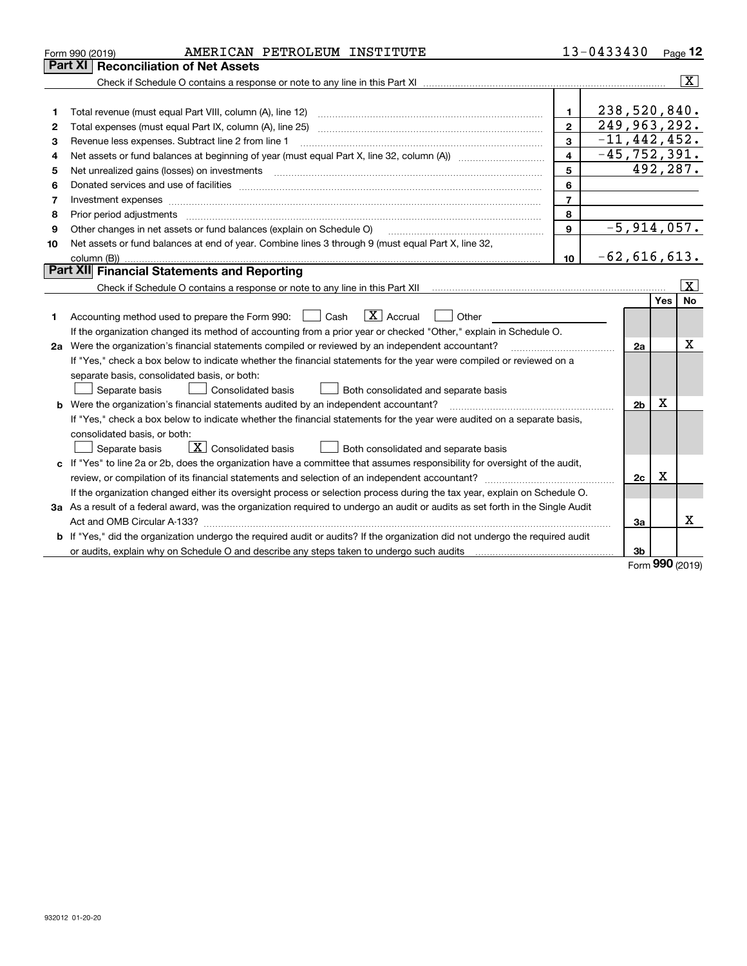|    | AMERICAN PETROLEUM INSTITUTE<br>Form 990 (2019)                                                                                 |                | 13-0433430       |          | Page 12                  |
|----|---------------------------------------------------------------------------------------------------------------------------------|----------------|------------------|----------|--------------------------|
|    | <b>Reconciliation of Net Assets</b><br><b>Part XI</b>                                                                           |                |                  |          |                          |
|    |                                                                                                                                 |                |                  |          | $\lceil \text{X} \rceil$ |
|    |                                                                                                                                 |                |                  |          |                          |
| 1  | Total revenue (must equal Part VIII, column (A), line 12)                                                                       | $\mathbf{1}$   | 238,520,840.     |          |                          |
| 2  | Total expenses (must equal Part IX, column (A), line 25)                                                                        | $\mathbf{2}$   | 249,963,292.     |          |                          |
| з  | Revenue less expenses. Subtract line 2 from line 1                                                                              | 3              | $-11, 442, 452.$ |          |                          |
| 4  |                                                                                                                                 | 4              | $-45, 752, 391.$ |          |                          |
| 5  | Net unrealized gains (losses) on investments                                                                                    | 5              |                  | 492,287. |                          |
| 6  |                                                                                                                                 | 6              |                  |          |                          |
| 7  | Investment expenses www.communication.com/www.communication.com/www.communication.com/www.com                                   | $\overline{7}$ |                  |          |                          |
| 8  | Prior period adjustments                                                                                                        | 8              |                  |          |                          |
| 9  | Other changes in net assets or fund balances (explain on Schedule O)                                                            | 9              | $-5,914,057.$    |          |                          |
| 10 | Net assets or fund balances at end of year. Combine lines 3 through 9 (must equal Part X, line 32,                              |                |                  |          |                          |
|    |                                                                                                                                 | 10             | $-62,616,613.$   |          |                          |
|    | Part XII Financial Statements and Reporting                                                                                     |                |                  |          |                          |
|    |                                                                                                                                 |                |                  |          | $\overline{\mathbf{x}}$  |
|    |                                                                                                                                 |                |                  | Yes      | No                       |
| 1  | $\boxed{\mathbf{X}}$ Accrual<br>Accounting method used to prepare the Form 990: <u>June</u> Cash<br>Other                       |                |                  |          |                          |
|    | If the organization changed its method of accounting from a prior year or checked "Other," explain in Schedule O.               |                |                  |          |                          |
|    | 2a Were the organization's financial statements compiled or reviewed by an independent accountant?                              |                | 2a               |          | Χ                        |
|    | If "Yes," check a box below to indicate whether the financial statements for the year were compiled or reviewed on a            |                |                  |          |                          |
|    | separate basis, consolidated basis, or both:                                                                                    |                |                  |          |                          |
|    | Separate basis<br>Consolidated basis<br>Both consolidated and separate basis                                                    |                |                  |          |                          |
|    | <b>b</b> Were the organization's financial statements audited by an independent accountant?                                     |                | 2 <sub>b</sub>   | Χ        |                          |
|    | If "Yes," check a box below to indicate whether the financial statements for the year were audited on a separate basis,         |                |                  |          |                          |
|    | consolidated basis, or both:                                                                                                    |                |                  |          |                          |
|    | $\boxed{\textbf{X}}$ Consolidated basis<br>Separate basis<br>Both consolidated and separate basis                               |                |                  |          |                          |
|    | c If "Yes" to line 2a or 2b, does the organization have a committee that assumes responsibility for oversight of the audit,     |                |                  |          |                          |
|    |                                                                                                                                 |                | 2c               | х        |                          |
|    | If the organization changed either its oversight process or selection process during the tax year, explain on Schedule O.       |                |                  |          |                          |
|    | 3a As a result of a federal award, was the organization required to undergo an audit or audits as set forth in the Single Audit |                |                  |          |                          |
|    |                                                                                                                                 |                | За               |          | x                        |
|    | b If "Yes," did the organization undergo the required audit or audits? If the organization did not undergo the required audit   |                |                  |          |                          |
|    | or audits, explain why on Schedule O and describe any steps taken to undergo such audits                                        |                | 3b               |          |                          |

Form (2019) **990**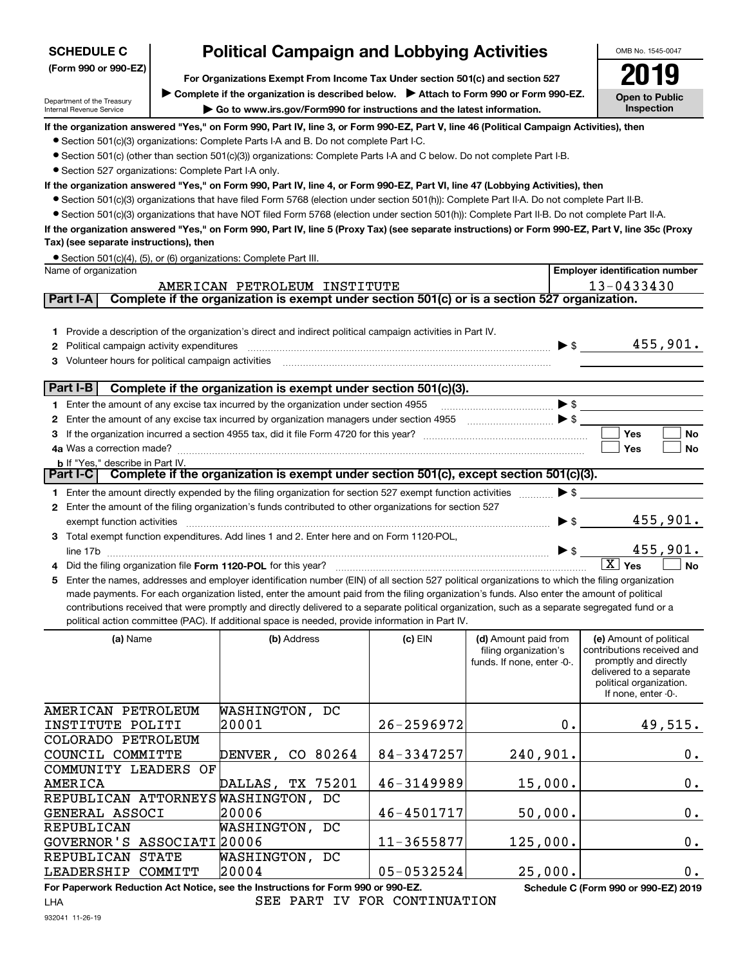| <b>SCHEDULE C</b>                                                                                                      | <b>Political Campaign and Lobbying Activities</b>                                                                                                                                                                                                                                                                                                                                                                                                                                                                                                                                                                                                                                                                                                                                                                                                                                                                                                                                                                                                           |            |                                                                             | OMB No. 1545-0047                                                                                                                                           |
|------------------------------------------------------------------------------------------------------------------------|-------------------------------------------------------------------------------------------------------------------------------------------------------------------------------------------------------------------------------------------------------------------------------------------------------------------------------------------------------------------------------------------------------------------------------------------------------------------------------------------------------------------------------------------------------------------------------------------------------------------------------------------------------------------------------------------------------------------------------------------------------------------------------------------------------------------------------------------------------------------------------------------------------------------------------------------------------------------------------------------------------------------------------------------------------------|------------|-----------------------------------------------------------------------------|-------------------------------------------------------------------------------------------------------------------------------------------------------------|
| (Form 990 or 990-EZ)<br>Department of the Treasury<br>Internal Revenue Service                                         | For Organizations Exempt From Income Tax Under section 501(c) and section 527<br>▶ Complete if the organization is described below. ▶ Attach to Form 990 or Form 990-EZ.<br>Go to www.irs.gov/Form990 for instructions and the latest information.                                                                                                                                                                                                                                                                                                                                                                                                                                                                                                                                                                                                                                                                                                                                                                                                          |            |                                                                             | <b>Open to Public</b><br>Inspection                                                                                                                         |
| • Section 527 organizations: Complete Part I-A only.<br>Tax) (see separate instructions), then<br>Name of organization | If the organization answered "Yes," on Form 990, Part IV, line 3, or Form 990-EZ, Part V, line 46 (Political Campaign Activities), then<br>• Section 501(c)(3) organizations: Complete Parts I-A and B. Do not complete Part I-C.<br>● Section 501(c) (other than section 501(c)(3)) organizations: Complete Parts I-A and C below. Do not complete Part I-B.<br>If the organization answered "Yes," on Form 990, Part IV, line 4, or Form 990-EZ, Part VI, line 47 (Lobbying Activities), then<br>• Section 501(c)(3) organizations that have filed Form 5768 (election under section 501(h)): Complete Part II-A. Do not complete Part II-B.<br>• Section 501(c)(3) organizations that have NOT filed Form 5768 (election under section 501(h)): Complete Part II-B. Do not complete Part II-A.<br>If the organization answered "Yes," on Form 990, Part IV, line 5 (Proxy Tax) (see separate instructions) or Form 990-EZ, Part V, line 35c (Proxy<br>• Section 501(c)(4), (5), or (6) organizations: Complete Part III.<br>AMERICAN PETROLEUM INSTITUTE |            |                                                                             | <b>Employer identification number</b><br>13-0433430                                                                                                         |
| Part I-A<br>Political campaign activity expenditures<br>2<br>Volunteer hours for political campaign activities         | Complete if the organization is exempt under section 501(c) or is a section 527 organization.<br>Provide a description of the organization's direct and indirect political campaign activities in Part IV.                                                                                                                                                                                                                                                                                                                                                                                                                                                                                                                                                                                                                                                                                                                                                                                                                                                  |            |                                                                             | 455,901.<br>$\blacktriangleright$ \$                                                                                                                        |
| Part I-B                                                                                                               | Complete if the organization is exempt under section 501(c)(3).<br>Enter the amount of any excise tax incurred by the organization under section 4955<br>2 Enter the amount of any excise tax incurred by organization managers under section 4955<br>3 If the organization incurred a section 4955 tax, did it file Form 4720 for this year?                                                                                                                                                                                                                                                                                                                                                                                                                                                                                                                                                                                                                                                                                                               |            | $\blacktriangleright$ \$                                                    | Yes<br>No<br>Yes<br>No                                                                                                                                      |
| <b>b</b> If "Yes," describe in Part IV.<br>Part I-C<br>exempt function activities<br>line 17b<br>5.                    | Complete if the organization is exempt under section 501(c), except section 501(c)(3).<br>1 Enter the amount directly expended by the filing organization for section 527 exempt function activities<br>2 Enter the amount of the filing organization's funds contributed to other organizations for section 527<br>3 Total exempt function expenditures. Add lines 1 and 2. Enter here and on Form 1120-POL,<br>Did the filing organization file Form 1120-POL for this year?<br>Enter the names, addresses and employer identification number (EIN) of all section 527 political organizations to which the filing organization<br>made payments. For each organization listed, enter the amount paid from the filing organization's funds. Also enter the amount of political<br>contributions received that were promptly and directly delivered to a separate political organization, such as a separate segregated fund or a<br>political action committee (PAC). If additional space is needed, provide information in Part IV.                      |            | $\blacktriangleright$ \$<br>$\blacktriangleright$ \$<br>► \$                | 455,901.<br>455,901.<br>$\boxed{\text{X}}$ Yes<br><b>No</b>                                                                                                 |
| (a) Name<br>AMERICAN PETROLEUM                                                                                         | (b) Address<br>WASHINGTON, DC                                                                                                                                                                                                                                                                                                                                                                                                                                                                                                                                                                                                                                                                                                                                                                                                                                                                                                                                                                                                                               | $(c)$ EIN  | (d) Amount paid from<br>filing organization's<br>funds. If none, enter -0-. | (e) Amount of political<br>contributions received and<br>promptly and directly<br>delivered to a separate<br>political organization.<br>If none, enter -0-. |
| INSTITUTE POLITI<br>COLORADO PETROLEUM                                                                                 | 20001                                                                                                                                                                                                                                                                                                                                                                                                                                                                                                                                                                                                                                                                                                                                                                                                                                                                                                                                                                                                                                                       | 26-2596972 | $\mathbf 0$ .                                                               | 49,515.                                                                                                                                                     |

| COLORADO PETROLEUM                  |                  |                |          |       |
|-------------------------------------|------------------|----------------|----------|-------|
| COUNCIL COMMITTE                    | DENVER, CO 80264 | 84-3347257     | 240,901. | 0.    |
| COMMUNITY LEADERS OF                |                  |                |          |       |
| AMERICA                             | DALLAS, TX 75201 | 46-3149989     | 15,000.  | $0$ . |
| REPUBLICAN ATTORNEYS WASHINGTON, DC |                  |                |          |       |
| GENERAL ASSOCI                      | 20006            | $46 - 4501717$ | 50,000.  | 0.    |
| REPUBLICAN                          | WASHINGTON, DC   |                |          |       |
| GOVERNOR'S ASSOCIATI 20006          |                  | $11 - 3655877$ | 125,000. | $0$ . |
| REPUBLICAN STATE                    | WASHINGTON, DC   |                |          |       |
| LEADERSHIP COMMITT                  | 20004            | $05 - 0532524$ | 25,000.  | 0.    |

**For Paperwork Reduction Act Notice, see the Instructions for Form 990 or 990-EZ. Schedule C (Form 990 or 990-EZ) 2019** LHASEE PART IV FOR CONTINUATION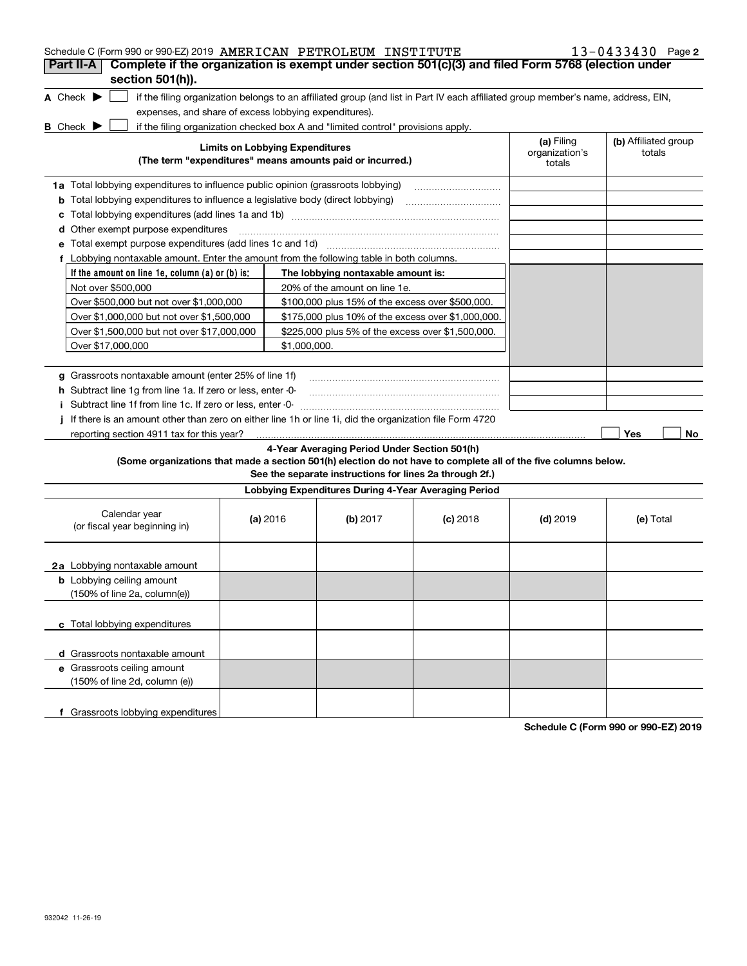| Schedule C (Form 990 or 990-EZ) 2019 AMERICAN PETROLEUM INSTITUTE                                                                   |                                        |                                                                                                                                   |            |                              | $13 - 0433430$ Page 2          |
|-------------------------------------------------------------------------------------------------------------------------------------|----------------------------------------|-----------------------------------------------------------------------------------------------------------------------------------|------------|------------------------------|--------------------------------|
| Complete if the organization is exempt under section 501(c)(3) and filed Form 5768 (election under<br>Part II-A<br>section 501(h)). |                                        |                                                                                                                                   |            |                              |                                |
| A Check $\blacktriangleright$                                                                                                       |                                        | if the filing organization belongs to an affiliated group (and list in Part IV each affiliated group member's name, address, EIN, |            |                              |                                |
| expenses, and share of excess lobbying expenditures).                                                                               |                                        |                                                                                                                                   |            |                              |                                |
| <b>B</b> Check $\blacktriangleright$                                                                                                |                                        | if the filing organization checked box A and "limited control" provisions apply.                                                  |            |                              |                                |
|                                                                                                                                     | <b>Limits on Lobbying Expenditures</b> |                                                                                                                                   |            | (a) Filing<br>organization's | (b) Affiliated group<br>totals |
|                                                                                                                                     |                                        | (The term "expenditures" means amounts paid or incurred.)                                                                         |            | totals                       |                                |
| 1a Total lobbying expenditures to influence public opinion (grassroots lobbying)                                                    |                                        |                                                                                                                                   |            |                              |                                |
| <b>b</b> Total lobbying expenditures to influence a legislative body (direct lobbying)                                              |                                        |                                                                                                                                   |            |                              |                                |
| с                                                                                                                                   |                                        |                                                                                                                                   |            |                              |                                |
| d Other exempt purpose expenditures                                                                                                 |                                        |                                                                                                                                   |            |                              |                                |
|                                                                                                                                     |                                        |                                                                                                                                   |            |                              |                                |
| f Lobbying nontaxable amount. Enter the amount from the following table in both columns.                                            |                                        |                                                                                                                                   |            |                              |                                |
| If the amount on line 1e, column (a) or (b) is:                                                                                     |                                        | The lobbying nontaxable amount is:                                                                                                |            |                              |                                |
| Not over \$500,000                                                                                                                  |                                        | 20% of the amount on line 1e.                                                                                                     |            |                              |                                |
| Over \$500,000 but not over \$1,000,000                                                                                             |                                        | \$100,000 plus 15% of the excess over \$500,000.                                                                                  |            |                              |                                |
| Over \$1,000,000 but not over \$1,500,000                                                                                           |                                        | \$175,000 plus 10% of the excess over \$1,000,000.                                                                                |            |                              |                                |
| Over \$1,500,000 but not over \$17,000,000                                                                                          |                                        |                                                                                                                                   |            |                              |                                |
| Over \$17,000,000                                                                                                                   | \$1,000,000.                           |                                                                                                                                   |            |                              |                                |
|                                                                                                                                     |                                        |                                                                                                                                   |            |                              |                                |
| g Grassroots nontaxable amount (enter 25% of line 1f)                                                                               |                                        |                                                                                                                                   |            |                              |                                |
| <b>h</b> Subtract line 1g from line 1a. If zero or less, enter -0-                                                                  |                                        |                                                                                                                                   |            |                              |                                |
| i Subtract line 1f from line 1c. If zero or less, enter -0-                                                                         |                                        |                                                                                                                                   |            |                              |                                |
| j If there is an amount other than zero on either line 1h or line 1i, did the organization file Form 4720                           |                                        |                                                                                                                                   |            |                              |                                |
| reporting section 4911 tax for this year?                                                                                           |                                        |                                                                                                                                   |            |                              | Yes<br>No                      |
|                                                                                                                                     |                                        | 4-Year Averaging Period Under Section 501(h)                                                                                      |            |                              |                                |
| (Some organizations that made a section 501(h) election do not have to complete all of the five columns below.                      |                                        | See the separate instructions for lines 2a through 2f.)                                                                           |            |                              |                                |
|                                                                                                                                     |                                        | Lobbying Expenditures During 4-Year Averaging Period                                                                              |            |                              |                                |
| Calendar year<br>(or fiscal year beginning in)                                                                                      | (a) 2016                               | (b) $2017$                                                                                                                        | $(c)$ 2018 | $(d)$ 2019                   | (e) Total                      |
| 2a Lobbying nontaxable amount                                                                                                       |                                        |                                                                                                                                   |            |                              |                                |
| <b>b</b> Lobbying ceiling amount<br>(150% of line 2a, column(e))                                                                    |                                        |                                                                                                                                   |            |                              |                                |
| c Total lobbying expenditures                                                                                                       |                                        |                                                                                                                                   |            |                              |                                |
| d Grassroots nontaxable amount                                                                                                      |                                        |                                                                                                                                   |            |                              |                                |
| e Grassroots ceiling amount                                                                                                         |                                        |                                                                                                                                   |            |                              |                                |
| (150% of line 2d, column (e))                                                                                                       |                                        |                                                                                                                                   |            |                              |                                |
| f Grassroots lobbying expenditures                                                                                                  |                                        |                                                                                                                                   |            |                              |                                |

**Schedule C (Form 990 or 990-EZ) 2019**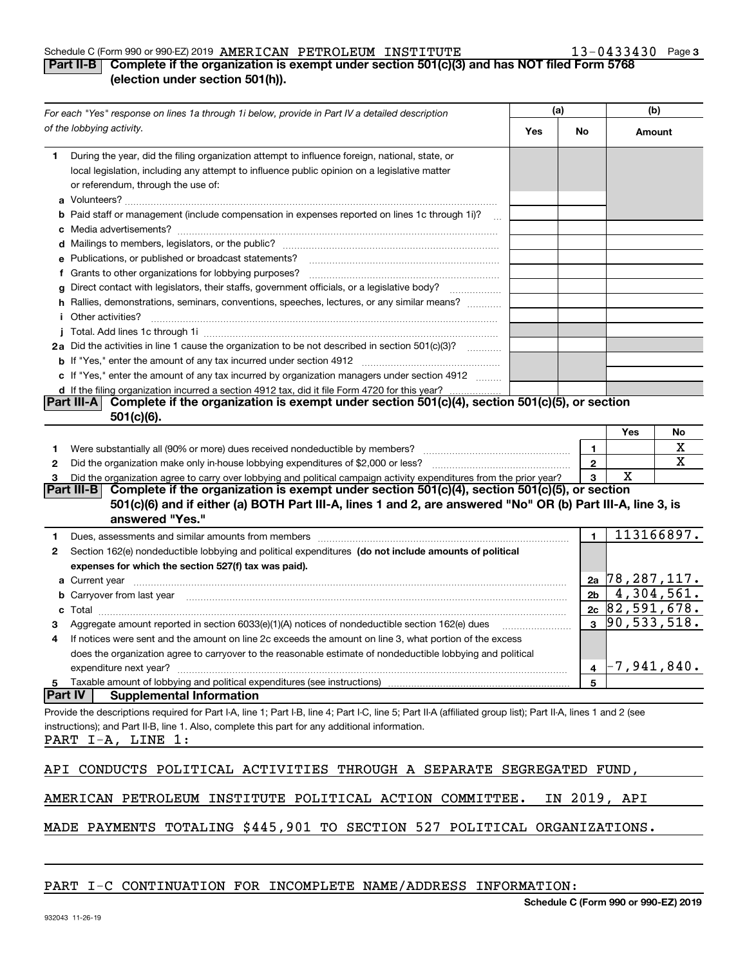#### Schedule C (Form 990 or 990-EZ) 2019 Page AMERICAN PETROLEUM INSTITUTE 13-0433430

## **3**

## **Part II-B Complete if the organization is exempt under section 501(c)(3) and has NOT filed Form 5768 (election under section 501(h)).**

| For each "Yes" response on lines 1a through 1i below, provide in Part IV a detailed description<br>of the lobbying activity.                                                                                                         |  | (a)            |                  | (b)        |  |
|--------------------------------------------------------------------------------------------------------------------------------------------------------------------------------------------------------------------------------------|--|----------------|------------------|------------|--|
|                                                                                                                                                                                                                                      |  | No             | Amount           |            |  |
| During the year, did the filing organization attempt to influence foreign, national, state, or<br>1.                                                                                                                                 |  |                |                  |            |  |
| local legislation, including any attempt to influence public opinion on a legislative matter                                                                                                                                         |  |                |                  |            |  |
| or referendum, through the use of:                                                                                                                                                                                                   |  |                |                  |            |  |
|                                                                                                                                                                                                                                      |  |                |                  |            |  |
| <b>b</b> Paid staff or management (include compensation in expenses reported on lines 1c through 1i)?                                                                                                                                |  |                |                  |            |  |
|                                                                                                                                                                                                                                      |  |                |                  |            |  |
|                                                                                                                                                                                                                                      |  |                |                  |            |  |
| e Publications, or published or broadcast statements?                                                                                                                                                                                |  |                |                  |            |  |
| f Grants to other organizations for lobbying purposes?                                                                                                                                                                               |  |                |                  |            |  |
| g Direct contact with legislators, their staffs, government officials, or a legislative body?                                                                                                                                        |  |                |                  |            |  |
| h Rallies, demonstrations, seminars, conventions, speeches, lectures, or any similar means?                                                                                                                                          |  |                |                  |            |  |
| <i>i</i> Other activities?                                                                                                                                                                                                           |  |                |                  |            |  |
|                                                                                                                                                                                                                                      |  |                |                  |            |  |
| 2a Did the activities in line 1 cause the organization to be not described in section 501(c)(3)?                                                                                                                                     |  |                |                  |            |  |
|                                                                                                                                                                                                                                      |  |                |                  |            |  |
| c If "Yes," enter the amount of any tax incurred by organization managers under section 4912                                                                                                                                         |  |                |                  |            |  |
| d If the filing organization incurred a section 4912 tax, did it file Form 4720 for this year?                                                                                                                                       |  |                |                  |            |  |
| Complete if the organization is exempt under section 501(c)(4), section 501(c)(5), or section<br><b>Part III-A</b> I<br>$501(c)(6)$ .                                                                                                |  |                |                  |            |  |
|                                                                                                                                                                                                                                      |  |                | Yes              | No         |  |
| 1.                                                                                                                                                                                                                                   |  | 1              |                  | х          |  |
| 2                                                                                                                                                                                                                                    |  | $\mathbf{2}$   |                  | X          |  |
| Did the organization agree to carry over lobbying and political campaign activity expenditures from the prior year?<br>з                                                                                                             |  | 3              | х                |            |  |
| Complete if the organization is exempt under section 501(c)(4), section 501(c)(5), or section<br><b>Part III-B</b>                                                                                                                   |  |                |                  |            |  |
| 501(c)(6) and if either (a) BOTH Part III-A, lines 1 and 2, are answered "No" OR (b) Part III-A, line 3, is<br>answered "Yes."                                                                                                       |  |                |                  |            |  |
| Dues, assessments and similar amounts from members [11] matter contracts and similar amounts from members [11] matter contracts and similar amounts from members [11] matter contracts and similar amounts from members [11] m<br>1. |  | 1              |                  | 113166897. |  |
| Section 162(e) nondeductible lobbying and political expenditures (do not include amounts of political<br>2                                                                                                                           |  |                |                  |            |  |
| expenses for which the section 527(f) tax was paid).                                                                                                                                                                                 |  |                |                  |            |  |
|                                                                                                                                                                                                                                      |  |                | 2a 78, 287, 117. |            |  |
| <b>b</b> Carryover from last year manufactured and content to content the content of the content of the content of the content of the content of the content of the content of the content of the content of the content of the con  |  | 2 <sub>b</sub> |                  | 4,304,561. |  |
| с                                                                                                                                                                                                                                    |  |                | $2c$ 82,591,678. |            |  |
| Aggregate amount reported in section 6033(e)(1)(A) notices of nondeductible section 162(e) dues                                                                                                                                      |  | $\mathbf{3}$   | 90, 533, 518.    |            |  |
| If notices were sent and the amount on line 2c exceeds the amount on line 3, what portion of the excess<br>4                                                                                                                         |  |                |                  |            |  |
| does the organization agree to carryover to the reasonable estimate of nondeductible lobbying and political                                                                                                                          |  |                |                  |            |  |
| expenditure next year?                                                                                                                                                                                                               |  | 4              | $-7,941,840$ .   |            |  |
| Taxable amount of lobbying and political expenditures (see instructions)<br>5                                                                                                                                                        |  | 5              |                  |            |  |
| <b>Part IV</b><br><b>Supplemental Information</b>                                                                                                                                                                                    |  |                |                  |            |  |
| Provide the descriptions required for Part I-A, line 1; Part I-B, line 4; Part I-C, line 5; Part II-A (affiliated group list); Part II-A, lines 1 and 2 (see                                                                         |  |                |                  |            |  |
| instructions); and Part II-B, line 1. Also, complete this part for any additional information.<br>PART I-A, LINE 1:                                                                                                                  |  |                |                  |            |  |
| API CONDUCTS POLITICAL ACTIVITIES THROUGH A SEPARATE SEGREGATED                                                                                                                                                                      |  |                | FUND,            |            |  |
| AMERICAN PETROLEUM INSTITUTE POLITICAL ACTION COMMITTEE.                                                                                                                                                                             |  | IN 2019, API   |                  |            |  |
| PAYMENTS TOTALING \$445,901 TO SECTION 527 POLITICAL ORGANIZATIONS.<br>MADE                                                                                                                                                          |  |                |                  |            |  |

## PART I-C CONTINUATION FOR INCOMPLETE NAME/ADDRESS INFORMATION: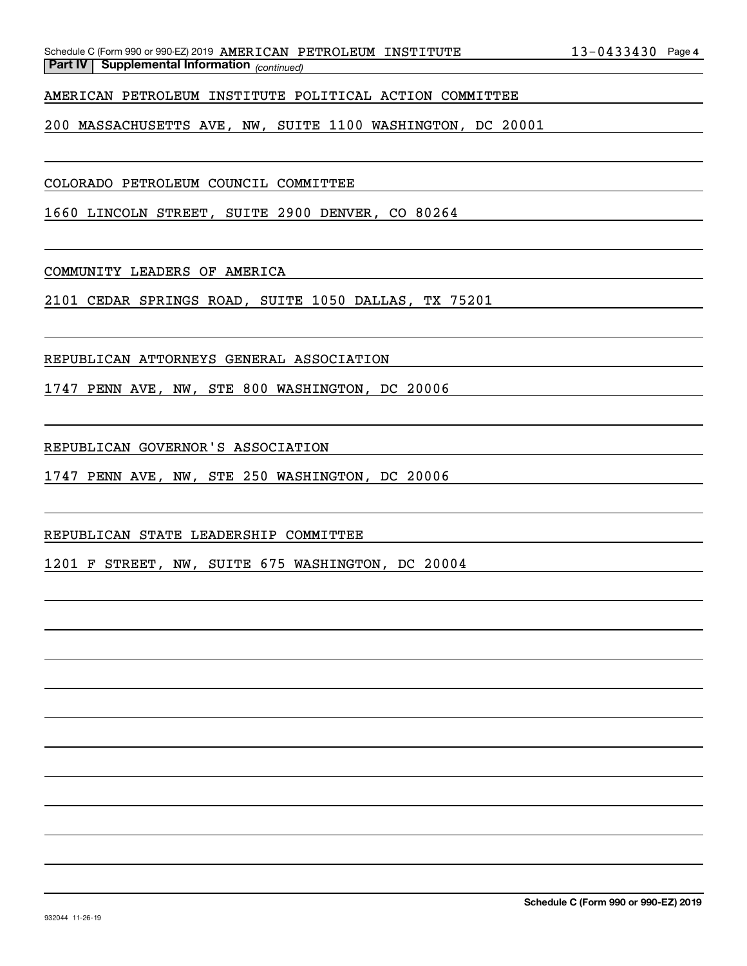AMERICAN PETROLEUM INSTITUTE POLITICAL ACTION COMMITTEE

200 MASSACHUSETTS AVE, NW, SUITE 1100 WASHINGTON, DC 20001

COLORADO PETROLEUM COUNCIL COMMITTEE

1660 LINCOLN STREET, SUITE 2900 DENVER, CO 80264

COMMUNITY LEADERS OF AMERICA

2101 CEDAR SPRINGS ROAD, SUITE 1050 DALLAS, TX 75201

REPUBLICAN ATTORNEYS GENERAL ASSOCIATION

1747 PENN AVE, NW, STE 800 WASHINGTON, DC 20006

REPUBLICAN GOVERNOR'S ASSOCIATION

1747 PENN AVE, NW, STE 250 WASHINGTON, DC 20006

REPUBLICAN STATE LEADERSHIP COMMITTEE

1201 F STREET, NW, SUITE 675 WASHINGTON, DC 20004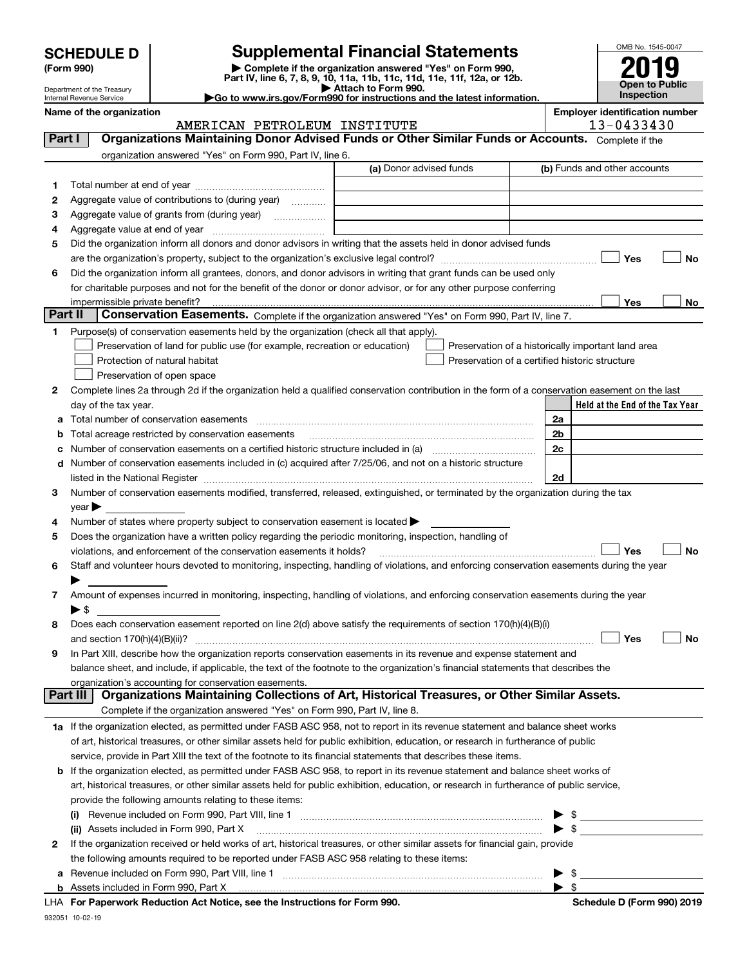| <b>SCHEDULE D</b> |  |
|-------------------|--|
|-------------------|--|

Department of the Treasury Internal Revenue Service

| (Form 990) |  |
|------------|--|
|------------|--|

## **SCHEDULE D Supplemental Financial Statements**

(Form 990)<br>
Pepartment of the Treasury<br>
Department of the Treasury<br>
Department of the Treasury<br>
Department of the Treasury<br> **Co to www.irs.gov/Form990 for instructions and the latest information.**<br> **Co to www.irs.gov/Form9** 

| <b>ìo to www.irs.gov/Form990 for instructions and the latest informat</b> i |  |
|-----------------------------------------------------------------------------|--|



|         | Name of the organization<br>AMERICAN PETROLEUM INSTITUTE                                                                                       | <b>Employer identification number</b><br>13-0433430 |
|---------|------------------------------------------------------------------------------------------------------------------------------------------------|-----------------------------------------------------|
| Part I  | Organizations Maintaining Donor Advised Funds or Other Similar Funds or Accounts. Complete if the                                              |                                                     |
|         | organization answered "Yes" on Form 990, Part IV, line 6.                                                                                      |                                                     |
|         | (a) Donor advised funds                                                                                                                        | (b) Funds and other accounts                        |
| 1.      |                                                                                                                                                |                                                     |
| 2       | Aggregate value of contributions to (during year)                                                                                              |                                                     |
| з       | Aggregate value of grants from (during year)                                                                                                   |                                                     |
| 4       |                                                                                                                                                |                                                     |
| 5       | Did the organization inform all donors and donor advisors in writing that the assets held in donor advised funds                               |                                                     |
|         |                                                                                                                                                | Yes<br>No                                           |
| 6       | Did the organization inform all grantees, donors, and donor advisors in writing that grant funds can be used only                              |                                                     |
|         | for charitable purposes and not for the benefit of the donor or donor advisor, or for any other purpose conferring                             |                                                     |
|         | impermissible private benefit?                                                                                                                 | Yes<br>No                                           |
| Part II | Conservation Easements. Complete if the organization answered "Yes" on Form 990, Part IV, line 7.                                              |                                                     |
| 1       | Purpose(s) of conservation easements held by the organization (check all that apply).                                                          |                                                     |
|         | Preservation of land for public use (for example, recreation or education)                                                                     | Preservation of a historically important land area  |
|         | Protection of natural habitat                                                                                                                  | Preservation of a certified historic structure      |
|         | Preservation of open space                                                                                                                     |                                                     |
| 2       | Complete lines 2a through 2d if the organization held a qualified conservation contribution in the form of a conservation easement on the last |                                                     |
|         | day of the tax year.                                                                                                                           | Held at the End of the Tax Year                     |
| а       | Total number of conservation easements                                                                                                         | 2a                                                  |
| b       | Total acreage restricted by conservation easements                                                                                             | 2b                                                  |
| c       |                                                                                                                                                | 2c                                                  |
| d       | Number of conservation easements included in (c) acquired after 7/25/06, and not on a historic structure                                       |                                                     |
|         | listed in the National Register [1,1,2000] [1,2000] [1,2000] [1,2000] [1,2000] [1,2000] [1,2000] [1,2000] [1,2000] [                           | 2d                                                  |
| 3       | Number of conservation easements modified, transferred, released, extinguished, or terminated by the organization during the tax               |                                                     |
|         | year                                                                                                                                           |                                                     |
| 4       | Number of states where property subject to conservation easement is located >                                                                  |                                                     |
| 5       | Does the organization have a written policy regarding the periodic monitoring, inspection, handling of                                         |                                                     |
|         | violations, and enforcement of the conservation easements it holds?                                                                            | Yes<br>No                                           |
| 6       | Staff and volunteer hours devoted to monitoring, inspecting, handling of violations, and enforcing conservation easements during the year      |                                                     |
|         |                                                                                                                                                |                                                     |
| 7       | Amount of expenses incurred in monitoring, inspecting, handling of violations, and enforcing conservation easements during the year            |                                                     |
|         | $\blacktriangleright$ \$                                                                                                                       |                                                     |
| 8       | Does each conservation easement reported on line 2(d) above satisfy the requirements of section 170(h)(4)(B)(i)                                |                                                     |
|         | and section $170(h)(4)(B)(ii)?$                                                                                                                | Yes<br>No                                           |
| 9       | In Part XIII, describe how the organization reports conservation easements in its revenue and expense statement and                            |                                                     |
|         | balance sheet, and include, if applicable, the text of the footnote to the organization's financial statements that describes the              |                                                     |
|         | organization's accounting for conservation easements.                                                                                          |                                                     |
|         | Organizations Maintaining Collections of Art, Historical Treasures, or Other Similar Assets.<br>Part III                                       |                                                     |
|         | Complete if the organization answered "Yes" on Form 990, Part IV, line 8.                                                                      |                                                     |
|         | 1a If the organization elected, as permitted under FASB ASC 958, not to report in its revenue statement and balance sheet works                |                                                     |
|         | of art, historical treasures, or other similar assets held for public exhibition, education, or research in furtherance of public              |                                                     |
|         | service, provide in Part XIII the text of the footnote to its financial statements that describes these items.                                 |                                                     |
|         | <b>b</b> If the organization elected, as permitted under FASB ASC 958, to report in its revenue statement and balance sheet works of           |                                                     |
|         | art, historical treasures, or other similar assets held for public exhibition, education, or research in furtherance of public service,        |                                                     |
|         |                                                                                                                                                |                                                     |
|         | provide the following amounts relating to these items:                                                                                         | $\blacktriangleright$ \$                            |
|         | (ii) Assets included in Form 990, Part X                                                                                                       | $\blacktriangleright$ \$                            |
| 2       | If the organization received or held works of art, historical treasures, or other similar assets for financial gain, provide                   |                                                     |
|         |                                                                                                                                                |                                                     |
|         | the following amounts required to be reported under FASB ASC 958 relating to these items:                                                      |                                                     |
|         |                                                                                                                                                | - \$<br>$\blacktriangleright$ \$                    |
|         |                                                                                                                                                |                                                     |

932051 10-02-19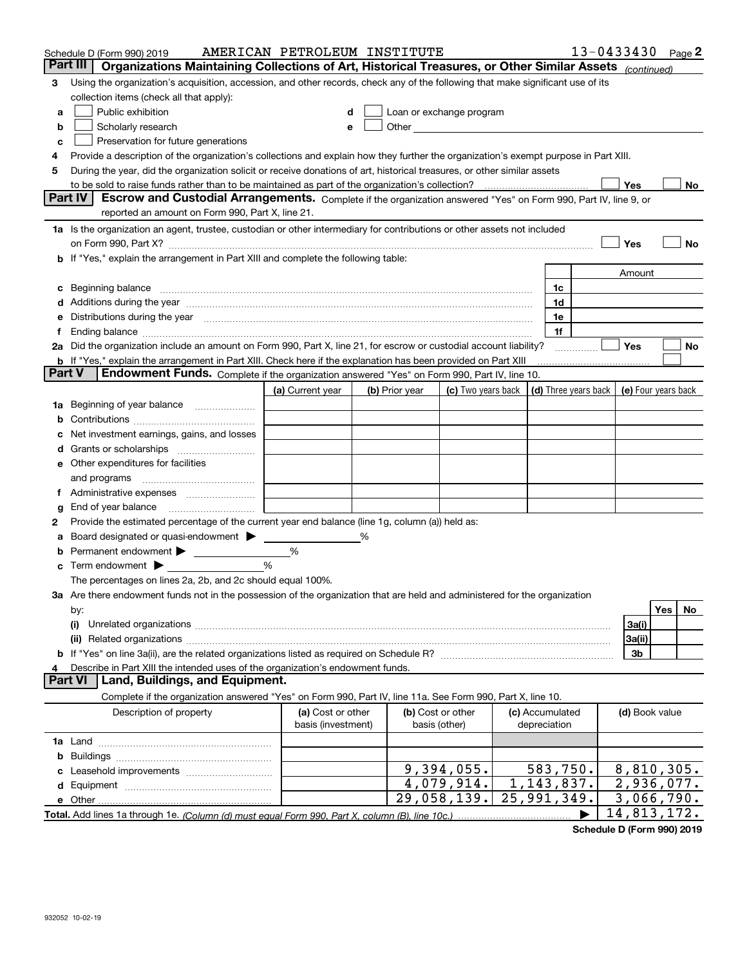|   | Schedule D (Form 990) 2019                                                                                                                                                                                                     | AMERICAN PETROLEUM INSTITUTE |   |                |                                                      |                 |   |                 | $13 - 0433430$ Page 2                            |
|---|--------------------------------------------------------------------------------------------------------------------------------------------------------------------------------------------------------------------------------|------------------------------|---|----------------|------------------------------------------------------|-----------------|---|-----------------|--------------------------------------------------|
|   | Part III<br>Organizations Maintaining Collections of Art, Historical Treasures, or Other Similar Assets (continued)                                                                                                            |                              |   |                |                                                      |                 |   |                 |                                                  |
| 3 | Using the organization's acquisition, accession, and other records, check any of the following that make significant use of its                                                                                                |                              |   |                |                                                      |                 |   |                 |                                                  |
|   | collection items (check all that apply):                                                                                                                                                                                       |                              |   |                |                                                      |                 |   |                 |                                                  |
| a | Public exhibition                                                                                                                                                                                                              |                              |   |                | Loan or exchange program                             |                 |   |                 |                                                  |
| b | Scholarly research                                                                                                                                                                                                             | е                            |   |                | Other <b>Committee Committee Committee Committee</b> |                 |   |                 |                                                  |
| с | Preservation for future generations                                                                                                                                                                                            |                              |   |                |                                                      |                 |   |                 |                                                  |
| 4 | Provide a description of the organization's collections and explain how they further the organization's exempt purpose in Part XIII.                                                                                           |                              |   |                |                                                      |                 |   |                 |                                                  |
| 5 | During the year, did the organization solicit or receive donations of art, historical treasures, or other similar assets                                                                                                       |                              |   |                |                                                      |                 |   |                 |                                                  |
|   | to be sold to raise funds rather than to be maintained as part of the organization's collection?                                                                                                                               |                              |   |                |                                                      |                 |   | Yes             | No                                               |
|   | <b>Part IV</b><br>Escrow and Custodial Arrangements. Complete if the organization answered "Yes" on Form 990, Part IV, line 9, or                                                                                              |                              |   |                |                                                      |                 |   |                 |                                                  |
|   | reported an amount on Form 990, Part X, line 21.                                                                                                                                                                               |                              |   |                |                                                      |                 |   |                 |                                                  |
|   | 1a Is the organization an agent, trustee, custodian or other intermediary for contributions or other assets not included                                                                                                       |                              |   |                |                                                      |                 |   |                 |                                                  |
|   | on Form 990, Part X? [11] matter and the contract of the contract of the contract of the contract of the contract of the contract of the contract of the contract of the contract of the contract of the contract of the contr |                              |   |                |                                                      |                 |   | Yes             | No                                               |
|   | b If "Yes," explain the arrangement in Part XIII and complete the following table:                                                                                                                                             |                              |   |                |                                                      |                 |   |                 |                                                  |
|   |                                                                                                                                                                                                                                |                              |   |                |                                                      |                 |   | Amount          |                                                  |
|   | c Beginning balance measurements and the contract of the contract of the contract of the contract of the contract of the contract of the contract of the contract of the contract of the contract of the contract of the contr |                              |   |                |                                                      | 1c              |   |                 |                                                  |
|   |                                                                                                                                                                                                                                |                              |   |                |                                                      | 1d              |   |                 |                                                  |
|   | e Distributions during the year manufactured and continuum and contact the year manufactured and contact the year manufactured and contact the year manufactured and contact the year manufactured and contact the year manufa |                              |   |                |                                                      | 1e              |   |                 |                                                  |
|   | Ending balance manufactured and contract the contract of the contract of the contract of the contract of the contract of the contract of the contract of the contract of the contract of the contract of the contract of the c |                              |   |                |                                                      | 1f              |   |                 |                                                  |
|   | 2a Did the organization include an amount on Form 990, Part X, line 21, for escrow or custodial account liability?                                                                                                             |                              |   |                |                                                      |                 | . | Yes             | No                                               |
|   | <b>b</b> If "Yes," explain the arrangement in Part XIII. Check here if the explanation has been provided on Part XIII                                                                                                          |                              |   |                |                                                      |                 |   |                 |                                                  |
|   | <b>Part V</b><br>Endowment Funds. Complete if the organization answered "Yes" on Form 990, Part IV, line 10.                                                                                                                   |                              |   |                |                                                      |                 |   |                 |                                                  |
|   |                                                                                                                                                                                                                                | (a) Current year             |   | (b) Prior year | (c) Two years back                                   |                 |   |                 | (d) Three years back $\vert$ (e) Four years back |
|   | <b>1a</b> Beginning of year balance                                                                                                                                                                                            |                              |   |                |                                                      |                 |   |                 |                                                  |
|   |                                                                                                                                                                                                                                |                              |   |                |                                                      |                 |   |                 |                                                  |
|   | Net investment earnings, gains, and losses                                                                                                                                                                                     |                              |   |                |                                                      |                 |   |                 |                                                  |
|   |                                                                                                                                                                                                                                |                              |   |                |                                                      |                 |   |                 |                                                  |
|   | e Other expenditures for facilities                                                                                                                                                                                            |                              |   |                |                                                      |                 |   |                 |                                                  |
|   | and programs                                                                                                                                                                                                                   |                              |   |                |                                                      |                 |   |                 |                                                  |
|   |                                                                                                                                                                                                                                |                              |   |                |                                                      |                 |   |                 |                                                  |
| g |                                                                                                                                                                                                                                |                              |   |                |                                                      |                 |   |                 |                                                  |
| 2 | Provide the estimated percentage of the current year end balance (line 1g, column (a)) held as:                                                                                                                                |                              |   |                |                                                      |                 |   |                 |                                                  |
|   | Board designated or quasi-endowment                                                                                                                                                                                            |                              | ℅ |                |                                                      |                 |   |                 |                                                  |
|   | Permanent endowment > <u>example</u>                                                                                                                                                                                           | %                            |   |                |                                                      |                 |   |                 |                                                  |
|   | Term endowment $\blacktriangleright$                                                                                                                                                                                           | %                            |   |                |                                                      |                 |   |                 |                                                  |
|   | The percentages on lines 2a, 2b, and 2c should equal 100%.                                                                                                                                                                     |                              |   |                |                                                      |                 |   |                 |                                                  |
|   | 3a Are there endowment funds not in the possession of the organization that are held and administered for the organization                                                                                                     |                              |   |                |                                                      |                 |   |                 |                                                  |
|   | by:<br>(i)                                                                                                                                                                                                                     |                              |   |                |                                                      |                 |   |                 | Yes<br>No.                                       |
|   |                                                                                                                                                                                                                                |                              |   |                |                                                      |                 |   | 3a(i)<br>3a(ii) |                                                  |
|   |                                                                                                                                                                                                                                |                              |   |                |                                                      |                 |   | 3b              |                                                  |
|   | Describe in Part XIII the intended uses of the organization's endowment funds.                                                                                                                                                 |                              |   |                |                                                      |                 |   |                 |                                                  |
|   | Land, Buildings, and Equipment.<br><b>Part VI</b>                                                                                                                                                                              |                              |   |                |                                                      |                 |   |                 |                                                  |
|   | Complete if the organization answered "Yes" on Form 990, Part IV, line 11a. See Form 990, Part X, line 10.                                                                                                                     |                              |   |                |                                                      |                 |   |                 |                                                  |
|   | Description of property                                                                                                                                                                                                        | (a) Cost or other            |   |                | (b) Cost or other                                    | (c) Accumulated |   | (d) Book value  |                                                  |
|   |                                                                                                                                                                                                                                | basis (investment)           |   |                | basis (other)                                        | depreciation    |   |                 |                                                  |
|   |                                                                                                                                                                                                                                |                              |   |                |                                                      |                 |   |                 |                                                  |
|   |                                                                                                                                                                                                                                |                              |   |                |                                                      |                 |   |                 |                                                  |
|   |                                                                                                                                                                                                                                |                              |   |                | 9,394,055.                                           | 583,750.        |   |                 | 8,810,305.                                       |
|   |                                                                                                                                                                                                                                |                              |   |                | 4,079,914.                                           | 1, 143, 837.    |   |                 | 2,936,077.                                       |
|   |                                                                                                                                                                                                                                |                              |   |                | 29,058,139.                                          | 25,991,349.     |   |                 | 3,066,790.                                       |
|   |                                                                                                                                                                                                                                |                              |   |                |                                                      |                 |   |                 | 14,813,172.                                      |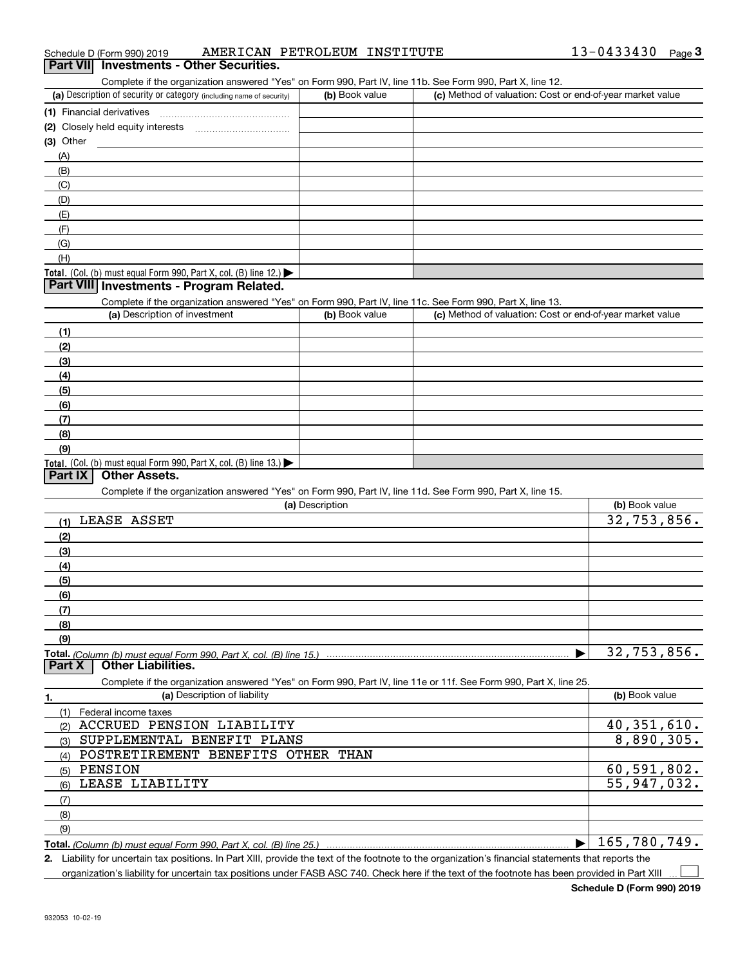|  | Schedule D (Form 990) 2019 |  |  | AMERICAN PETROLEUM INSTITUTE | 13-0433430 | Page |  |
|--|----------------------------|--|--|------------------------------|------------|------|--|
|--|----------------------------|--|--|------------------------------|------------|------|--|

## **Part VII Investments - Other Securities.**

Complete if the organization answered "Yes" on Form 990, Part IV, line 11b. See Form 990, Part X, line 12.

| (a) Description of security or category (including name of security)                   | (b) Book value | (c) Method of valuation: Cost or end-of-year market value |
|----------------------------------------------------------------------------------------|----------------|-----------------------------------------------------------|
| (1) Financial derivatives                                                              |                |                                                           |
| (2) Closely held equity interests<br>                                                  |                |                                                           |
| $(3)$ Other                                                                            |                |                                                           |
| (A)                                                                                    |                |                                                           |
| (B)                                                                                    |                |                                                           |
| (C)                                                                                    |                |                                                           |
| (D)                                                                                    |                |                                                           |
| (E)                                                                                    |                |                                                           |
| (F)                                                                                    |                |                                                           |
| (G)                                                                                    |                |                                                           |
| (H)                                                                                    |                |                                                           |
| Total. (Col. (b) must equal Form 990, Part X, col. (B) line 12.) $\blacktriangleright$ |                |                                                           |

## **Part VIII Investments - Program Related.**

Complete if the organization answered "Yes" on Form 990, Part IV, line 11c. See Form 990, Part X, line 13.

| (a) Description of investment                                                                 | (b) Book value | (c) Method of valuation: Cost or end-of-year market value |
|-----------------------------------------------------------------------------------------------|----------------|-----------------------------------------------------------|
| (1)                                                                                           |                |                                                           |
| (2)                                                                                           |                |                                                           |
| $\frac{3}{2}$                                                                                 |                |                                                           |
| (4)                                                                                           |                |                                                           |
| (5)                                                                                           |                |                                                           |
| (6)                                                                                           |                |                                                           |
| (7)                                                                                           |                |                                                           |
| (8)                                                                                           |                |                                                           |
| (9)                                                                                           |                |                                                           |
| <b>Total.</b> (Col. (b) must equal Form 990, Part X, col. (B) line 13.) $\blacktriangleright$ |                |                                                           |

## **Part IX Other Assets.**

Complete if the organization answered "Yes" on Form 990, Part IV, line 11d. See Form 990, Part X, line 15.

| (a) Description                                                                                                   | (b) Book value |
|-------------------------------------------------------------------------------------------------------------------|----------------|
| LEASE ASSET<br>(1)                                                                                                | 32,753,856.    |
| (2)                                                                                                               |                |
| (3)                                                                                                               |                |
| (4)                                                                                                               |                |
| (5)                                                                                                               |                |
| (6)                                                                                                               |                |
| (7)                                                                                                               |                |
| (8)                                                                                                               |                |
| (9)                                                                                                               |                |
| <u>Total. (Column (b) must equal Form 990. Part X. col. (B) line 15.) ……………………………………………………………………</u>              | 32,753,856.    |
| <b>Other Liabilities.</b><br>  Part X                                                                             |                |
| Complete if the organization answered "Yes" on Form 990, Part IV, line 11e or 11f. See Form 990, Part X, line 25. |                |
| (a) Description of liability<br>1.                                                                                | (b) Book value |
| Federal income taxes<br>(1)                                                                                       |                |
| ACCRUED PENSION LIABILITY<br>(2)                                                                                  | 40,351,610.    |
| SUPPLEMENTAL BENEFIT PLANS<br>(3)                                                                                 | 8,890,305.     |
| POSTRETIREMENT<br><b>BENEFITS OTHER</b><br>THAN<br>(4)                                                            |                |
| <b>PENSION</b><br>(5)                                                                                             | 60,591,802.    |
| LEASE LIABILITY<br>(6)                                                                                            | 55,947,032.    |
| (7)                                                                                                               |                |
| (8)                                                                                                               |                |
| (9)                                                                                                               |                |
|                                                                                                                   | 165,780,749.   |

**2.**Liability for uncertain tax positions. In Part XIII, provide the text of the footnote to the organization's financial statements that reports the organization's liability for uncertain tax positions under FASB ASC 740. Check here if the text of the footnote has been provided in Part XIII  $\mathcal{L}^{\text{max}}$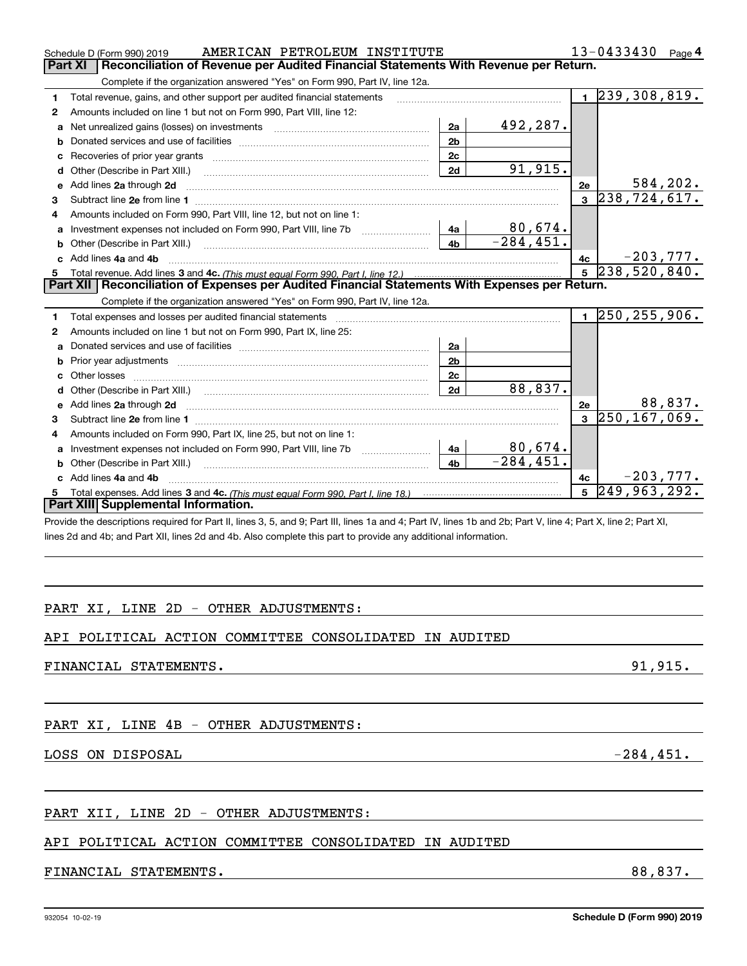|              | AMERICAN PETROLEUM INSTITUTE<br>Schedule D (Form 990) 2019                                            |                |              |    | 13-0433430<br>Page 4  |
|--------------|-------------------------------------------------------------------------------------------------------|----------------|--------------|----|-----------------------|
|              | <b>Part XI</b><br>Reconciliation of Revenue per Audited Financial Statements With Revenue per Return. |                |              |    |                       |
|              | Complete if the organization answered "Yes" on Form 990, Part IV, line 12a.                           |                |              |    |                       |
|              | Total revenue, gains, and other support per audited financial statements                              |                |              |    | 239,308,819.          |
| $\mathbf{2}$ | Amounts included on line 1 but not on Form 990, Part VIII, line 12:                                   |                |              |    |                       |
|              | <b>a</b> Net unrealized gains (losses) on investments                                                 | 2a             | 492,287.     |    |                       |
| b            |                                                                                                       | 2 <sub>b</sub> |              |    |                       |
|              | <b>c</b> Recoveries of prior year grants                                                              | 2c             |              |    |                       |
|              | <b>d</b> Other (Describe in Part XIII.)                                                               | 2d             | 91,915.      |    |                       |
|              | e Add lines 2a through 2d                                                                             |                |              | 2е | 584,202.              |
| 3            | Subtract line 2e from line 1                                                                          |                |              | 3  | 238, 724, 617.        |
| 4            | Amounts included on Form 990, Part VIII, line 12, but not on line 1:                                  |                |              |    |                       |
| a            | Investment expenses not included on Form 990, Part VIII, line 7b                                      | 4a             | 80,674.      |    |                       |
|              | <b>b</b> Other (Describe in Part XIII.)                                                               | 4b             | $-284, 451.$ |    |                       |
|              | c Add lines 4a and 4b                                                                                 |                |              | 4с | $-203,777.$           |
|              |                                                                                                       |                |              |    | $5\vert 238,520,840.$ |
|              | Part XII Reconciliation of Expenses per Audited Financial Statements With Expenses per Return.        |                |              |    |                       |
|              | Complete if the organization answered "Yes" on Form 990, Part IV, line 12a.                           |                |              |    |                       |
|              | Total expenses and losses per audited financial statements                                            |                |              |    | 250, 255, 906.        |

#### **2345a**Donated services and use of facilities ~~~~~~~~~~~~~~~~~~~~~~ **b**Prior year adjustments ~~~~~~~~~~~~~~~~~~~~~~~~~~~~~ **c**Other losses ~~~~~~~~~~~~~~~~~~~~~~~~~~~~~~~~~~ **de2a2b2c2d2a 2d** Add lines through ~~~~~~~~~~~~~~~~~~~~~~~~~~~~~~~~~~~~~~~~~~~**2e 1** Subtract line from line ~~~~~~~~~~~~~~~~~~~~~~~~~~~~~~~~~~~~~~~~~~**2e 3**250,167,069. **a** Investment expenses not included on Form 990, Part VIII, line 7b  $\quad$ ....................... **b** Other (Describe in Part XIII.) **c4a 4b** Add lines and ~~~~~~~~~~~~~~~~~~~~~~~~~~~~~~~~~~~~~~~~~~~~~**4a4b**Total expenses. Add lines 3 and 4c. *(This must equal Form 990, Part I, line 18.)* **4c5**Amounts included on line 1 but not on Form 990, Part IX, line 25: Other (Describe in Part XIII.) ~~~~~~~~~~~~~~~~~~~~~~~~~~Amounts included on Form 990, Part IX, line 25, but not on line 1: ~~~~~~~~~~~~~~~~~~~~~~~~~~**Part XIII Supplemental Information.** 88,837. 88,837. 80,674. -284,451. -203,777. 249,963,292.

Provide the descriptions required for Part II, lines 3, 5, and 9; Part III, lines 1a and 4; Part IV, lines 1b and 2b; Part V, line 4; Part X, line 2; Part XI, lines 2d and 4b; and Part XII, lines 2d and 4b. Also complete this part to provide any additional information.

## PART XI, LINE 2D - OTHER ADJUSTMENTS:

## API POLITICAL ACTION COMMITTEE CONSOLIDATED IN AUDITED

## FINANCIAL STATEMENTS. 91,915.

## PART XI, LINE 4B - OTHER ADJUSTMENTS:

LOSS ON DISPOSAL  $-284,451$ .

## PART XII, LINE 2D - OTHER ADJUSTMENTS:

## API POLITICAL ACTION COMMITTEE CONSOLIDATED IN AUDITED

## FINANCIAL STATEMENTS. 88,837.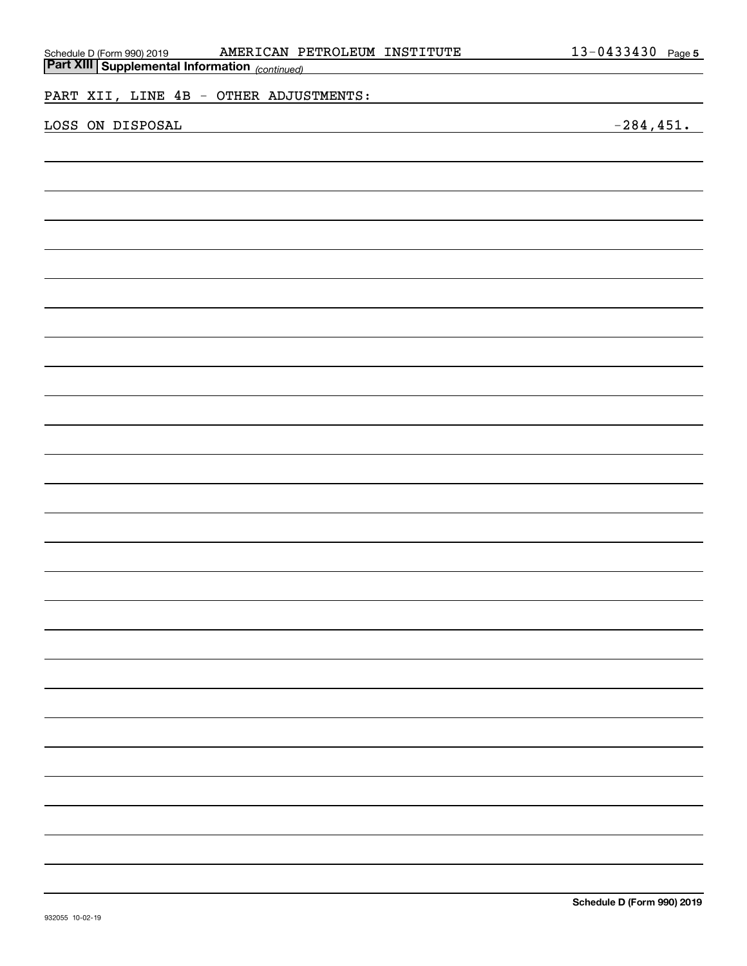| AMERICAN PETROLEUM INSTITUTE<br>Schedule D (Form 990) 2019 <b>AMERICAN PI</b><br><b>Part XIII   Supplemental Information</b> (continued) | 13-0433430 Page 5 |
|------------------------------------------------------------------------------------------------------------------------------------------|-------------------|
|                                                                                                                                          |                   |
| PART XII, LINE 4B - OTHER ADJUSTMENTS:                                                                                                   |                   |
|                                                                                                                                          |                   |
| LOSS ON DISPOSAL<br><u> 1980 - Andrea Andrew Maria (b. 1980)</u>                                                                         | $-284, 451.$      |
|                                                                                                                                          |                   |
|                                                                                                                                          |                   |
|                                                                                                                                          |                   |
|                                                                                                                                          |                   |
|                                                                                                                                          |                   |
|                                                                                                                                          |                   |
|                                                                                                                                          |                   |
|                                                                                                                                          |                   |
|                                                                                                                                          |                   |
|                                                                                                                                          |                   |
|                                                                                                                                          |                   |
|                                                                                                                                          |                   |
|                                                                                                                                          |                   |
|                                                                                                                                          |                   |
|                                                                                                                                          |                   |
|                                                                                                                                          |                   |
|                                                                                                                                          |                   |
|                                                                                                                                          |                   |
|                                                                                                                                          |                   |
|                                                                                                                                          |                   |
|                                                                                                                                          |                   |
|                                                                                                                                          |                   |
|                                                                                                                                          |                   |
|                                                                                                                                          |                   |
|                                                                                                                                          |                   |
|                                                                                                                                          |                   |
|                                                                                                                                          |                   |
|                                                                                                                                          |                   |
|                                                                                                                                          |                   |
|                                                                                                                                          |                   |
|                                                                                                                                          |                   |
|                                                                                                                                          |                   |
|                                                                                                                                          |                   |
|                                                                                                                                          |                   |
|                                                                                                                                          |                   |
|                                                                                                                                          |                   |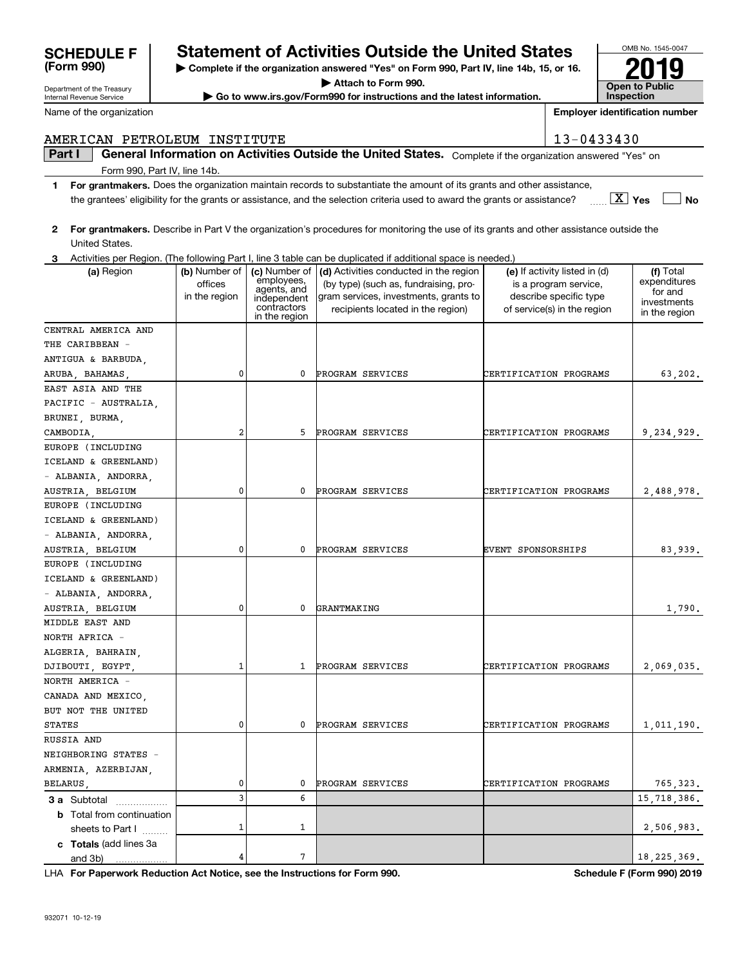## **SCHEDULE F Statement of Activities Outside the United States**

**| Complete if the organization answered "Yes" on Form 990, Part IV, line 14b, 15, or 16.**

**| Attach to Form 990.**

**| Go to www.irs.gov/Form990 for instructions and the latest information.**

**Open to Public InspectionEmployer identification number 2019**

OMB No. 1545-0047

## AMERICAN PETROLEUM INSTITUTE 13-0433430

#### **Part I**  $\parallel$  General Information on Activities Outside the United States. Complete if the organization answered "Yes" on Form 990, Part IV, line 14b.

- **1For grantmakers.**  Does the organization maintain records to substantiate the amount of its grants and other assistance, **Yes** X **No** the grantees' eligibility for the grants or assistance, and the selection criteria used to award the grants or assistance?
- **2For grantmakers.**  Describe in Part V the organization's procedures for monitoring the use of its grants and other assistance outside the United States.
- **3** Activities per Region. (The following Part I, line 3 table can be duplicated if additional space is needed.)

| (a) Region                                                                 | (b) Number of<br>offices<br>in the region | employees,<br>agents, and<br>independent<br>contractors<br>in the region | (c) Number of $\vert$ (d) Activities conducted in the region<br>(by type) (such as, fundraising, pro-<br>gram services, investments, grants to<br>recipients located in the region) | (e) If activity listed in (d)<br>is a program service,<br>describe specific type<br>of service(s) in the region | (f) Total<br>expenditures<br>for and<br>investments<br>in the region |
|----------------------------------------------------------------------------|-------------------------------------------|--------------------------------------------------------------------------|-------------------------------------------------------------------------------------------------------------------------------------------------------------------------------------|-----------------------------------------------------------------------------------------------------------------|----------------------------------------------------------------------|
| CENTRAL AMERICA AND                                                        |                                           |                                                                          |                                                                                                                                                                                     |                                                                                                                 |                                                                      |
| THE CARIBBEAN -                                                            |                                           |                                                                          |                                                                                                                                                                                     |                                                                                                                 |                                                                      |
| ANTIGUA & BARBUDA,                                                         |                                           |                                                                          |                                                                                                                                                                                     |                                                                                                                 |                                                                      |
| ARUBA, BAHAMAS,                                                            | 0                                         | 0                                                                        | PROGRAM SERVICES                                                                                                                                                                    | CERTIFICATION PROGRAMS                                                                                          | 63,202.                                                              |
| EAST ASIA AND THE                                                          |                                           |                                                                          |                                                                                                                                                                                     |                                                                                                                 |                                                                      |
| PACIFIC - AUSTRALIA,                                                       |                                           |                                                                          |                                                                                                                                                                                     |                                                                                                                 |                                                                      |
| BRUNEI, BURMA,                                                             |                                           |                                                                          |                                                                                                                                                                                     |                                                                                                                 |                                                                      |
| CAMBODIA,                                                                  | 2                                         | 5                                                                        | PROGRAM SERVICES                                                                                                                                                                    | CERTIFICATION PROGRAMS                                                                                          | 9,234,929.                                                           |
| EUROPE (INCLUDING                                                          |                                           |                                                                          |                                                                                                                                                                                     |                                                                                                                 |                                                                      |
| ICELAND & GREENLAND)                                                       |                                           |                                                                          |                                                                                                                                                                                     |                                                                                                                 |                                                                      |
| - ALBANIA, ANDORRA,                                                        |                                           |                                                                          |                                                                                                                                                                                     |                                                                                                                 |                                                                      |
| AUSTRIA, BELGIUM                                                           | 0                                         | 0                                                                        | PROGRAM SERVICES                                                                                                                                                                    | CERTIFICATION PROGRAMS                                                                                          | 2,488,978.                                                           |
| EUROPE (INCLUDING                                                          |                                           |                                                                          |                                                                                                                                                                                     |                                                                                                                 |                                                                      |
| ICELAND & GREENLAND)                                                       |                                           |                                                                          |                                                                                                                                                                                     |                                                                                                                 |                                                                      |
| - ALBANIA, ANDORRA,                                                        |                                           |                                                                          |                                                                                                                                                                                     |                                                                                                                 |                                                                      |
| AUSTRIA, BELGIUM                                                           | 0                                         | 0                                                                        | PROGRAM SERVICES                                                                                                                                                                    | EVENT SPONSORSHIPS                                                                                              | 83,939.                                                              |
| EUROPE (INCLUDING                                                          |                                           |                                                                          |                                                                                                                                                                                     |                                                                                                                 |                                                                      |
| ICELAND & GREENLAND)                                                       |                                           |                                                                          |                                                                                                                                                                                     |                                                                                                                 |                                                                      |
| - ALBANIA, ANDORRA,                                                        |                                           |                                                                          |                                                                                                                                                                                     |                                                                                                                 |                                                                      |
| AUSTRIA, BELGIUM                                                           | 0                                         | $\mathbf{0}$                                                             | GRANTMAKING                                                                                                                                                                         |                                                                                                                 | 1,790.                                                               |
| MIDDLE EAST AND                                                            |                                           |                                                                          |                                                                                                                                                                                     |                                                                                                                 |                                                                      |
| NORTH AFRICA -                                                             |                                           |                                                                          |                                                                                                                                                                                     |                                                                                                                 |                                                                      |
| ALGERIA, BAHRAIN,                                                          |                                           |                                                                          |                                                                                                                                                                                     |                                                                                                                 |                                                                      |
| DJIBOUTI, EGYPT,                                                           | 1                                         | $\mathbf{1}$                                                             | PROGRAM SERVICES                                                                                                                                                                    | CERTIFICATION PROGRAMS                                                                                          | 2,069,035.                                                           |
| NORTH AMERICA -                                                            |                                           |                                                                          |                                                                                                                                                                                     |                                                                                                                 |                                                                      |
| CANADA AND MEXICO,                                                         |                                           |                                                                          |                                                                                                                                                                                     |                                                                                                                 |                                                                      |
| BUT NOT THE UNITED                                                         |                                           |                                                                          |                                                                                                                                                                                     |                                                                                                                 |                                                                      |
| <b>STATES</b>                                                              | 0                                         | 0                                                                        | PROGRAM SERVICES                                                                                                                                                                    | CERTIFICATION PROGRAMS                                                                                          | 1,011,190.                                                           |
| RUSSIA AND                                                                 |                                           |                                                                          |                                                                                                                                                                                     |                                                                                                                 |                                                                      |
| NEIGHBORING STATES -                                                       |                                           |                                                                          |                                                                                                                                                                                     |                                                                                                                 |                                                                      |
| ARMENIA, AZERBIJAN,                                                        |                                           |                                                                          |                                                                                                                                                                                     |                                                                                                                 |                                                                      |
| BELARUS,                                                                   | 0                                         | 0                                                                        | PROGRAM SERVICES                                                                                                                                                                    | CERTIFICATION PROGRAMS                                                                                          | 765,323.                                                             |
| 3 a Subtotal                                                               | 3                                         | 6                                                                        |                                                                                                                                                                                     |                                                                                                                 | 15,718,386.                                                          |
| <b>b</b> Total from continuation                                           |                                           |                                                                          |                                                                                                                                                                                     |                                                                                                                 |                                                                      |
| sheets to Part I                                                           | $\mathbf 1$                               | 1                                                                        |                                                                                                                                                                                     |                                                                                                                 | 2,506,983.                                                           |
| c Totals (add lines 3a                                                     |                                           |                                                                          |                                                                                                                                                                                     |                                                                                                                 |                                                                      |
| and 3b)<br>. . <u>.</u>                                                    | 4                                         | 7                                                                        |                                                                                                                                                                                     |                                                                                                                 | 18, 225, 369.                                                        |
| LHA For Paperwork Reduction Act Notice, see the Instructions for Form 990. |                                           |                                                                          |                                                                                                                                                                                     |                                                                                                                 | <b>Schedule F (Form 990) 2019</b>                                    |

**(Form 990)**

Department of the Treasury Internal Revenue Service

Name of the organization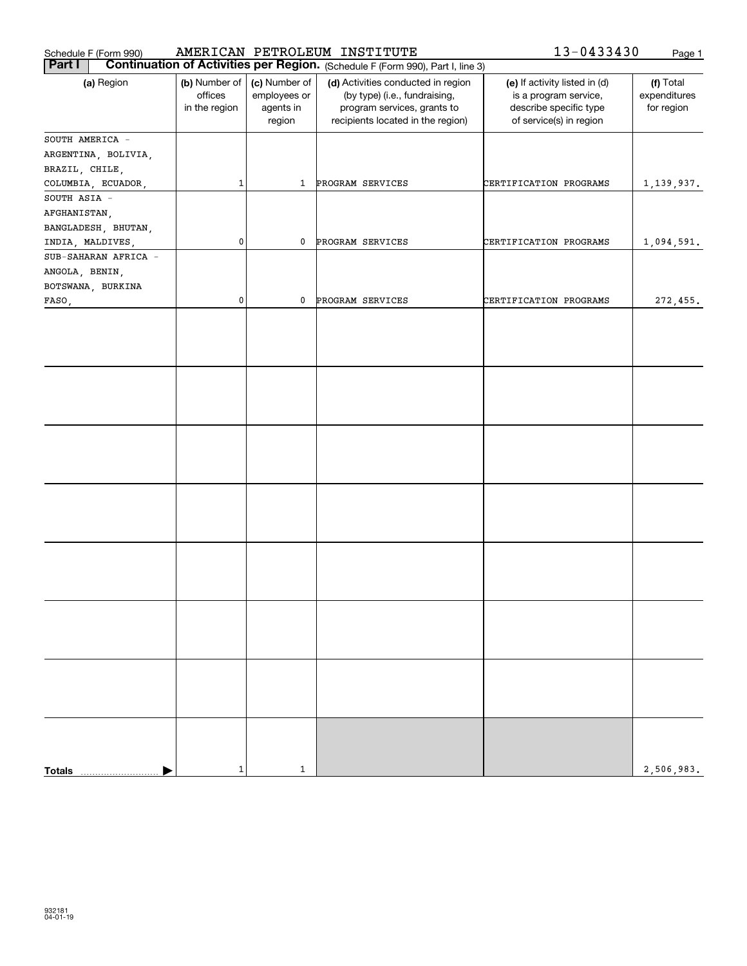| Schedule F (Form 990)                    |                                           |                                                      | AMERICAN PETROLEUM INSTITUTE                                                                                                            | 13-0433430                                                                                                  | Page 1                                  |
|------------------------------------------|-------------------------------------------|------------------------------------------------------|-----------------------------------------------------------------------------------------------------------------------------------------|-------------------------------------------------------------------------------------------------------------|-----------------------------------------|
| <b>Part I</b>                            |                                           |                                                      | <b>Continuation of Activities per Region.</b> (Schedule F (Form 990), Part I, line 3)                                                   |                                                                                                             |                                         |
| (a) Region                               | (b) Number of<br>offices<br>in the region | (c) Number of<br>employees or<br>agents in<br>region | (d) Activities conducted in region<br>(by type) (i.e., fundraising,<br>program services, grants to<br>recipients located in the region) | (e) If activity listed in (d)<br>is a program service,<br>describe specific type<br>of service(s) in region | (f) Total<br>expenditures<br>for region |
| SOUTH AMERICA -                          |                                           |                                                      |                                                                                                                                         |                                                                                                             |                                         |
| ARGENTINA, BOLIVIA,                      |                                           |                                                      |                                                                                                                                         |                                                                                                             |                                         |
| BRAZIL, CHILE,                           |                                           |                                                      |                                                                                                                                         |                                                                                                             |                                         |
| COLUMBIA, ECUADOR,                       | $\mathbf 1$                               | 1                                                    | PROGRAM SERVICES                                                                                                                        | CERTIFICATION PROGRAMS                                                                                      | 1,139,937.                              |
| SOUTH ASIA -                             |                                           |                                                      |                                                                                                                                         |                                                                                                             |                                         |
| AFGHANISTAN,                             |                                           |                                                      |                                                                                                                                         |                                                                                                             |                                         |
| BANGLADESH, BHUTAN,                      |                                           |                                                      |                                                                                                                                         |                                                                                                             |                                         |
| INDIA, MALDIVES,<br>SUB-SAHARAN AFRICA - | 0                                         | 0                                                    | PROGRAM SERVICES                                                                                                                        | CERTIFICATION PROGRAMS                                                                                      | 1,094,591.                              |
| ANGOLA, BENIN,                           |                                           |                                                      |                                                                                                                                         |                                                                                                             |                                         |
| BOTSWANA, BURKINA                        |                                           |                                                      |                                                                                                                                         |                                                                                                             |                                         |
| FASO,                                    | 0                                         | 0                                                    | PROGRAM SERVICES                                                                                                                        | CERTIFICATION PROGRAMS                                                                                      | 272,455.                                |
|                                          |                                           |                                                      |                                                                                                                                         |                                                                                                             |                                         |
|                                          |                                           |                                                      |                                                                                                                                         |                                                                                                             |                                         |
|                                          |                                           |                                                      |                                                                                                                                         |                                                                                                             |                                         |
|                                          |                                           |                                                      |                                                                                                                                         |                                                                                                             |                                         |
| <b>Totals</b>                            | $\mathbf{1}$                              | $\mathbf{1}$                                         |                                                                                                                                         |                                                                                                             | 2,506,983.                              |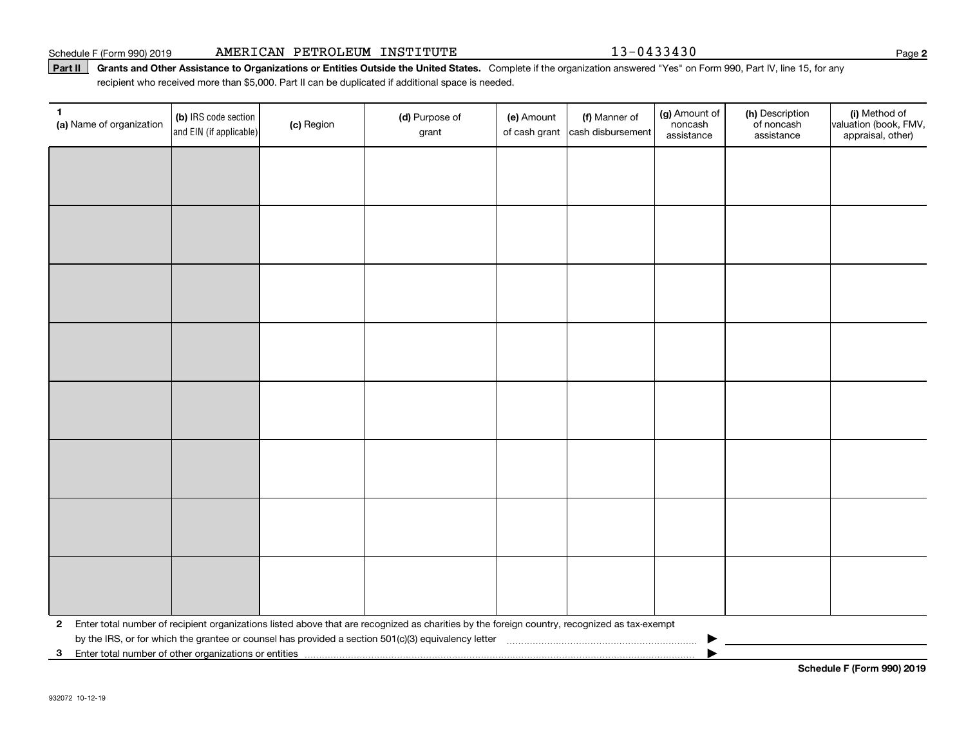#### Schedule F (Form 990) 2019 **AMERICAN PETROLEUM INSTITUTE** 13-0433430

#### Part II | Grants and Other Assistance to Organizations or Entities Outside the United States. Complete if the organization answered "Yes" on Form 990, Part IV, line 15, for any recipient who received more than \$5,000. Part II can be duplicated if additional space is needed.

| 1<br>(a) Name of organization                              | (b) IRS code section<br>and EIN (if applicable) | (c) Region | (d) Purpose of<br>grant                                                                                                                      | (e) Amount<br>of cash grant | (f) Manner of<br>cash disbursement | (g) Amount of<br>noncash<br>assistance | (h) Description<br>of noncash<br>assistance | (i) Method of<br>valuation (book, FMV,<br>appraisal, other) |
|------------------------------------------------------------|-------------------------------------------------|------------|----------------------------------------------------------------------------------------------------------------------------------------------|-----------------------------|------------------------------------|----------------------------------------|---------------------------------------------|-------------------------------------------------------------|
|                                                            |                                                 |            |                                                                                                                                              |                             |                                    |                                        |                                             |                                                             |
|                                                            |                                                 |            |                                                                                                                                              |                             |                                    |                                        |                                             |                                                             |
|                                                            |                                                 |            |                                                                                                                                              |                             |                                    |                                        |                                             |                                                             |
|                                                            |                                                 |            |                                                                                                                                              |                             |                                    |                                        |                                             |                                                             |
|                                                            |                                                 |            |                                                                                                                                              |                             |                                    |                                        |                                             |                                                             |
|                                                            |                                                 |            |                                                                                                                                              |                             |                                    |                                        |                                             |                                                             |
|                                                            |                                                 |            |                                                                                                                                              |                             |                                    |                                        |                                             |                                                             |
|                                                            |                                                 |            |                                                                                                                                              |                             |                                    |                                        |                                             |                                                             |
|                                                            |                                                 |            |                                                                                                                                              |                             |                                    |                                        |                                             |                                                             |
|                                                            |                                                 |            |                                                                                                                                              |                             |                                    |                                        |                                             |                                                             |
|                                                            |                                                 |            |                                                                                                                                              |                             |                                    |                                        |                                             |                                                             |
|                                                            |                                                 |            |                                                                                                                                              |                             |                                    |                                        |                                             |                                                             |
|                                                            |                                                 |            |                                                                                                                                              |                             |                                    |                                        |                                             |                                                             |
|                                                            |                                                 |            |                                                                                                                                              |                             |                                    |                                        |                                             |                                                             |
|                                                            |                                                 |            |                                                                                                                                              |                             |                                    |                                        |                                             |                                                             |
|                                                            |                                                 |            |                                                                                                                                              |                             |                                    |                                        |                                             |                                                             |
| $\mathbf{2}$                                               |                                                 |            | Enter total number of recipient organizations listed above that are recognized as charities by the foreign country, recognized as tax-exempt |                             |                                    |                                        |                                             |                                                             |
| Enter total number of other organizations or entities<br>3 |                                                 |            |                                                                                                                                              |                             |                                    |                                        |                                             |                                                             |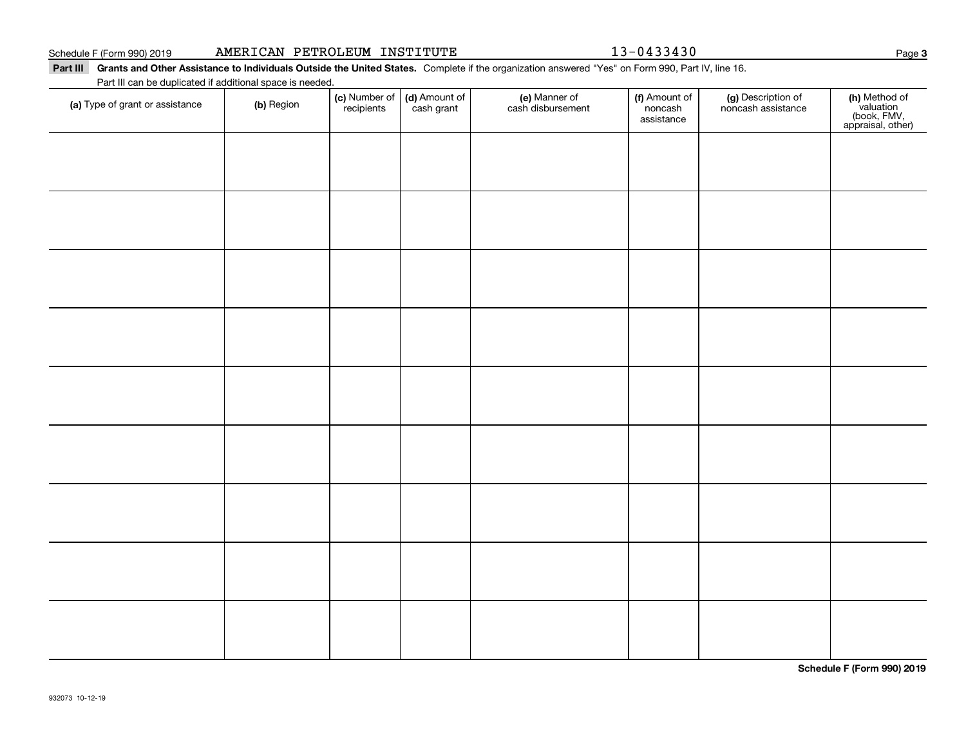|  | AMERICAN PETROLEUM | INSTITUTE |
|--|--------------------|-----------|
|--|--------------------|-----------|

13-0433430

#### Part III Grants and Other Assistance to Individuals Outside the United States. Complete if the organization answered "Yes" on Form 990, Part IV, line 16. Part III can be duplicated if additional space is needed. (c) Number of (d) Amount of (e) Manner of (f) Amount of **(c)** Number of **| (d)** Amount of **| (e)** Manner of **| (f)** Amount of **| (g)** Description of **| (h) (a)** Type of grant or assistance  $\qquad$  **(b)** Region recipientscash grant cash disbursement noncashnoncash assistance assistance $\overline{\phantom{a}}$

| (a) Type of grant or assistance | (b) Region | <b>(c)</b> Number of <b>(d)</b> Amount of recipients cash grant | e) Manner of<br>cash disbursement | <b>f)</b> Amount of<br>noncash<br>assistance | (g) Description of<br>noncash assistance | (h) Method of<br>valuation<br>(book, FMV,<br>appraisal, other) |
|---------------------------------|------------|-----------------------------------------------------------------|-----------------------------------|----------------------------------------------|------------------------------------------|----------------------------------------------------------------|
|                                 |            |                                                                 |                                   |                                              |                                          |                                                                |
|                                 |            |                                                                 |                                   |                                              |                                          |                                                                |
|                                 |            |                                                                 |                                   |                                              |                                          |                                                                |
|                                 |            |                                                                 |                                   |                                              |                                          |                                                                |
|                                 |            |                                                                 |                                   |                                              |                                          |                                                                |
|                                 |            |                                                                 |                                   |                                              |                                          |                                                                |
|                                 |            |                                                                 |                                   |                                              |                                          |                                                                |
|                                 |            |                                                                 |                                   |                                              |                                          |                                                                |
|                                 |            |                                                                 |                                   |                                              |                                          |                                                                |
|                                 |            |                                                                 |                                   |                                              |                                          |                                                                |

**Schedule F (Form 990) 2019**

Page 3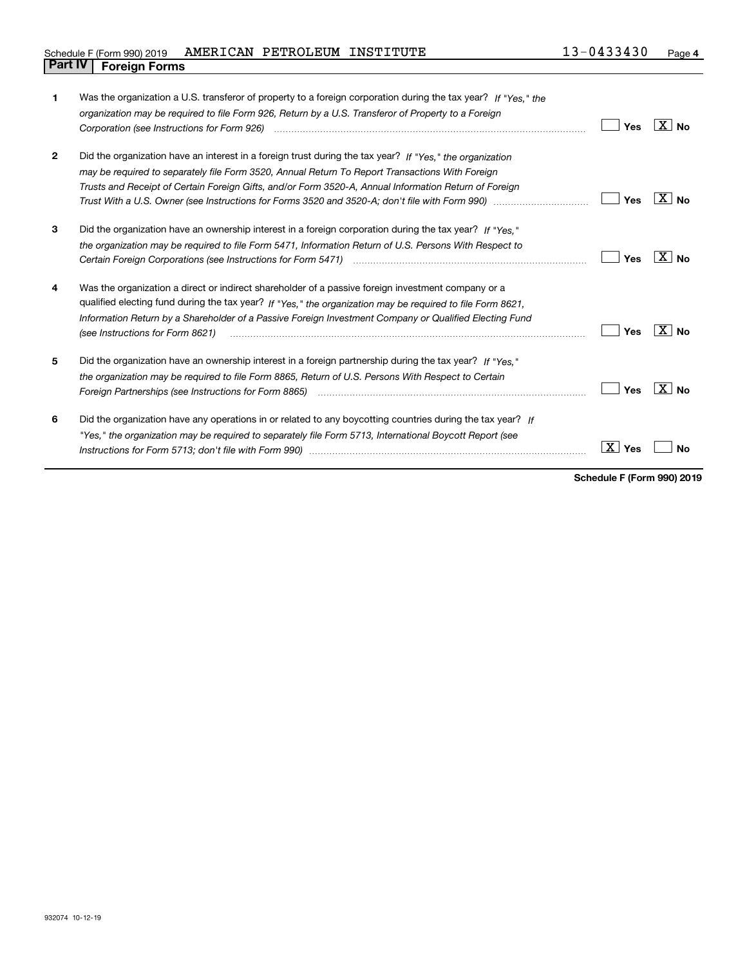## Schedule F (Form 990) 2019 **AMERICAN PETROLEUM INSTITUTE** 1 3-0433430 Page **Part IV F** (Form 990) 2019 *i*<br>**Part IV Foreign Forms**

| 1            | Was the organization a U.S. transferor of property to a foreign corporation during the tax year? If "Yes." the<br>organization may be required to file Form 926, Return by a U.S. Transferor of Property to a Foreign<br>Corporation (see Instructions for Form 926) <i>manual content content corporation</i> (see Instructions for Form 926)                                                                                         | Yes                 | $ X $ No |
|--------------|----------------------------------------------------------------------------------------------------------------------------------------------------------------------------------------------------------------------------------------------------------------------------------------------------------------------------------------------------------------------------------------------------------------------------------------|---------------------|----------|
| $\mathbf{2}$ | Did the organization have an interest in a foreign trust during the tax year? If "Yes," the organization<br>may be required to separately file Form 3520, Annual Return To Report Transactions With Foreign<br>Trusts and Receipt of Certain Foreign Gifts, and/or Form 3520-A, Annual Information Return of Foreign<br>Trust With a U.S. Owner (see Instructions for Forms 3520 and 3520-A; don't file with Form 990) manu-manu-manu- | Yes                 | ΧI<br>Nο |
| 3            | Did the organization have an ownership interest in a foreign corporation during the tax year? If "Yes."<br>the organization may be required to file Form 5471, Information Return of U.S. Persons With Respect to<br>Certain Foreign Corporations (see Instructions for Form 5471) <i>manded contained contained corporation</i> contained to                                                                                          | Yes                 | ∣X I No  |
| 4            | Was the organization a direct or indirect shareholder of a passive foreign investment company or a<br>qualified electing fund during the tax year? If "Yes," the organization may be required to file Form 8621.<br>Information Return by a Shareholder of a Passive Foreign Investment Company or Qualified Electing Fund<br>(see Instructions for Form 8621)                                                                         | Yes                 | ΧI<br>Nο |
| 5            | Did the organization have an ownership interest in a foreign partnership during the tax year? If "Yes."<br>the organization may be required to file Form 8865, Return of U.S. Persons With Respect to Certain                                                                                                                                                                                                                          | Yes                 | X∣No     |
| 6            | Did the organization have any operations in or related to any boycotting countries during the tax year? If<br>"Yes," the organization may be required to separately file Form 5713, International Boycott Report (see                                                                                                                                                                                                                  | $\mathbf{X}$<br>Yes | Nο       |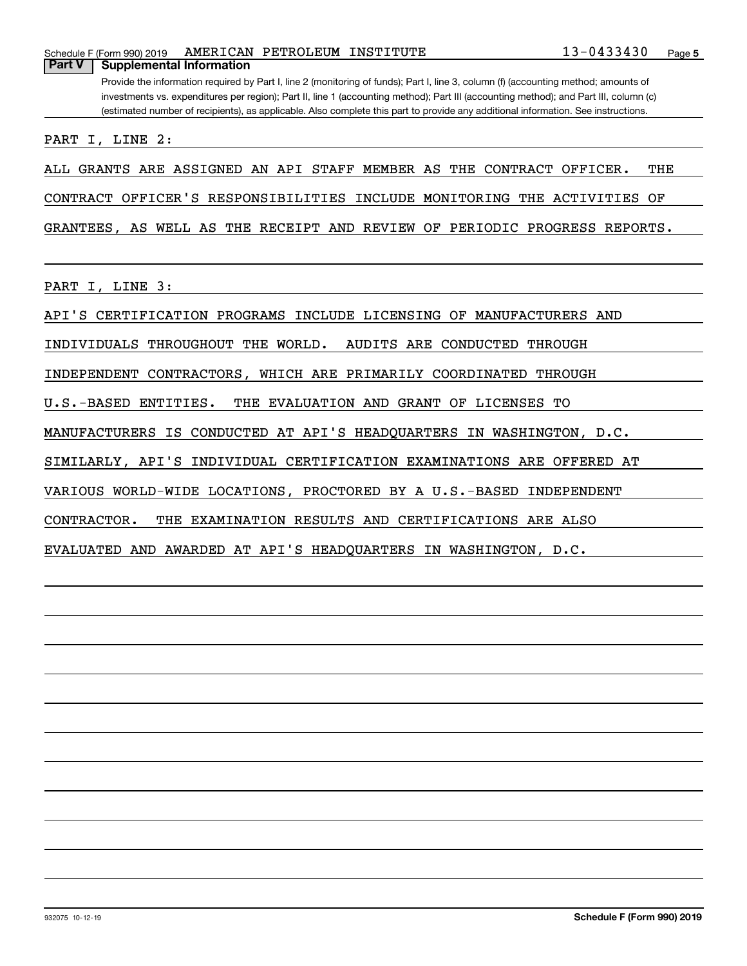## Schedule F (Form 990) 2019 Page AMERICAN PETROLEUM INSTITUTE 13-0433430**Part V Supplemental Information**

Provide the information required by Part I, line 2 (monitoring of funds); Part I, line 3, column (f) (accounting method; amounts of investments vs. expenditures per region); Part II, line 1 (accounting method); Part III (accounting method); and Part III, column (c) (estimated number of recipients), as applicable. Also complete this part to provide any additional information. See instructions.

PART I, LINE 2:

ALL GRANTS ARE ASSIGNED AN API STAFF MEMBER AS THE CONTRACT OFFICER. THE

CONTRACT OFFICER'S RESPONSIBILITIES INCLUDE MONITORING THE ACTIVITIES OF

GRANTEES, AS WELL AS THE RECEIPT AND REVIEW OF PERIODIC PROGRESS REPORTS.

PART I, LINE 3:

API'S CERTIFICATION PROGRAMS INCLUDE LICENSING OF MANUFACTURERS AND

INDIVIDUALS THROUGHOUT THE WORLD. AUDITS ARE CONDUCTED THROUGH

INDEPENDENT CONTRACTORS, WHICH ARE PRIMARILY COORDINATED THROUGH

U.S.-BASED ENTITIES. THE EVALUATION AND GRANT OF LICENSES TO

MANUFACTURERS IS CONDUCTED AT API'S HEADQUARTERS IN WASHINGTON, D.C.

SIMILARLY, API'S INDIVIDUAL CERTIFICATION EXAMINATIONS ARE OFFERED AT

VARIOUS WORLD-WIDE LOCATIONS, PROCTORED BY A U.S.-BASED INDEPENDENT

CONTRACTOR. THE EXAMINATION RESULTS AND CERTIFICATIONS ARE ALSO

EVALUATED AND AWARDED AT API'S HEADQUARTERS IN WASHINGTON, D.C.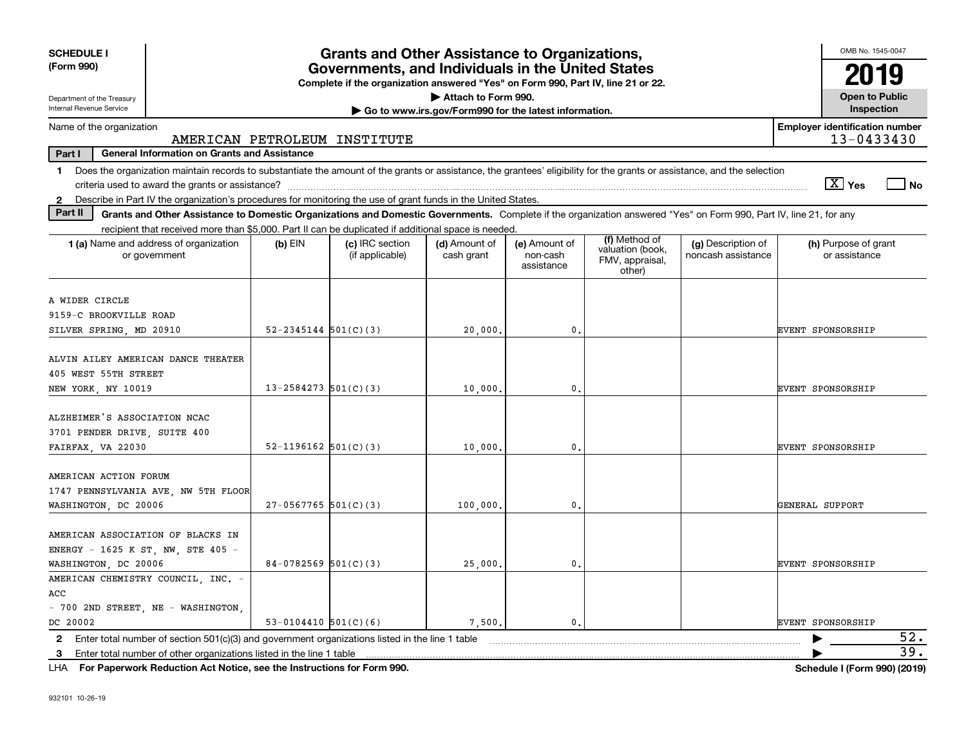| <b>SCHEDULE I</b><br>(Form 990)                                                                                                                                                          | <b>Grants and Other Assistance to Organizations,</b><br>Governments, and Individuals in the United States<br>Complete if the organization answered "Yes" on Form 990, Part IV, line 21 or 22. |                                    |                                                       |                                         |                                                                |                                          |                                                     |  |  |
|------------------------------------------------------------------------------------------------------------------------------------------------------------------------------------------|-----------------------------------------------------------------------------------------------------------------------------------------------------------------------------------------------|------------------------------------|-------------------------------------------------------|-----------------------------------------|----------------------------------------------------------------|------------------------------------------|-----------------------------------------------------|--|--|
| Department of the Treasury                                                                                                                                                               |                                                                                                                                                                                               |                                    | Attach to Form 990.                                   |                                         |                                                                |                                          | <b>Open to Public</b>                               |  |  |
| <b>Internal Revenue Service</b>                                                                                                                                                          |                                                                                                                                                                                               |                                    | Go to www.irs.gov/Form990 for the latest information. |                                         |                                                                |                                          | Inspection                                          |  |  |
| Name of the organization                                                                                                                                                                 |                                                                                                                                                                                               | AMERICAN PETROLEUM INSTITUTE       |                                                       |                                         |                                                                |                                          | <b>Employer identification number</b><br>13-0433430 |  |  |
| Part I<br><b>General Information on Grants and Assistance</b>                                                                                                                            |                                                                                                                                                                                               |                                    |                                                       |                                         |                                                                |                                          |                                                     |  |  |
| Does the organization maintain records to substantiate the amount of the grants or assistance, the grantees' eligibility for the grants or assistance, and the selection<br>$\mathbf{1}$ |                                                                                                                                                                                               |                                    |                                                       |                                         |                                                                |                                          |                                                     |  |  |
|                                                                                                                                                                                          |                                                                                                                                                                                               |                                    |                                                       |                                         |                                                                |                                          | $\sqrt{X}$ Yes<br>∣ No                              |  |  |
| 2 Describe in Part IV the organization's procedures for monitoring the use of grant funds in the United States.                                                                          |                                                                                                                                                                                               |                                    |                                                       |                                         |                                                                |                                          |                                                     |  |  |
| Part II<br>Grants and Other Assistance to Domestic Organizations and Domestic Governments. Complete if the organization answered "Yes" on Form 990, Part IV, line 21, for any            |                                                                                                                                                                                               |                                    |                                                       |                                         |                                                                |                                          |                                                     |  |  |
| recipient that received more than \$5,000. Part II can be duplicated if additional space is needed.                                                                                      |                                                                                                                                                                                               |                                    |                                                       |                                         |                                                                |                                          |                                                     |  |  |
| 1 (a) Name and address of organization<br>or government                                                                                                                                  | $(b)$ EIN                                                                                                                                                                                     | (c) IRC section<br>(if applicable) | (d) Amount of<br>cash grant                           | (e) Amount of<br>non-cash<br>assistance | (f) Method of<br>valuation (book,<br>FMV, appraisal,<br>other) | (g) Description of<br>noncash assistance | (h) Purpose of grant<br>or assistance               |  |  |
| A WIDER CIRCLE<br>9159-C BROOKVILLE ROAD<br>SILVER SPRING, MD 20910                                                                                                                      | $52 - 2345144$ $501(C)(3)$                                                                                                                                                                    |                                    | 20,000.                                               | $\mathbf{0}$ .                          |                                                                |                                          | EVENT SPONSORSHIP                                   |  |  |
| ALVIN AILEY AMERICAN DANCE THEATER<br>405 WEST 55TH STREET<br>NEW YORK, NY 10019                                                                                                         | $13 - 2584273$ 501(C)(3)                                                                                                                                                                      |                                    | 10,000.                                               | 0.                                      |                                                                |                                          | <b>EVENT SPONSORSHIP</b>                            |  |  |
| ALZHEIMER'S ASSOCIATION NCAC<br>3701 PENDER DRIVE, SUITE 400<br>FAIRFAX, VA 22030                                                                                                        | 52-1196162 $ 501(C)(3) $                                                                                                                                                                      |                                    | 10,000,                                               | 0.                                      |                                                                |                                          | <b>EVENT SPONSORSHIP</b>                            |  |  |
| AMERICAN ACTION FORUM<br>1747 PENNSYLVANIA AVE, NW 5TH FLOOR<br>WASHINGTON, DC 20006                                                                                                     | $27-0567765$ 501(C)(3)                                                                                                                                                                        |                                    | 100,000,                                              | $\mathbf{0}$ .                          |                                                                |                                          | GENERAL SUPPORT                                     |  |  |
| AMERICAN ASSOCIATION OF BLACKS IN<br>ENERGY - 1625 K ST, NW, STE 405 -<br>WASHINGTON, DC 20006                                                                                           | 84-0782569 $501(C)(3)$                                                                                                                                                                        |                                    | 25,000.                                               | $\mathbf{0}$ .                          |                                                                |                                          | EVENT SPONSORSHIP                                   |  |  |
| AMERICAN CHEMISTRY COUNCIL, INC. -<br>ACC<br>- 700 2ND STREET, NE - WASHINGTON,<br>DC 20002                                                                                              | 53-0104410 $501(C)(6)$                                                                                                                                                                        |                                    | 7,500.                                                | $\mathbf{0}$ .                          |                                                                |                                          | EVENT SPONSORSHIP                                   |  |  |
| Enter total number of section $501(c)(3)$ and government organizations listed in the line 1 table<br>2                                                                                   |                                                                                                                                                                                               |                                    |                                                       |                                         |                                                                |                                          | 52.                                                 |  |  |
| 3 Enter total number of other organizations listed in the line 1 table                                                                                                                   |                                                                                                                                                                                               |                                    |                                                       |                                         |                                                                |                                          | 39.                                                 |  |  |

**For Paperwork Reduction Act Notice, see the Instructions for Form 990. Schedule I (Form 990) (2019)** LHA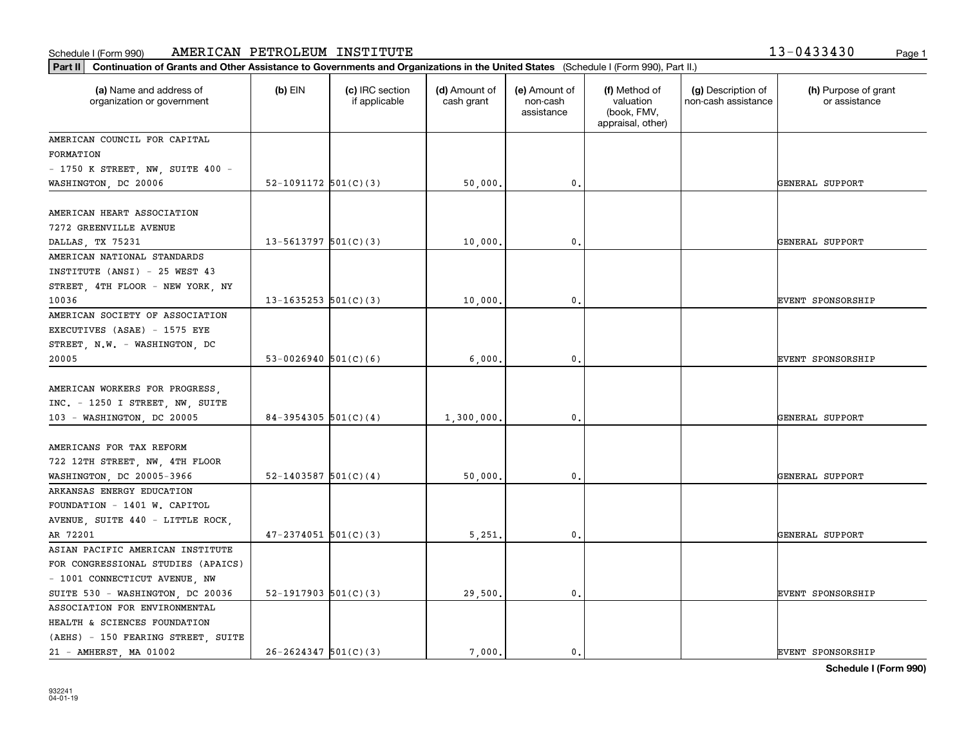#### **Part III Continuation of Grants and Other Assistance to Governments and Organizations in Governments and Organizations of Governments and Organizations of Governments and Organizations of Governments and States <b>Propert** Schedule I (Form 990) AMERICAN PETROLEUM INSTITUTE 1 3-0433430 <sub>Page 1</sub>

| Continuation of Grants and Other Assistance to Governments and Organizations in the United States (Schedule I (Form 990), Part II.)<br>Part II |                          |                                  |                             |                                         |                                                                |                                           |                                       |  |
|------------------------------------------------------------------------------------------------------------------------------------------------|--------------------------|----------------------------------|-----------------------------|-----------------------------------------|----------------------------------------------------------------|-------------------------------------------|---------------------------------------|--|
| (a) Name and address of<br>organization or government                                                                                          | $(b)$ EIN                | (c) IRC section<br>if applicable | (d) Amount of<br>cash grant | (e) Amount of<br>non-cash<br>assistance | (f) Method of<br>valuation<br>(book, FMV,<br>appraisal, other) | (g) Description of<br>non-cash assistance | (h) Purpose of grant<br>or assistance |  |
| AMERICAN COUNCIL FOR CAPITAL                                                                                                                   |                          |                                  |                             |                                         |                                                                |                                           |                                       |  |
| FORMATION                                                                                                                                      |                          |                                  |                             |                                         |                                                                |                                           |                                       |  |
| $-$ 1750 K STREET, NW, SUITE 400 $-$                                                                                                           |                          |                                  |                             |                                         |                                                                |                                           |                                       |  |
| WASHINGTON, DC 20006                                                                                                                           | 52-1091172 $501(C)(3)$   |                                  | 50,000.                     | $\mathbf{0}$ .                          |                                                                |                                           | GENERAL SUPPORT                       |  |
| AMERICAN HEART ASSOCIATION                                                                                                                     |                          |                                  |                             |                                         |                                                                |                                           |                                       |  |
| 7272 GREENVILLE AVENUE                                                                                                                         |                          |                                  |                             |                                         |                                                                |                                           |                                       |  |
| DALLAS, TX 75231                                                                                                                               | $13 - 5613797$ 501(C)(3) |                                  | 10,000.                     | 0.                                      |                                                                |                                           | GENERAL SUPPORT                       |  |
| AMERICAN NATIONAL STANDARDS                                                                                                                    |                          |                                  |                             |                                         |                                                                |                                           |                                       |  |
| INSTITUTE (ANSI) - 25 WEST 43                                                                                                                  |                          |                                  |                             |                                         |                                                                |                                           |                                       |  |
| STREET, 4TH FLOOR - NEW YORK, NY                                                                                                               |                          |                                  |                             |                                         |                                                                |                                           |                                       |  |
| 10036                                                                                                                                          | 13-1635253 $ 501(C)(3) $ |                                  | 10,000.                     | 0.                                      |                                                                |                                           | <b>EVENT SPONSORSHIP</b>              |  |
| AMERICAN SOCIETY OF ASSOCIATION                                                                                                                |                          |                                  |                             |                                         |                                                                |                                           |                                       |  |
| EXECUTIVES (ASAE) - 1575 EYE                                                                                                                   |                          |                                  |                             |                                         |                                                                |                                           |                                       |  |
| STREET, N.W. - WASHINGTON, DC                                                                                                                  |                          |                                  |                             |                                         |                                                                |                                           |                                       |  |
| 20005                                                                                                                                          | 53-0026940 $501(C)(6)$   |                                  | 6,000,                      | 0.                                      |                                                                |                                           | <b>EVENT SPONSORSHIP</b>              |  |
|                                                                                                                                                |                          |                                  |                             |                                         |                                                                |                                           |                                       |  |
| AMERICAN WORKERS FOR PROGRESS,                                                                                                                 |                          |                                  |                             |                                         |                                                                |                                           |                                       |  |
| INC. - 1250 I STREET, NW, SUITE                                                                                                                |                          |                                  |                             |                                         |                                                                |                                           |                                       |  |
| 103 - WASHINGTON, DC 20005                                                                                                                     | $84-3954305$ 501(C)(4)   |                                  | 1,300,000.                  | $\mathbf{0}$ .                          |                                                                |                                           | GENERAL SUPPORT                       |  |
| AMERICANS FOR TAX REFORM                                                                                                                       |                          |                                  |                             |                                         |                                                                |                                           |                                       |  |
| 722 12TH STREET, NW, 4TH FLOOR                                                                                                                 |                          |                                  |                             |                                         |                                                                |                                           |                                       |  |
| WASHINGTON, DC 20005-3966                                                                                                                      | 52-1403587 $ 501(C)(4) $ |                                  | 50,000.                     | 0.                                      |                                                                |                                           | GENERAL SUPPORT                       |  |
| ARKANSAS ENERGY EDUCATION                                                                                                                      |                          |                                  |                             |                                         |                                                                |                                           |                                       |  |
| FOUNDATION - 1401 W. CAPITOL                                                                                                                   |                          |                                  |                             |                                         |                                                                |                                           |                                       |  |
| AVENUE, SUITE 440 - LITTLE ROCK,                                                                                                               |                          |                                  |                             |                                         |                                                                |                                           |                                       |  |
| AR 72201                                                                                                                                       | $47 - 2374051$ 501(C)(3) |                                  | 5,251.                      | 0.                                      |                                                                |                                           | GENERAL SUPPORT                       |  |
| ASIAN PACIFIC AMERICAN INSTITUTE                                                                                                               |                          |                                  |                             |                                         |                                                                |                                           |                                       |  |
| FOR CONGRESSIONAL STUDIES (APAICS)                                                                                                             |                          |                                  |                             |                                         |                                                                |                                           |                                       |  |
| - 1001 CONNECTICUT AVENUE, NW                                                                                                                  |                          |                                  |                             |                                         |                                                                |                                           |                                       |  |
| SUITE 530 - WASHINGTON, DC 20036                                                                                                               | $52-1917903$ $501(C)(3)$ |                                  | 29,500.                     | 0.                                      |                                                                |                                           | <b>EVENT SPONSORSHIP</b>              |  |
| ASSOCIATION FOR ENVIRONMENTAL                                                                                                                  |                          |                                  |                             |                                         |                                                                |                                           |                                       |  |
| HEALTH & SCIENCES FOUNDATION                                                                                                                   |                          |                                  |                             |                                         |                                                                |                                           |                                       |  |
| (AEHS) - 150 FEARING STREET, SUITE                                                                                                             |                          |                                  |                             |                                         |                                                                |                                           |                                       |  |
| 21 - AMHERST, MA 01002                                                                                                                         | $26 - 2624347$ 501(C)(3) |                                  | 7.000.                      | 0.                                      |                                                                |                                           | <b>EVENT SPONSORSHIP</b>              |  |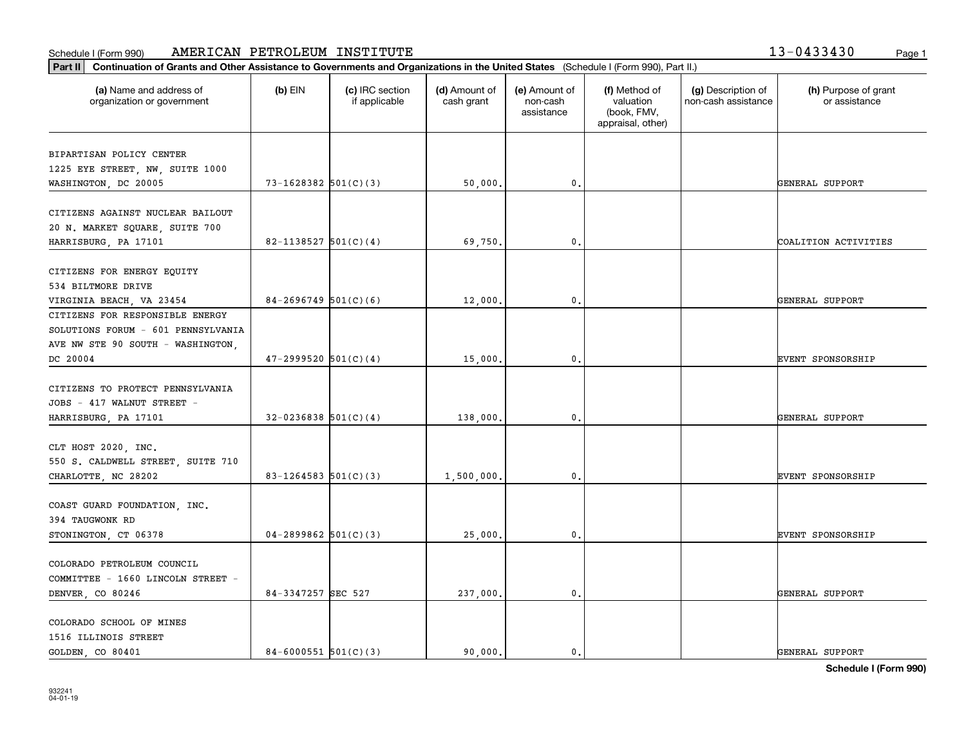**Part II Continuation of Grants and Other Assistance to Governments and Organizations in the United States**  (Schedule I (Form 990), Part II.)

| (a) Name and address of<br>organization or government | $(b)$ EIN                  | (c) IRC section<br>if applicable | (d) Amount of<br>cash grant | (e) Amount of<br>non-cash<br>assistance | (f) Method of<br>valuation<br>(book, FMV,<br>appraisal, other) | (g) Description of<br>non-cash assistance | (h) Purpose of grant<br>or assistance |
|-------------------------------------------------------|----------------------------|----------------------------------|-----------------------------|-----------------------------------------|----------------------------------------------------------------|-------------------------------------------|---------------------------------------|
| BIPARTISAN POLICY CENTER                              |                            |                                  |                             |                                         |                                                                |                                           |                                       |
| 1225 EYE STREET, NW, SUITE 1000                       |                            |                                  |                             |                                         |                                                                |                                           |                                       |
| WASHINGTON, DC 20005                                  | $73 - 1628382$ $501(C)(3)$ |                                  | 50,000.                     | $\mathbf{0}$ .                          |                                                                |                                           | GENERAL SUPPORT                       |
| CITIZENS AGAINST NUCLEAR BAILOUT                      |                            |                                  |                             |                                         |                                                                |                                           |                                       |
| 20 N. MARKET SQUARE, SUITE 700                        |                            |                                  |                             |                                         |                                                                |                                           |                                       |
| HARRISBURG, PA 17101                                  | 82-1138527 $501(C)(4)$     |                                  | 69,750.                     | $\mathbf{0}$ .                          |                                                                |                                           | COALITION ACTIVITIES                  |
|                                                       |                            |                                  |                             |                                         |                                                                |                                           |                                       |
| CITIZENS FOR ENERGY EQUITY<br>534 BILTMORE DRIVE      |                            |                                  |                             |                                         |                                                                |                                           |                                       |
| VIRGINIA BEACH, VA 23454                              | $84-2696749$ 501(C)(6)     |                                  | 12,000                      | 0.                                      |                                                                |                                           | GENERAL SUPPORT                       |
| CITIZENS FOR RESPONSIBLE ENERGY                       |                            |                                  |                             |                                         |                                                                |                                           |                                       |
| SOLUTIONS FORUM - 601 PENNSYLVANIA                    |                            |                                  |                             |                                         |                                                                |                                           |                                       |
| AVE NW STE 90 SOUTH - WASHINGTON,                     |                            |                                  |                             |                                         |                                                                |                                           |                                       |
| DC 20004                                              | $47 - 2999520$ $501(C)(4)$ |                                  | 15,000                      | 0.                                      |                                                                |                                           | EVENT SPONSORSHIP                     |
|                                                       |                            |                                  |                             |                                         |                                                                |                                           |                                       |
| CITIZENS TO PROTECT PENNSYLVANIA                      |                            |                                  |                             |                                         |                                                                |                                           |                                       |
| JOBS - 417 WALNUT STREET -                            |                            |                                  |                             |                                         |                                                                |                                           |                                       |
| HARRISBURG, PA 17101                                  | $32-0236838$ $501(C)(4)$   |                                  | 138,000.                    | $\mathbf{0}$ .                          |                                                                |                                           | GENERAL SUPPORT                       |
|                                                       |                            |                                  |                             |                                         |                                                                |                                           |                                       |
| CLT HOST 2020, INC.                                   |                            |                                  |                             |                                         |                                                                |                                           |                                       |
| 550 S. CALDWELL STREET, SUITE 710                     |                            |                                  |                             |                                         |                                                                |                                           |                                       |
| CHARLOTTE, NC 28202                                   | $83 - 1264583$ 501(C)(3)   |                                  | 1,500,000,                  | $\mathbf{0}$ .                          |                                                                |                                           | <b>EVENT SPONSORSHIP</b>              |
|                                                       |                            |                                  |                             |                                         |                                                                |                                           |                                       |
| COAST GUARD FOUNDATION, INC.                          |                            |                                  |                             |                                         |                                                                |                                           |                                       |
| 394 TAUGWONK RD                                       |                            |                                  |                             |                                         |                                                                |                                           |                                       |
| STONINGTON, CT 06378                                  | $04 - 2899862$ 501(C)(3)   |                                  | 25,000.                     | $\mathbf{0}$ .                          |                                                                |                                           | EVENT SPONSORSHIP                     |
| COLORADO PETROLEUM COUNCIL                            |                            |                                  |                             |                                         |                                                                |                                           |                                       |
| COMMITTEE - 1660 LINCOLN STREET -                     |                            |                                  |                             |                                         |                                                                |                                           |                                       |
| DENVER, CO 80246                                      | 84-3347257 SEC 527         |                                  | 237,000.                    | $\mathbf{0}$ .                          |                                                                |                                           | GENERAL SUPPORT                       |
|                                                       |                            |                                  |                             |                                         |                                                                |                                           |                                       |
| COLORADO SCHOOL OF MINES                              |                            |                                  |                             |                                         |                                                                |                                           |                                       |
| 1516 ILLINOIS STREET                                  |                            |                                  |                             |                                         |                                                                |                                           |                                       |
| GOLDEN, CO 80401                                      | $84 - 6000551$ 501(C)(3)   |                                  | 90.000.                     | $\mathbf{0}$ .                          |                                                                |                                           | GENERAL SUPPORT                       |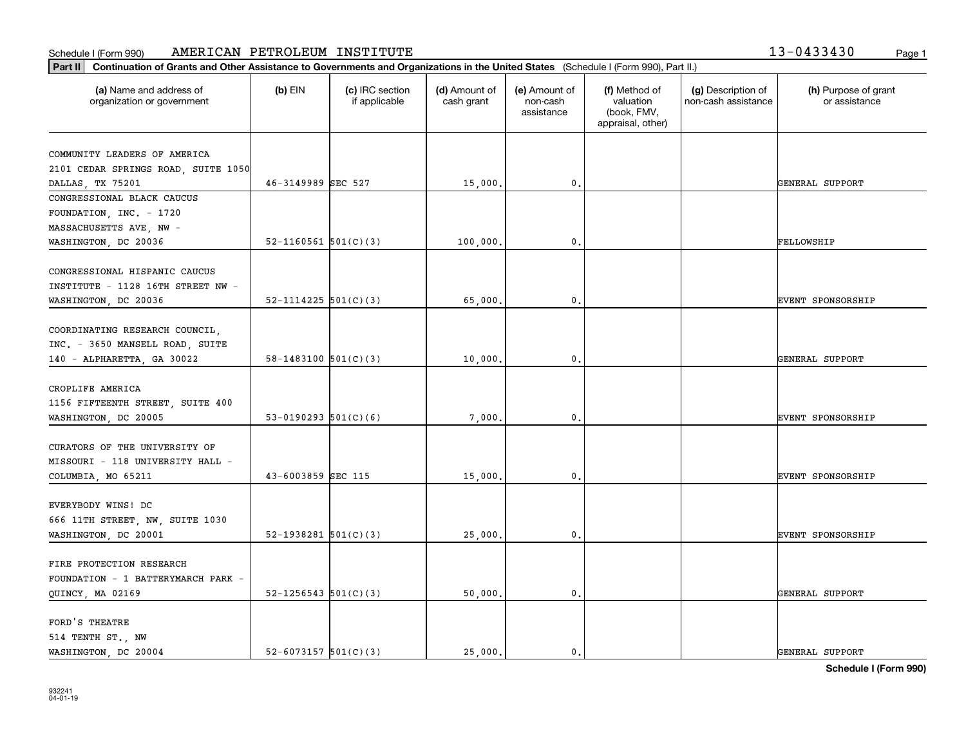**Part II Continuation of Grants and Other Assistance to Governments and Organizations in the United States**  (Schedule I (Form 990), Part II.)

| (a) Name and address of<br>organization or government                                           | $(b)$ EIN                  | (c) IRC section<br>if applicable | (d) Amount of<br>cash grant | (e) Amount of<br>non-cash<br>assistance | (f) Method of<br>valuation<br>(book, FMV,<br>appraisal, other) | (g) Description of<br>non-cash assistance | (h) Purpose of grant<br>or assistance |
|-------------------------------------------------------------------------------------------------|----------------------------|----------------------------------|-----------------------------|-----------------------------------------|----------------------------------------------------------------|-------------------------------------------|---------------------------------------|
| COMMUNITY LEADERS OF AMERICA                                                                    |                            |                                  |                             |                                         |                                                                |                                           |                                       |
| 2101 CEDAR SPRINGS ROAD, SUITE 1050                                                             |                            |                                  |                             |                                         |                                                                |                                           |                                       |
| DALLAS, TX 75201                                                                                | 46-3149989 SEC 527         |                                  | 15,000.                     | 0.                                      |                                                                |                                           | GENERAL SUPPORT                       |
| CONGRESSIONAL BLACK CAUCUS                                                                      |                            |                                  |                             |                                         |                                                                |                                           |                                       |
| FOUNDATION, INC. - 1720                                                                         |                            |                                  |                             |                                         |                                                                |                                           |                                       |
| MASSACHUSETTS AVE, NW -                                                                         |                            |                                  |                             |                                         |                                                                |                                           |                                       |
| WASHINGTON, DC 20036                                                                            | 52-1160561 $501(C)(3)$     |                                  | 100,000.                    | $\mathbf{0}$ .                          |                                                                |                                           | FELLOWSHIP                            |
|                                                                                                 |                            |                                  |                             |                                         |                                                                |                                           |                                       |
| CONGRESSIONAL HISPANIC CAUCUS                                                                   |                            |                                  |                             |                                         |                                                                |                                           |                                       |
| INSTITUTE - 1128 16TH STREET NW -                                                               |                            |                                  |                             |                                         |                                                                |                                           |                                       |
| WASHINGTON, DC 20036                                                                            | $52 - 1114225$ $501(C)(3)$ |                                  | 65,000.                     | 0.                                      |                                                                |                                           | <b>EVENT SPONSORSHIP</b>              |
| COORDINATING RESEARCH COUNCIL,<br>INC. - 3650 MANSELL ROAD, SUITE<br>140 - ALPHARETTA, GA 30022 | 58-1483100 $501(C)(3)$     |                                  | 10,000.                     | 0.                                      |                                                                |                                           | GENERAL SUPPORT                       |
|                                                                                                 |                            |                                  |                             |                                         |                                                                |                                           |                                       |
| CROPLIFE AMERICA<br>1156 FIFTEENTH STREET, SUITE 400<br>WASHINGTON, DC 20005                    | 53-0190293 $501(C)(6)$     |                                  | 7,000.                      | 0.                                      |                                                                |                                           | EVENT SPONSORSHIP                     |
|                                                                                                 |                            |                                  |                             |                                         |                                                                |                                           |                                       |
| CURATORS OF THE UNIVERSITY OF<br>MISSOURI - 118 UNIVERSITY HALL -<br>COLUMBIA, MO 65211         | 43-6003859 SEC 115         |                                  | 15,000.                     | $\mathbf{0}$ .                          |                                                                |                                           | <b>EVENT SPONSORSHIP</b>              |
|                                                                                                 |                            |                                  |                             |                                         |                                                                |                                           |                                       |
| EVERYBODY WINS! DC<br>666 11TH STREET, NW, SUITE 1030<br>WASHINGTON, DC 20001                   | 52-1938281 $501(C)(3)$     |                                  | 25,000.                     | 0.                                      |                                                                |                                           | EVENT SPONSORSHIP                     |
|                                                                                                 |                            |                                  |                             |                                         |                                                                |                                           |                                       |
| FIRE PROTECTION RESEARCH<br>FOUNDATION - 1 BATTERYMARCH PARK -                                  |                            |                                  |                             |                                         |                                                                |                                           |                                       |
| QUINCY, MA 02169                                                                                | $52 - 1256543$ $501(C)(3)$ |                                  | 50,000.                     | $\mathfrak o$ .                         |                                                                |                                           | GENERAL SUPPORT                       |
|                                                                                                 |                            |                                  |                             |                                         |                                                                |                                           |                                       |
| FORD'S THEATRE<br>514 TENTH ST., NW                                                             |                            |                                  |                             |                                         |                                                                |                                           |                                       |

WASHINGTON, DC 20004  $\begin{vmatrix} 52-6073157 & 501(C)(3) \end{vmatrix}$  25,000. 0. 0.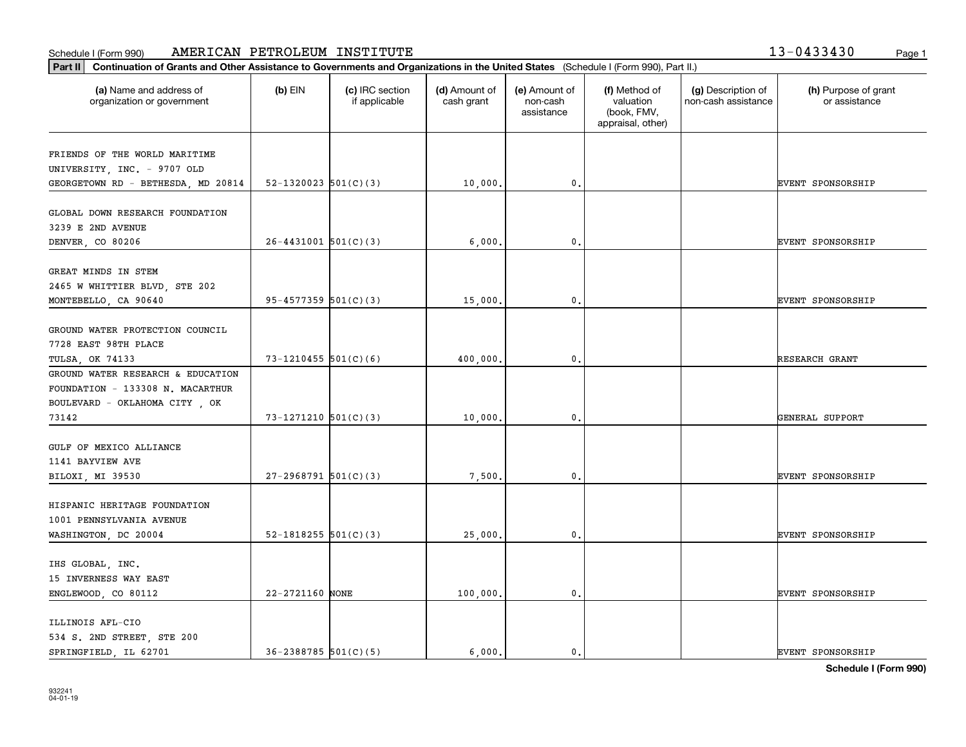**Part II Continuation of Grants and Other Assistance to Governments and Organizations in the United States**  (Schedule I (Form 990), Part II.)

| (a) Name and address of<br>organization or government                                                  | $(b)$ EIN                  | (c) IRC section<br>if applicable | (d) Amount of<br>cash grant | (e) Amount of<br>non-cash<br>assistance | (f) Method of<br>valuation<br>(book, FMV,<br>appraisal, other) | (g) Description of<br>non-cash assistance | (h) Purpose of grant<br>or assistance |
|--------------------------------------------------------------------------------------------------------|----------------------------|----------------------------------|-----------------------------|-----------------------------------------|----------------------------------------------------------------|-------------------------------------------|---------------------------------------|
| FRIENDS OF THE WORLD MARITIME                                                                          |                            |                                  |                             |                                         |                                                                |                                           |                                       |
| UNIVERSITY, INC. - 9707 OLD                                                                            |                            |                                  |                             |                                         |                                                                |                                           |                                       |
| GEORGETOWN RD - BETHESDA, MD 20814                                                                     | 52-1320023 $501(C)(3)$     |                                  | 10,000.                     | 0.                                      |                                                                |                                           | EVENT SPONSORSHIP                     |
| GLOBAL DOWN RESEARCH FOUNDATION<br>3239 E 2ND AVENUE                                                   |                            |                                  |                             |                                         |                                                                |                                           |                                       |
| DENVER, CO 80206                                                                                       | $26 - 4431001$ $501(C)(3)$ |                                  | 6,000.                      | 0.                                      |                                                                |                                           | EVENT SPONSORSHIP                     |
|                                                                                                        |                            |                                  |                             |                                         |                                                                |                                           |                                       |
| GREAT MINDS IN STEM                                                                                    |                            |                                  |                             |                                         |                                                                |                                           |                                       |
| 2465 W WHITTIER BLVD, STE 202                                                                          |                            |                                  |                             |                                         |                                                                |                                           |                                       |
| MONTEBELLO, CA 90640                                                                                   | $95 - 4577359$ $501(C)(3)$ |                                  | 15,000.                     | $\mathbf 0$ .                           |                                                                |                                           | EVENT SPONSORSHIP                     |
| GROUND WATER PROTECTION COUNCIL<br>7728 EAST 98TH PLACE                                                |                            |                                  |                             |                                         |                                                                |                                           |                                       |
| TULSA, OK 74133                                                                                        | $73 - 1210455$ 501(C)(6)   |                                  | 400,000.                    | $\mathbf{0}$                            |                                                                |                                           | RESEARCH GRANT                        |
| GROUND WATER RESEARCH & EDUCATION<br>FOUNDATION - 133308 N. MACARTHUR<br>BOULEVARD - OKLAHOMA CITY, OK |                            |                                  |                             |                                         |                                                                |                                           |                                       |
| 73142                                                                                                  | $73 - 1271210$ 501(C)(3)   |                                  | 10,000.                     | 0.                                      |                                                                |                                           | GENERAL SUPPORT                       |
| GULF OF MEXICO ALLIANCE<br>1141 BAYVIEW AVE<br>BILOXI, MI 39530                                        | $27-2968791$ 501(C)(3)     |                                  | 7,500.                      | $\mathbf 0$ .                           |                                                                |                                           | <b>EVENT SPONSORSHIP</b>              |
| HISPANIC HERITAGE FOUNDATION<br>1001 PENNSYLVANIA AVENUE                                               |                            |                                  |                             |                                         |                                                                |                                           |                                       |
| WASHINGTON, DC 20004                                                                                   | 52-1818255 $501(C)(3)$     |                                  | 25,000.                     | $\mathbf 0$ .                           |                                                                |                                           | <b>EVENT SPONSORSHIP</b>              |
| IHS GLOBAL, INC.<br>15 INVERNESS WAY EAST<br>ENGLEWOOD, CO 80112                                       | 22-2721160 NONE            |                                  | 100,000.                    | $\mathsf{0}$ .                          |                                                                |                                           | EVENT SPONSORSHIP                     |
| ILLINOIS AFL-CIO<br>534 S. 2ND STREET, STE 200<br>SPRINGFIELD, IL 62701                                | $36 - 2388785$ 501(C)(5)   |                                  | 6,000.                      | $\mathfrak{o}$ .                        |                                                                |                                           | <b>EVENT SPONSORSHIP</b>              |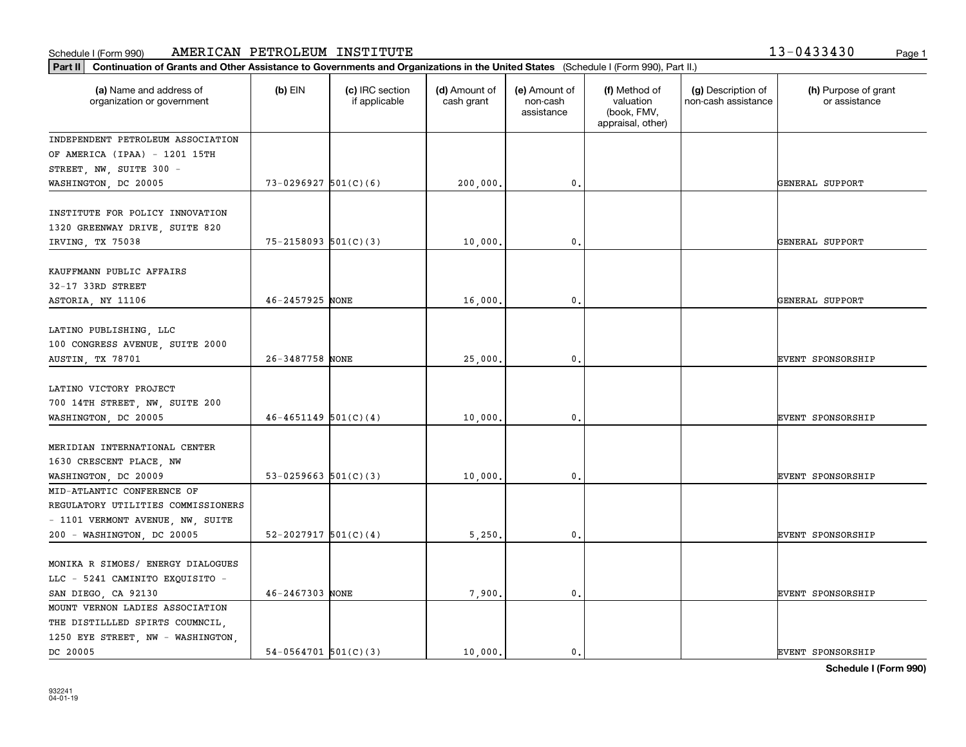**Part II Continuation of Grants and Other Assistance to Governments and Organizations in the United States**  (Schedule I (Form 990), Part II.)

| (a) Name and address of<br>organization or government                                                                              | $(b)$ EIN                  | (c) IRC section<br>if applicable | (d) Amount of<br>cash grant | (e) Amount of<br>non-cash<br>assistance | (f) Method of<br>valuation<br>(book, FMV,<br>appraisal, other) | (g) Description of<br>non-cash assistance | (h) Purpose of grant<br>or assistance |
|------------------------------------------------------------------------------------------------------------------------------------|----------------------------|----------------------------------|-----------------------------|-----------------------------------------|----------------------------------------------------------------|-------------------------------------------|---------------------------------------|
| INDEPENDENT PETROLEUM ASSOCIATION                                                                                                  |                            |                                  |                             |                                         |                                                                |                                           |                                       |
| OF AMERICA (IPAA) - 1201 15TH                                                                                                      |                            |                                  |                             |                                         |                                                                |                                           |                                       |
| STREET, NW, SUITE 300 -                                                                                                            |                            |                                  |                             |                                         |                                                                |                                           |                                       |
| WASHINGTON, DC 20005                                                                                                               | $73-0296927$ 501(C)(6)     |                                  | 200,000.                    | 0.                                      |                                                                |                                           | GENERAL SUPPORT                       |
| INSTITUTE FOR POLICY INNOVATION<br>1320 GREENWAY DRIVE, SUITE 820<br>IRVING, TX 75038                                              | $75 - 2158093$ $501(C)(3)$ |                                  | 10,000.                     | 0.                                      |                                                                |                                           | GENERAL SUPPORT                       |
|                                                                                                                                    |                            |                                  |                             |                                         |                                                                |                                           |                                       |
| KAUFFMANN PUBLIC AFFAIRS<br>32-17 33RD STREET                                                                                      |                            |                                  |                             |                                         |                                                                |                                           |                                       |
| ASTORIA, NY 11106                                                                                                                  | 46-2457925 NONE            |                                  | 16,000.                     | 0.                                      |                                                                |                                           | GENERAL SUPPORT                       |
| LATINO PUBLISHING, LLC<br>100 CONGRESS AVENUE, SUITE 2000<br>AUSTIN, TX 78701                                                      | 26-3487758 NONE            |                                  | 25,000.                     | 0.                                      |                                                                |                                           | EVENT SPONSORSHIP                     |
| LATINO VICTORY PROJECT<br>700 14TH STREET, NW, SUITE 200<br>WASHINGTON, DC 20005                                                   | $46 - 4651149$ $501(C)(4)$ |                                  | 10,000.                     | 0.                                      |                                                                |                                           | EVENT SPONSORSHIP                     |
| MERIDIAN INTERNATIONAL CENTER<br>1630 CRESCENT PLACE, NW<br>WASHINGTON, DC 20009                                                   | $53-0259663$ $501(C)(3)$   |                                  | 10,000.                     | 0.                                      |                                                                |                                           | EVENT SPONSORSHIP                     |
| MID-ATLANTIC CONFERENCE OF<br>REGULATORY UTILITIES COMMISSIONERS<br>- 1101 VERMONT AVENUE, NW, SUITE<br>200 - WASHINGTON, DC 20005 | $52 - 2027917$ $501(C)(4)$ |                                  | 5,250.                      | 0.                                      |                                                                |                                           | <b>EVENT SPONSORSHIP</b>              |
|                                                                                                                                    |                            |                                  |                             |                                         |                                                                |                                           |                                       |
| MONIKA R SIMOES/ ENERGY DIALOGUES<br>LLC - 5241 CAMINITO EXQUISITO -<br>SAN DIEGO, CA 92130                                        | 46-2467303 NONE            |                                  | 7,900.                      | $\mathfrak{o}$ .                        |                                                                |                                           | EVENT SPONSORSHIP                     |
| MOUNT VERNON LADIES ASSOCIATION                                                                                                    |                            |                                  |                             |                                         |                                                                |                                           |                                       |
| THE DISTILLLED SPIRTS COUMNCIL,                                                                                                    |                            |                                  |                             |                                         |                                                                |                                           |                                       |
| 1250 EYE STREET, NW - WASHINGTON,                                                                                                  |                            |                                  |                             |                                         |                                                                |                                           |                                       |

DC 20005 54-0564701 501(C)(3) 0. 0. 0. 0. 0. EVENT SPONSORSHIP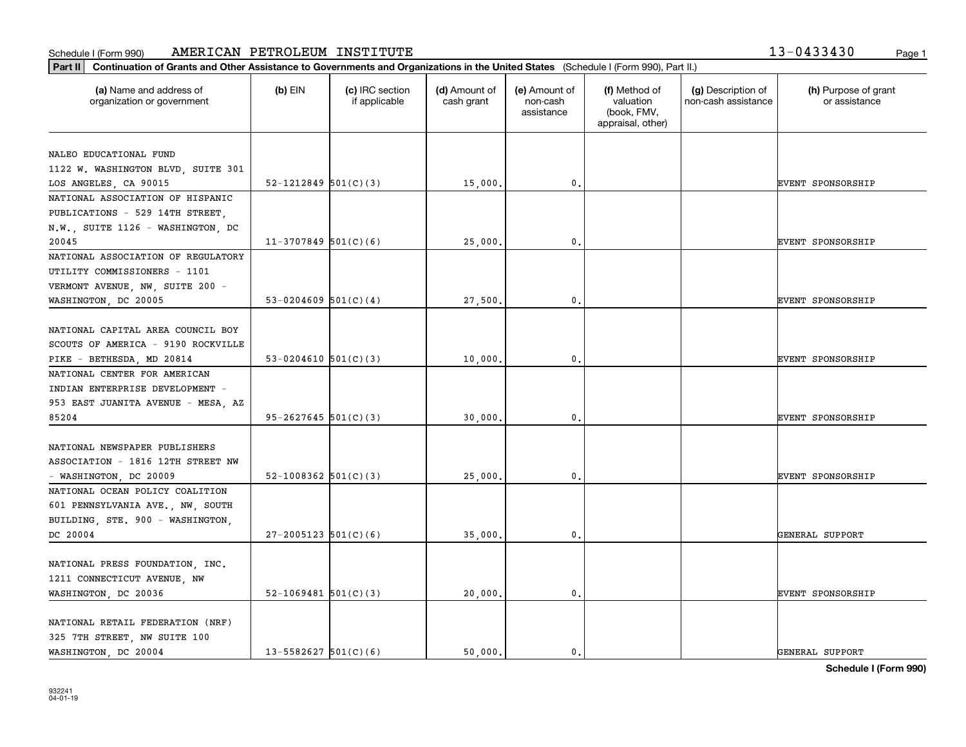**Part II Continuation of Grants and Other Assistance to Governments and Organizations in the United States**  (Schedule I (Form 990), Part II.)

| Schedule I (Form 990) |  |  |
|-----------------------|--|--|
|                       |  |  |

| (a) Name and address of<br>organization or government                                                | $(b)$ EIN                  | (c) IRC section<br>if applicable | (d) Amount of<br>cash grant | (e) Amount of<br>non-cash<br>assistance | (f) Method of<br>valuation<br>(book, FMV,<br>appraisal, other) | (g) Description of<br>non-cash assistance | (h) Purpose of grant<br>or assistance |
|------------------------------------------------------------------------------------------------------|----------------------------|----------------------------------|-----------------------------|-----------------------------------------|----------------------------------------------------------------|-------------------------------------------|---------------------------------------|
| NALEO EDUCATIONAL FUND                                                                               |                            |                                  |                             |                                         |                                                                |                                           |                                       |
| 1122 W. WASHINGTON BLVD, SUITE 301                                                                   |                            |                                  |                             |                                         |                                                                |                                           |                                       |
| LOS ANGELES, CA 90015                                                                                | $52 - 1212849$ $501(C)(3)$ |                                  | 15,000                      | 0.                                      |                                                                |                                           | <b>EVENT SPONSORSHIP</b>              |
| NATIONAL ASSOCIATION OF HISPANIC                                                                     |                            |                                  |                             |                                         |                                                                |                                           |                                       |
| PUBLICATIONS - 529 14TH STREET,                                                                      |                            |                                  |                             |                                         |                                                                |                                           |                                       |
| N.W., SUITE 1126 - WASHINGTON, DC                                                                    |                            |                                  |                             |                                         |                                                                |                                           |                                       |
| 20045                                                                                                | $11-3707849$ 501(C)(6)     |                                  | 25,000                      | $\mathfrak{o}$ .                        |                                                                |                                           | EVENT SPONSORSHIP                     |
| NATIONAL ASSOCIATION OF REGULATORY                                                                   |                            |                                  |                             |                                         |                                                                |                                           |                                       |
| UTILITY COMMISSIONERS - 1101                                                                         |                            |                                  |                             |                                         |                                                                |                                           |                                       |
| VERMONT AVENUE, NW, SUITE 200 -                                                                      |                            |                                  |                             |                                         |                                                                |                                           |                                       |
| WASHINGTON, DC 20005                                                                                 | 53-0204609 $501(C)(4)$     |                                  | 27,500                      | 0.                                      |                                                                |                                           | EVENT SPONSORSHIP                     |
| NATIONAL CAPITAL AREA COUNCIL BOY<br>SCOUTS OF AMERICA - 9190 ROCKVILLE<br>PIKE - BETHESDA, MD 20814 | 53-0204610 $501(C)(3)$     |                                  | 10,000                      | $\mathbf 0$                             |                                                                |                                           | EVENT SPONSORSHIP                     |
| NATIONAL CENTER FOR AMERICAN                                                                         |                            |                                  |                             |                                         |                                                                |                                           |                                       |
| INDIAN ENTERPRISE DEVELOPMENT -                                                                      |                            |                                  |                             |                                         |                                                                |                                           |                                       |
| 953 EAST JUANITA AVENUE - MESA, AZ                                                                   |                            |                                  |                             |                                         |                                                                |                                           |                                       |
| 85204                                                                                                | 95-2627645 501(C)(3)       |                                  | 30,000                      | $\mathbf 0$                             |                                                                |                                           | <b>EVENT SPONSORSHIP</b>              |
| NATIONAL NEWSPAPER PUBLISHERS<br>ASSOCIATION - 1816 12TH STREET NW                                   | 52-1008362 $501(C)(3)$     |                                  | 25,000                      | $\mathfrak{o}$ .                        |                                                                |                                           | <b>EVENT SPONSORSHIP</b>              |
| - WASHINGTON, DC 20009<br>NATIONAL OCEAN POLICY COALITION                                            |                            |                                  |                             |                                         |                                                                |                                           |                                       |
| 601 PENNSYLVANIA AVE., NW, SOUTH<br>BUILDING, STE. 900 - WASHINGTON,                                 |                            |                                  |                             |                                         |                                                                |                                           |                                       |
| DC 20004                                                                                             | $27 - 2005123$ 501(C)(6)   |                                  | 35,000                      | 0.                                      |                                                                |                                           | GENERAL SUPPORT                       |
| NATIONAL PRESS FOUNDATION, INC.<br>1211 CONNECTICUT AVENUE, NW<br>WASHINGTON, DC 20036               | $52-1069481$ $501(C)(3)$   |                                  | 20,000                      | 0.                                      |                                                                |                                           | EVENT SPONSORSHIP                     |
| NATIONAL RETAIL FEDERATION (NRF)<br>325 7TH STREET, NW SUITE 100<br>WASHINGTON, DC 20004             | 13-5582627 $501(C)(6)$     |                                  | 50,000.                     | $\mathbf{0}$ .                          |                                                                |                                           | GENERAL SUPPORT                       |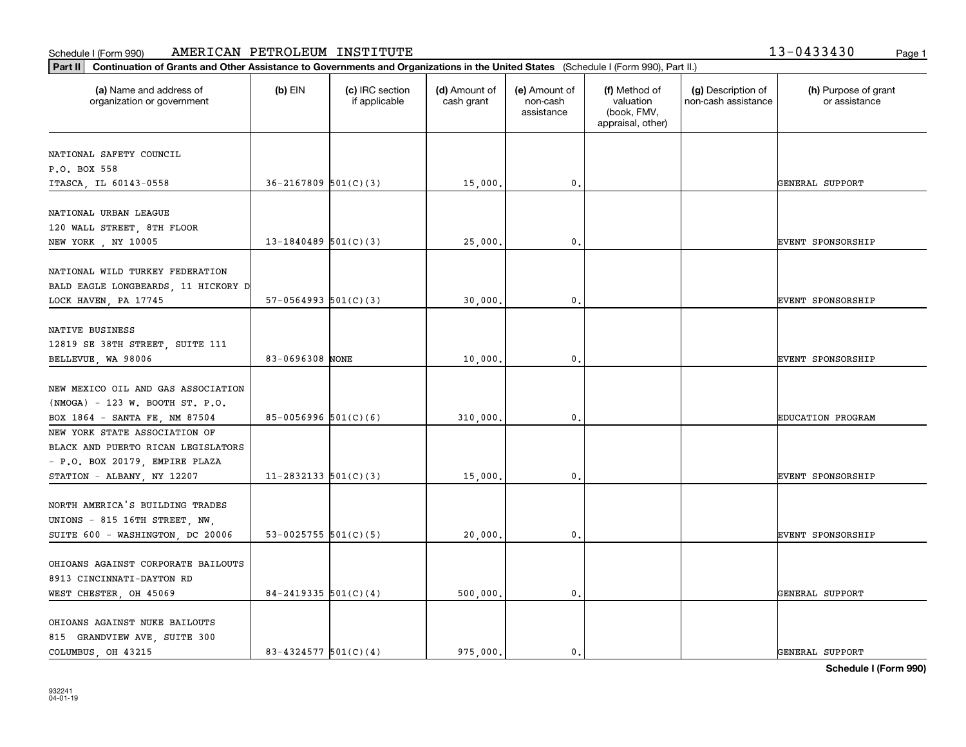**Part II Continuation of Grants and Other Assistance to Governments and Organizations in the United States**  (Schedule I (Form 990), Part II.)

| (a) Name and address of<br>organization or government        | $(b)$ EIN                | (c) IRC section<br>if applicable | (d) Amount of<br>cash grant | (e) Amount of<br>non-cash<br>assistance | (f) Method of<br>valuation<br>(book, FMV,<br>appraisal, other) | (g) Description of<br>non-cash assistance | (h) Purpose of grant<br>or assistance |
|--------------------------------------------------------------|--------------------------|----------------------------------|-----------------------------|-----------------------------------------|----------------------------------------------------------------|-------------------------------------------|---------------------------------------|
| NATIONAL SAFETY COUNCIL                                      |                          |                                  |                             |                                         |                                                                |                                           |                                       |
| P.O. BOX 558                                                 |                          |                                  |                             |                                         |                                                                |                                           |                                       |
| ITASCA, IL 60143-0558                                        | $36 - 2167809$ 501(C)(3) |                                  | 15,000                      | 0.                                      |                                                                |                                           | GENERAL SUPPORT                       |
| NATIONAL URBAN LEAGUE                                        |                          |                                  |                             |                                         |                                                                |                                           |                                       |
| 120 WALL STREET, 8TH FLOOR                                   |                          |                                  |                             |                                         |                                                                |                                           |                                       |
| NEW YORK, NY 10005                                           | 13-1840489 $501(C)(3)$   |                                  | 25,000                      | 0.                                      |                                                                |                                           | EVENT SPONSORSHIP                     |
|                                                              |                          |                                  |                             |                                         |                                                                |                                           |                                       |
| NATIONAL WILD TURKEY FEDERATION                              |                          |                                  |                             |                                         |                                                                |                                           |                                       |
| BALD EAGLE LONGBEARDS, 11 HICKORY D                          |                          |                                  |                             |                                         |                                                                |                                           |                                       |
| LOCK HAVEN, PA 17745                                         | $57-0564993$ $501(C)(3)$ |                                  | 30,000                      | 0.                                      |                                                                |                                           | <b>EVENT SPONSORSHIP</b>              |
| NATIVE BUSINESS                                              |                          |                                  |                             |                                         |                                                                |                                           |                                       |
| 12819 SE 38TH STREET, SUITE 111                              |                          |                                  |                             |                                         |                                                                |                                           |                                       |
| BELLEVUE, WA 98006                                           | 83-0696308 NONE          |                                  | 10,000                      | 0.                                      |                                                                |                                           | EVENT SPONSORSHIP                     |
|                                                              |                          |                                  |                             |                                         |                                                                |                                           |                                       |
| NEW MEXICO OIL AND GAS ASSOCIATION                           |                          |                                  |                             |                                         |                                                                |                                           |                                       |
| $(NMOGA) - 123 W$ . BOOTH ST. P.O.                           |                          |                                  |                             |                                         |                                                                |                                           |                                       |
| BOX 1864 - SANTA FE, NM 87504                                | 85-0056996 $501(C)(6)$   |                                  | 310,000.                    | 0.                                      |                                                                |                                           | EDUCATION PROGRAM                     |
| NEW YORK STATE ASSOCIATION OF                                |                          |                                  |                             |                                         |                                                                |                                           |                                       |
| BLACK AND PUERTO RICAN LEGISLATORS                           |                          |                                  |                             |                                         |                                                                |                                           |                                       |
| - P.O. BOX 20179, EMPIRE PLAZA                               |                          |                                  |                             |                                         |                                                                |                                           |                                       |
| STATION - ALBANY, NY 12207                                   | 11-2832133 $501(C)(3)$   |                                  | 15,000                      | 0.                                      |                                                                |                                           | EVENT SPONSORSHIP                     |
|                                                              |                          |                                  |                             |                                         |                                                                |                                           |                                       |
| NORTH AMERICA'S BUILDING TRADES                              |                          |                                  |                             |                                         |                                                                |                                           |                                       |
| UNIONS - 815 16TH STREET, NW,                                |                          |                                  |                             |                                         |                                                                |                                           |                                       |
| SUITE 600 - WASHINGTON, DC 20006                             | 53-0025755 $501(C)(5)$   |                                  | 20,000                      | $\mathbf{0}$ .                          |                                                                |                                           | EVENT SPONSORSHIP                     |
|                                                              |                          |                                  |                             |                                         |                                                                |                                           |                                       |
| OHIOANS AGAINST CORPORATE BAILOUTS                           |                          |                                  |                             |                                         |                                                                |                                           |                                       |
| 8913 CINCINNATI-DAYTON RD                                    |                          |                                  |                             |                                         |                                                                |                                           |                                       |
| WEST CHESTER, OH 45069                                       | $84 - 2419335$ 501(C)(4) |                                  | 500,000.                    | $\mathbf{0}$ .                          |                                                                |                                           | GENERAL SUPPORT                       |
|                                                              |                          |                                  |                             |                                         |                                                                |                                           |                                       |
| OHIOANS AGAINST NUKE BAILOUTS<br>815 GRANDVIEW AVE SUITE 300 |                          |                                  |                             |                                         |                                                                |                                           |                                       |
|                                                              |                          |                                  |                             |                                         |                                                                |                                           |                                       |

┰

COLUMBUS, OH 43215 83-4324577 501(C)(4) 975,000. 0. 0.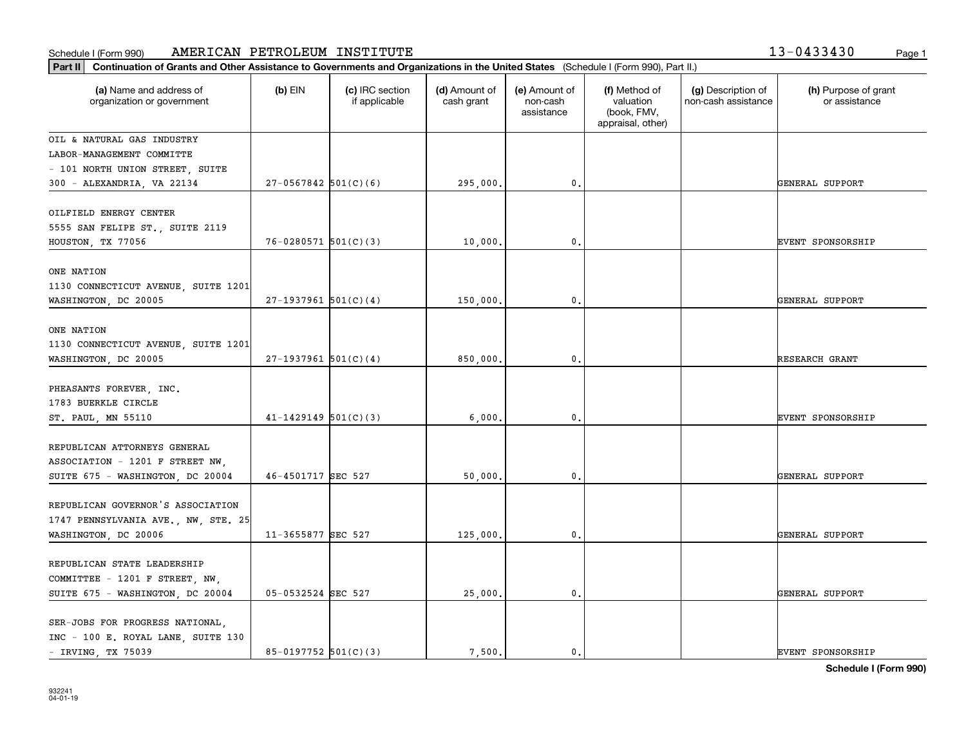**Part II Continuation of Grants and Other Assistance to Governments and Organizations in the United States**  (Schedule I (Form 990), Part II.)

| (a) Name and address of<br>organization or government                 | $(b)$ EIN                | (c) IRC section<br>if applicable | (d) Amount of<br>cash grant | (e) Amount of<br>non-cash<br>assistance | (f) Method of<br>valuation<br>(book, FMV,<br>appraisal, other) | (g) Description of<br>non-cash assistance | (h) Purpose of grant<br>or assistance |
|-----------------------------------------------------------------------|--------------------------|----------------------------------|-----------------------------|-----------------------------------------|----------------------------------------------------------------|-------------------------------------------|---------------------------------------|
| OIL & NATURAL GAS INDUSTRY                                            |                          |                                  |                             |                                         |                                                                |                                           |                                       |
| LABOR-MANAGEMENT COMMITTE                                             |                          |                                  |                             |                                         |                                                                |                                           |                                       |
| - 101 NORTH UNION STREET, SUITE                                       |                          |                                  |                             |                                         |                                                                |                                           |                                       |
| 300 - ALEXANDRIA, VA 22134                                            | $27-0567842$ 501(C)(6)   |                                  | 295,000.                    | 0.                                      |                                                                |                                           | GENERAL SUPPORT                       |
| OILFIELD ENERGY CENTER                                                |                          |                                  |                             |                                         |                                                                |                                           |                                       |
| 5555 SAN FELIPE ST., SUITE 2119                                       |                          |                                  |                             |                                         |                                                                |                                           |                                       |
| HOUSTON, TX 77056                                                     | $76 - 0280571$ 501(C)(3) |                                  | 10,000.                     | 0.                                      |                                                                |                                           | EVENT SPONSORSHIP                     |
| ONE NATION                                                            |                          |                                  |                             |                                         |                                                                |                                           |                                       |
| 1130 CONNECTICUT AVENUE, SUITE 1201                                   |                          |                                  |                             |                                         |                                                                |                                           |                                       |
| WASHINGTON, DC 20005                                                  | $27-1937961$ 501(C)(4)   |                                  | 150,000.                    | 0.                                      |                                                                |                                           | GENERAL SUPPORT                       |
| ONE NATION                                                            |                          |                                  |                             |                                         |                                                                |                                           |                                       |
| 1130 CONNECTICUT AVENUE, SUITE 1201                                   |                          |                                  |                             |                                         |                                                                |                                           |                                       |
| WASHINGTON, DC 20005                                                  | $27-1937961$ 501(C)(4)   |                                  | 850,000.                    | 0.                                      |                                                                |                                           | RESEARCH GRANT                        |
|                                                                       |                          |                                  |                             |                                         |                                                                |                                           |                                       |
| PHEASANTS FOREVER, INC.                                               |                          |                                  |                             |                                         |                                                                |                                           |                                       |
| 1783 BUERKLE CIRCLE                                                   |                          |                                  |                             |                                         |                                                                |                                           |                                       |
| ST. PAUL, MN 55110                                                    | $41 - 1429149$ 501(C)(3) |                                  | 6,000.                      | 0.                                      |                                                                |                                           | <b>EVENT SPONSORSHIP</b>              |
| REPUBLICAN ATTORNEYS GENERAL                                          |                          |                                  |                             |                                         |                                                                |                                           |                                       |
| ASSOCIATION - 1201 F STREET NW,                                       |                          |                                  |                             |                                         |                                                                |                                           |                                       |
| SUITE 675 - WASHINGTON, DC 20004                                      | 46-4501717 SEC 527       |                                  | 50,000.                     | 0.                                      |                                                                |                                           | GENERAL SUPPORT                       |
|                                                                       |                          |                                  |                             |                                         |                                                                |                                           |                                       |
| REPUBLICAN GOVERNOR'S ASSOCIATION                                     |                          |                                  |                             |                                         |                                                                |                                           |                                       |
| 1747 PENNSYLVANIA AVE., NW, STE. 25                                   |                          |                                  |                             |                                         |                                                                |                                           |                                       |
| WASHINGTON, DC 20006                                                  | 11-3655877 SEC 527       |                                  | 125,000.                    | 0.                                      |                                                                |                                           | GENERAL SUPPORT                       |
| REPUBLICAN STATE LEADERSHIP                                           |                          |                                  |                             |                                         |                                                                |                                           |                                       |
| COMMITTEE - 1201 F STREET, NW,                                        |                          |                                  |                             |                                         |                                                                |                                           |                                       |
| SUITE 675 - WASHINGTON, DC 20004                                      | 05-0532524 SEC 527       |                                  | 25,000.                     | 0.                                      |                                                                |                                           | GENERAL SUPPORT                       |
|                                                                       |                          |                                  |                             |                                         |                                                                |                                           |                                       |
| SER-JOBS FOR PROGRESS NATIONAL,<br>INC - 100 E. ROYAL LANE, SUITE 130 |                          |                                  |                             |                                         |                                                                |                                           |                                       |
|                                                                       |                          |                                  |                             |                                         |                                                                |                                           |                                       |

Т

- IRVING, TX 75039 85-0197752 501(C)(3) 7,500. 0. 0. 0.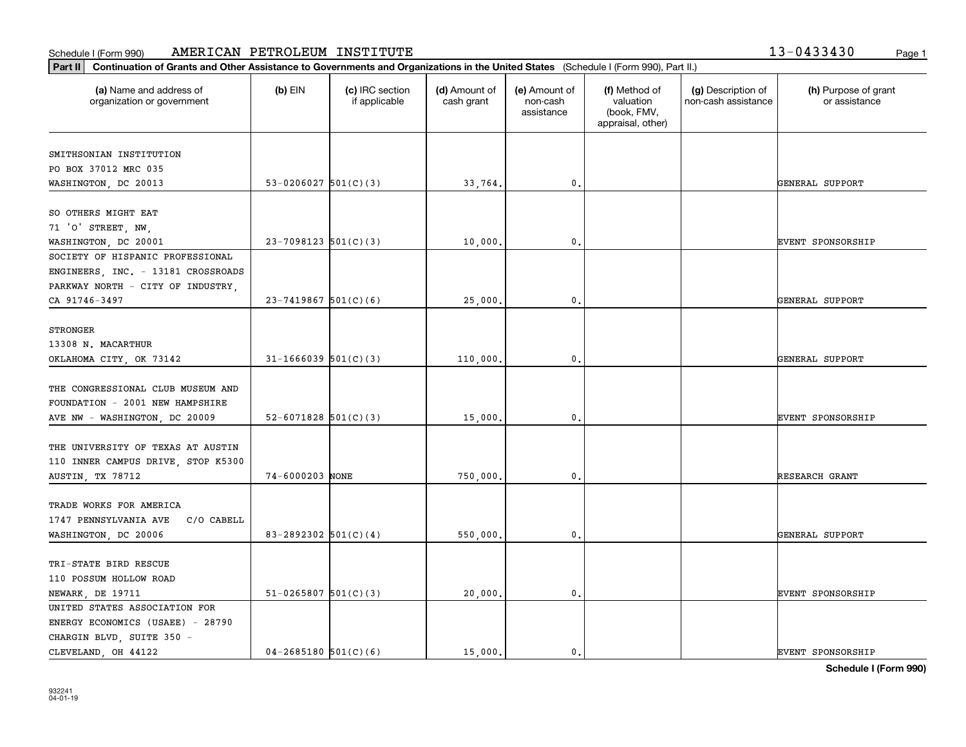т

**Part II Continuation of Grants and Other Assistance to Governments and Organizations in the United States**  (Schedule I (Form 990), Part II.)

| (a) Name and address of<br>organization or government | (b) EIN                    | (c) IRC section<br>if applicable | (d) Amount of<br>cash grant | (e) Amount of<br>non-cash<br>assistance | (f) Method of<br>valuation<br>(book, FMV,<br>appraisal, other) | (g) Description of<br>non-cash assistance | (h) Purpose of grant<br>or assistance |
|-------------------------------------------------------|----------------------------|----------------------------------|-----------------------------|-----------------------------------------|----------------------------------------------------------------|-------------------------------------------|---------------------------------------|
|                                                       |                            |                                  |                             |                                         |                                                                |                                           |                                       |
| SMITHSONIAN INSTITUTION                               |                            |                                  |                             |                                         |                                                                |                                           |                                       |
| PO BOX 37012 MRC 035                                  | 53-0206027 $501(C)(3)$     |                                  |                             |                                         |                                                                |                                           | GENERAL SUPPORT                       |
| WASHINGTON, DC 20013                                  |                            |                                  | 33,764.                     | $\mathsf{0}$ .                          |                                                                |                                           |                                       |
| SO OTHERS MIGHT EAT                                   |                            |                                  |                             |                                         |                                                                |                                           |                                       |
| 71 'O' STREET, NW,                                    |                            |                                  |                             |                                         |                                                                |                                           |                                       |
| WASHINGTON, DC 20001                                  | $23-7098123$ 501(C)(3)     |                                  | 10,000.                     | $\mathbf 0$ .                           |                                                                |                                           | EVENT SPONSORSHIP                     |
| SOCIETY OF HISPANIC PROFESSIONAL                      |                            |                                  |                             |                                         |                                                                |                                           |                                       |
| ENGINEERS, INC. - 13181 CROSSROADS                    |                            |                                  |                             |                                         |                                                                |                                           |                                       |
| PARKWAY NORTH - CITY OF INDUSTRY,                     |                            |                                  |                             |                                         |                                                                |                                           |                                       |
| CA 91746-3497                                         | $23 - 7419867$ 501(C)(6)   |                                  | 25,000.                     | $\mathbf 0$ .                           |                                                                |                                           | GENERAL SUPPORT                       |
|                                                       |                            |                                  |                             |                                         |                                                                |                                           |                                       |
| <b>STRONGER</b>                                       |                            |                                  |                             |                                         |                                                                |                                           |                                       |
| 13308 N. MACARTHUR                                    |                            |                                  |                             |                                         |                                                                |                                           |                                       |
| OKLAHOMA CITY, OK 73142                               | $31 - 1666039$ 501(C)(3)   |                                  | 110,000.                    | 0.                                      |                                                                |                                           | GENERAL SUPPORT                       |
|                                                       |                            |                                  |                             |                                         |                                                                |                                           |                                       |
| THE CONGRESSIONAL CLUB MUSEUM AND                     |                            |                                  |                             |                                         |                                                                |                                           |                                       |
| FOUNDATION - 2001 NEW HAMPSHIRE                       |                            |                                  |                             |                                         |                                                                |                                           |                                       |
| AVE NW - WASHINGTON, DC 20009                         | $52 - 6071828$ $501(C)(3)$ |                                  | 15,000.                     | 0.                                      |                                                                |                                           | <b>EVENT SPONSORSHIP</b>              |
|                                                       |                            |                                  |                             |                                         |                                                                |                                           |                                       |
| THE UNIVERSITY OF TEXAS AT AUSTIN                     |                            |                                  |                             |                                         |                                                                |                                           |                                       |
| 110 INNER CAMPUS DRIVE, STOP K5300                    |                            |                                  |                             |                                         |                                                                |                                           |                                       |
| AUSTIN, TX 78712                                      | 74-6000203 NONE            |                                  | 750,000.                    | $\mathbf{0}$                            |                                                                |                                           | RESEARCH GRANT                        |
|                                                       |                            |                                  |                             |                                         |                                                                |                                           |                                       |
| TRADE WORKS FOR AMERICA                               |                            |                                  |                             |                                         |                                                                |                                           |                                       |
| C/O CABELL<br>1747 PENNSYLVANIA AVE                   |                            |                                  |                             |                                         |                                                                |                                           |                                       |
| WASHINGTON, DC 20006                                  | 83-2892302 $501(C)(4)$     |                                  | 550,000.                    | 0.                                      |                                                                |                                           | GENERAL SUPPORT                       |
|                                                       |                            |                                  |                             |                                         |                                                                |                                           |                                       |
| TRI-STATE BIRD RESCUE                                 |                            |                                  |                             |                                         |                                                                |                                           |                                       |
| 110 POSSUM HOLLOW ROAD                                |                            |                                  |                             |                                         |                                                                |                                           |                                       |
| NEWARK, DE 19711                                      | $51-0265807$ $501(C)(3)$   |                                  | 20,000.                     | $\mathbf{0}$                            |                                                                |                                           | <b>EVENT SPONSORSHIP</b>              |
| UNITED STATES ASSOCIATION FOR                         |                            |                                  |                             |                                         |                                                                |                                           |                                       |
| ENERGY ECONOMICS (USAEE) - 28790                      |                            |                                  |                             |                                         |                                                                |                                           |                                       |
| CHARGIN BLVD, SUITE 350 -                             |                            |                                  |                             |                                         |                                                                |                                           |                                       |

Т

CLEVELAND, OH 44122  $04-2685180 \big| 501(C)(6)$   $15,000.$   $0.$   $0.$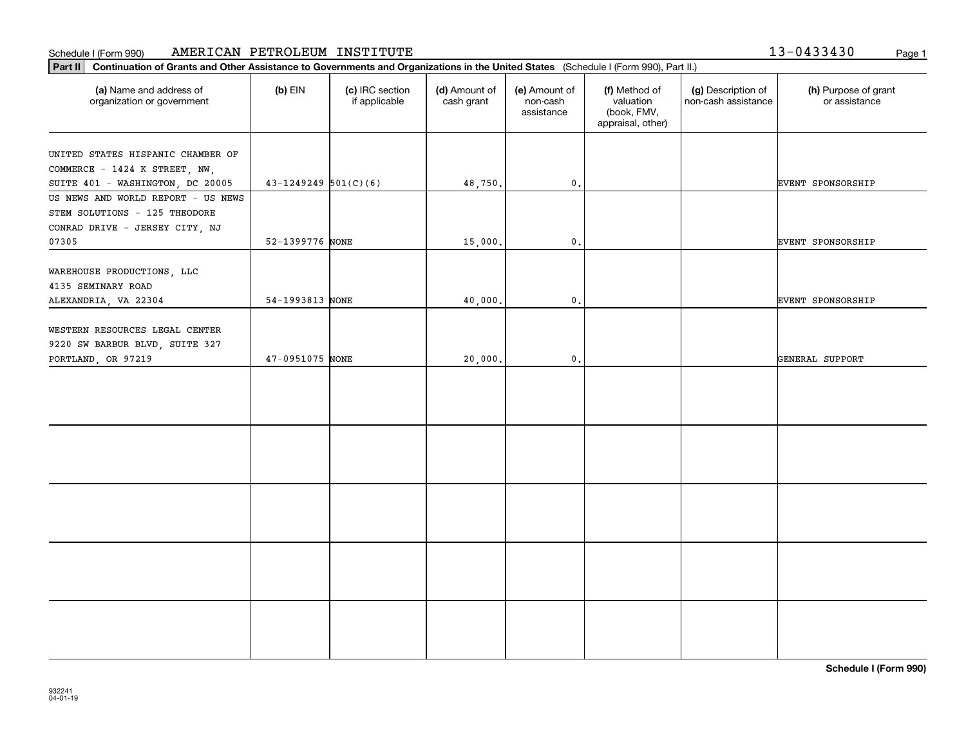**Part II Continuation of Grants and Other Assistance to Governments and Organizations in the United States**  (Schedule I (Form 990), Part II.)

| (a) Name and address of<br>organization or government                                  | $(b)$ EIN                | (c) IRC section<br>if applicable | (d) Amount of<br>cash grant | (e) Amount of<br>non-cash<br>assistance | (f) Method of<br>valuation<br>(book, FMV,<br>appraisal, other) | (g) Description of<br>non-cash assistance | (h) Purpose of grant<br>or assistance |
|----------------------------------------------------------------------------------------|--------------------------|----------------------------------|-----------------------------|-----------------------------------------|----------------------------------------------------------------|-------------------------------------------|---------------------------------------|
| UNITED STATES HISPANIC CHAMBER OF                                                      |                          |                                  |                             |                                         |                                                                |                                           |                                       |
| COMMERCE - 1424 K STREET, NW,                                                          |                          |                                  |                             |                                         |                                                                |                                           |                                       |
| SUITE 401 - WASHINGTON, DC 20005                                                       | $43-1249249$ $501(C)(6)$ |                                  | 48,750.                     | $\mathfrak{o}$ .                        |                                                                |                                           | <b>EVENT SPONSORSHIP</b>              |
| US NEWS AND WORLD REPORT - US NEWS                                                     |                          |                                  |                             |                                         |                                                                |                                           |                                       |
| STEM SOLUTIONS - 125 THEODORE                                                          |                          |                                  |                             |                                         |                                                                |                                           |                                       |
| CONRAD DRIVE - JERSEY CITY, NJ                                                         |                          |                                  |                             |                                         |                                                                |                                           |                                       |
| 07305                                                                                  | 52-1399776 NONE          |                                  | 15,000.                     | $\mathfrak o$ .                         |                                                                |                                           | <b>EVENT SPONSORSHIP</b>              |
| WAREHOUSE PRODUCTIONS, LLC<br>4135 SEMINARY ROAD                                       |                          |                                  |                             |                                         |                                                                |                                           |                                       |
| ALEXANDRIA, VA 22304                                                                   | 54-1993813 NONE          |                                  | 40,000.                     | $\mathbf{0}$ .                          |                                                                |                                           | <b>EVENT SPONSORSHIP</b>              |
| WESTERN RESOURCES LEGAL CENTER<br>9220 SW BARBUR BLVD, SUITE 327<br>PORTLAND, OR 97219 | 47-0951075 NONE          |                                  | 20,000.                     | $\mathbf{0}$ .                          |                                                                |                                           | GENERAL SUPPORT                       |
|                                                                                        |                          |                                  |                             |                                         |                                                                |                                           |                                       |
|                                                                                        |                          |                                  |                             |                                         |                                                                |                                           |                                       |
|                                                                                        |                          |                                  |                             |                                         |                                                                |                                           |                                       |
|                                                                                        |                          |                                  |                             |                                         |                                                                |                                           |                                       |
|                                                                                        |                          |                                  |                             |                                         |                                                                |                                           |                                       |

13-0433430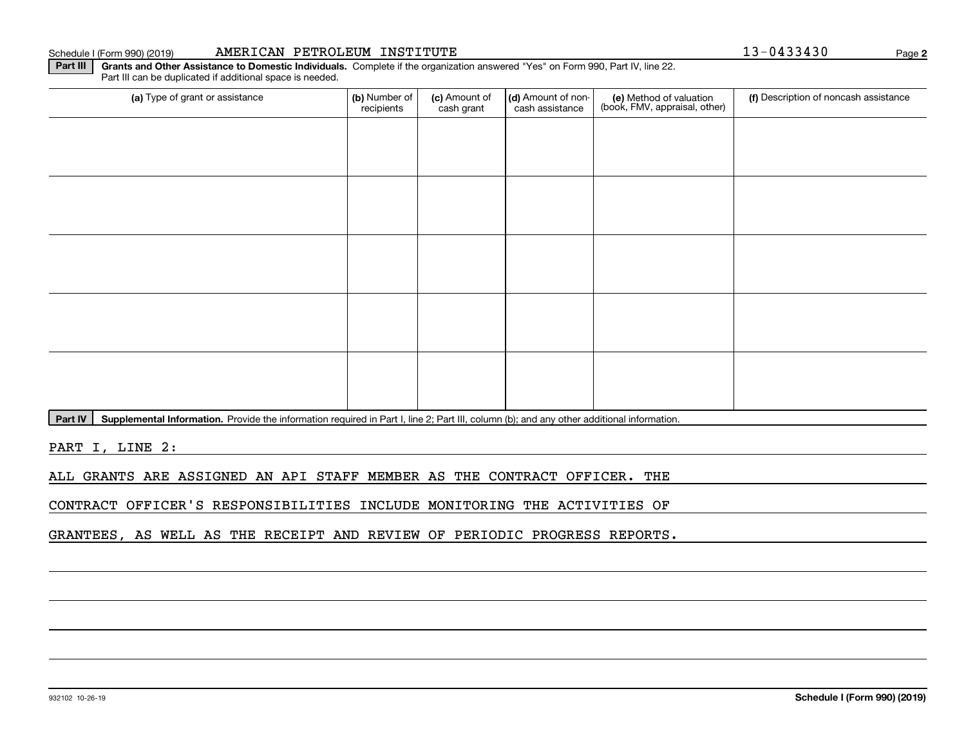# (a) Type of grant or assistance **(b)** Number of **(c)** Amount of **(d)** Amount of non-**(e)** Method of valuation (f)<br>cash are continuous cash are cash assistance (book, FMV, appraisal, other) (a) Type of grant or assistance  $\vert$  (b) Number of recipients(c) Amount of cash grant (d) Amount of noncash assistance (f) Description of noncash assistance

Part IV | Supplemental Information. Provide the information required in Part I, line 2; Part III, column (b); and any other additional information.

PART I, LINE 2:

ALL GRANTS ARE ASSIGNED AN API STAFF MEMBER AS THE CONTRACT OFFICER. THE

CONTRACT OFFICER'S RESPONSIBILITIES INCLUDE MONITORING THE ACTIVITIES OF

GRANTEES, AS WELL AS THE RECEIPT AND REVIEW OF PERIODIC PROGRESS REPORTS.

**2**

**Part III | Grants and Other Assistance to Domestic Individuals. Complete if the organization answered "Yes" on Form 990, Part IV, line 22.** 

Part III can be duplicated if additional space is needed.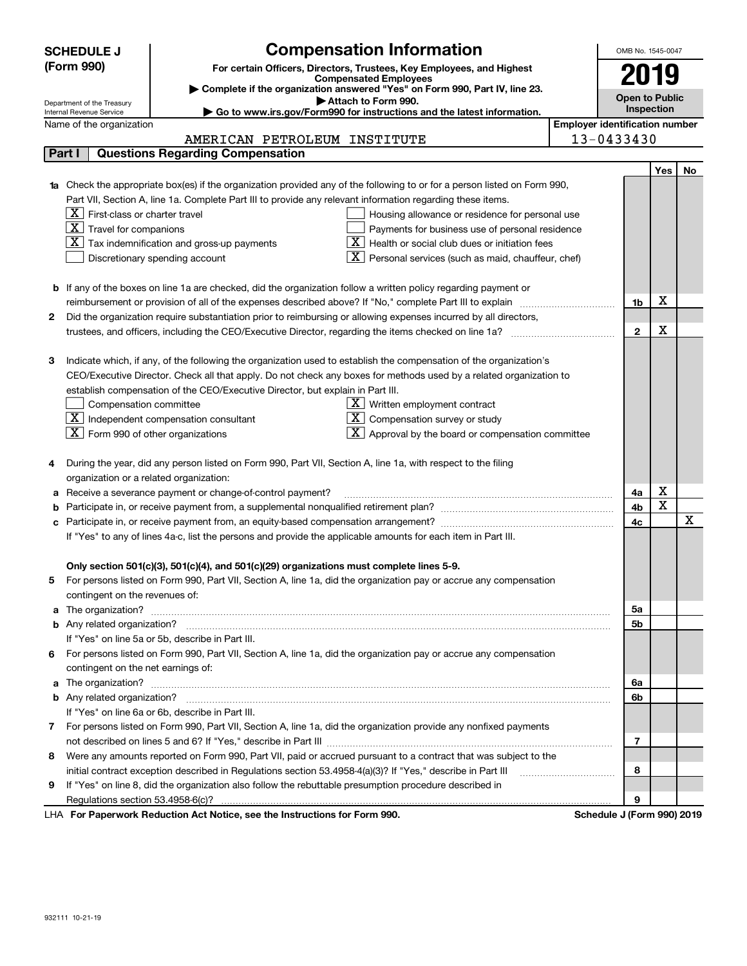|              | <b>SCHEDULE J</b>                                                                                                                                                                                                                    | <b>Compensation Information</b>                                                                                           |                                                              |  | OMB No. 1545-0047 |                         |    |  |
|--------------|--------------------------------------------------------------------------------------------------------------------------------------------------------------------------------------------------------------------------------------|---------------------------------------------------------------------------------------------------------------------------|--------------------------------------------------------------|--|-------------------|-------------------------|----|--|
|              | (Form 990)                                                                                                                                                                                                                           | For certain Officers, Directors, Trustees, Key Employees, and Highest                                                     |                                                              |  |                   |                         |    |  |
|              |                                                                                                                                                                                                                                      | <b>Compensated Employees</b>                                                                                              |                                                              |  |                   | 2019                    |    |  |
|              |                                                                                                                                                                                                                                      | Complete if the organization answered "Yes" on Form 990, Part IV, line 23.                                                |                                                              |  |                   | <b>Open to Public</b>   |    |  |
|              | Attach to Form 990.<br>Department of the Treasury<br>Go to www.irs.gov/Form990 for instructions and the latest information.<br>Internal Revenue Service                                                                              |                                                                                                                           |                                                              |  |                   |                         |    |  |
|              | <b>Employer identification number</b><br>Name of the organization                                                                                                                                                                    |                                                                                                                           |                                                              |  |                   |                         |    |  |
|              |                                                                                                                                                                                                                                      | AMERICAN PETROLEUM INSTITUTE                                                                                              |                                                              |  | 13-0433430        |                         |    |  |
|              | Part I                                                                                                                                                                                                                               | <b>Questions Regarding Compensation</b>                                                                                   |                                                              |  |                   |                         |    |  |
|              |                                                                                                                                                                                                                                      |                                                                                                                           |                                                              |  |                   | <b>Yes</b>              | No |  |
|              |                                                                                                                                                                                                                                      | 1a Check the appropriate box(es) if the organization provided any of the following to or for a person listed on Form 990, |                                                              |  |                   |                         |    |  |
|              |                                                                                                                                                                                                                                      | Part VII, Section A, line 1a. Complete Part III to provide any relevant information regarding these items.                |                                                              |  |                   |                         |    |  |
|              | $X$ First-class or charter travel                                                                                                                                                                                                    |                                                                                                                           | Housing allowance or residence for personal use              |  |                   |                         |    |  |
|              | $\boxed{\textbf{X}}$ Travel for companions                                                                                                                                                                                           |                                                                                                                           | Payments for business use of personal residence              |  |                   |                         |    |  |
|              |                                                                                                                                                                                                                                      | $X$ Tax indemnification and gross-up payments                                                                             | $X$   Health or social club dues or initiation fees          |  |                   |                         |    |  |
|              |                                                                                                                                                                                                                                      | Discretionary spending account                                                                                            | Personal services (such as maid, chauffeur, chef)            |  |                   |                         |    |  |
|              |                                                                                                                                                                                                                                      |                                                                                                                           |                                                              |  |                   |                         |    |  |
|              |                                                                                                                                                                                                                                      | <b>b</b> If any of the boxes on line 1a are checked, did the organization follow a written policy regarding payment or    |                                                              |  |                   |                         |    |  |
|              |                                                                                                                                                                                                                                      | reimbursement or provision of all of the expenses described above? If "No," complete Part III to explain                  |                                                              |  | 1b                | х                       |    |  |
| 2            |                                                                                                                                                                                                                                      | Did the organization require substantiation prior to reimbursing or allowing expenses incurred by all directors,          |                                                              |  |                   |                         |    |  |
|              |                                                                                                                                                                                                                                      | trustees, and officers, including the CEO/Executive Director, regarding the items checked on line 1a?                     |                                                              |  | $\mathbf{2}$      | х                       |    |  |
|              |                                                                                                                                                                                                                                      |                                                                                                                           |                                                              |  |                   |                         |    |  |
| 3            |                                                                                                                                                                                                                                      | Indicate which, if any, of the following the organization used to establish the compensation of the organization's        |                                                              |  |                   |                         |    |  |
|              |                                                                                                                                                                                                                                      | CEO/Executive Director. Check all that apply. Do not check any boxes for methods used by a related organization to        |                                                              |  |                   |                         |    |  |
|              |                                                                                                                                                                                                                                      | establish compensation of the CEO/Executive Director, but explain in Part III.                                            |                                                              |  |                   |                         |    |  |
|              |                                                                                                                                                                                                                                      | Compensation committee<br>$\underline{X}$ Written employment contract                                                     |                                                              |  |                   |                         |    |  |
|              |                                                                                                                                                                                                                                      | $\boxed{\text{X}}$ Independent compensation consultant<br>$X$ Compensation survey or study                                |                                                              |  |                   |                         |    |  |
|              | $X$ Form 990 of other organizations                                                                                                                                                                                                  |                                                                                                                           | $\mathbf{X}$ Approval by the board or compensation committee |  |                   |                         |    |  |
|              |                                                                                                                                                                                                                                      |                                                                                                                           |                                                              |  |                   |                         |    |  |
| 4            |                                                                                                                                                                                                                                      | During the year, did any person listed on Form 990, Part VII, Section A, line 1a, with respect to the filing              |                                                              |  |                   |                         |    |  |
|              | organization or a related organization:                                                                                                                                                                                              |                                                                                                                           |                                                              |  |                   |                         |    |  |
| а            |                                                                                                                                                                                                                                      | Receive a severance payment or change-of-control payment?                                                                 |                                                              |  | 4a                | х                       |    |  |
| b            |                                                                                                                                                                                                                                      |                                                                                                                           |                                                              |  | 4b                | $\overline{\mathbf{x}}$ |    |  |
| c            |                                                                                                                                                                                                                                      |                                                                                                                           |                                                              |  | 4c                |                         | X  |  |
|              |                                                                                                                                                                                                                                      | If "Yes" to any of lines 4a-c, list the persons and provide the applicable amounts for each item in Part III.             |                                                              |  |                   |                         |    |  |
|              |                                                                                                                                                                                                                                      |                                                                                                                           |                                                              |  |                   |                         |    |  |
|              |                                                                                                                                                                                                                                      | Only section 501(c)(3), 501(c)(4), and 501(c)(29) organizations must complete lines 5-9.                                  |                                                              |  |                   |                         |    |  |
|              |                                                                                                                                                                                                                                      | For persons listed on Form 990, Part VII, Section A, line 1a, did the organization pay or accrue any compensation         |                                                              |  |                   |                         |    |  |
|              | contingent on the revenues of:                                                                                                                                                                                                       |                                                                                                                           |                                                              |  |                   |                         |    |  |
| a            |                                                                                                                                                                                                                                      |                                                                                                                           |                                                              |  | 5a                |                         |    |  |
|              |                                                                                                                                                                                                                                      |                                                                                                                           |                                                              |  | 5b                |                         |    |  |
|              |                                                                                                                                                                                                                                      | If "Yes" on line 5a or 5b, describe in Part III.                                                                          |                                                              |  |                   |                         |    |  |
| 6            |                                                                                                                                                                                                                                      | For persons listed on Form 990, Part VII, Section A, line 1a, did the organization pay or accrue any compensation         |                                                              |  |                   |                         |    |  |
|              | contingent on the net earnings of:                                                                                                                                                                                                   |                                                                                                                           |                                                              |  |                   |                         |    |  |
|              | a The organization? <b>Entitled Strategies and Strategies and Strategies and Strategies and Strategies and Strategies and Strategies and Strategies and Strategies and Strategies and Strategies and Strategies and Strategies a</b> |                                                                                                                           |                                                              |  |                   |                         |    |  |
|              |                                                                                                                                                                                                                                      | If "Yes" on line 6a or 6b, describe in Part III.                                                                          |                                                              |  | 6b                |                         |    |  |
|              |                                                                                                                                                                                                                                      |                                                                                                                           |                                                              |  |                   |                         |    |  |
| $\mathbf{7}$ |                                                                                                                                                                                                                                      | For persons listed on Form 990, Part VII, Section A, line 1a, did the organization provide any nonfixed payments          |                                                              |  |                   |                         |    |  |
|              |                                                                                                                                                                                                                                      |                                                                                                                           |                                                              |  | 7                 |                         |    |  |
| 8            |                                                                                                                                                                                                                                      | Were any amounts reported on Form 990, Part VII, paid or accrued pursuant to a contract that was subject to the           |                                                              |  |                   |                         |    |  |
|              |                                                                                                                                                                                                                                      | initial contract exception described in Regulations section 53.4958-4(a)(3)? If "Yes," describe in Part III               |                                                              |  | 8                 |                         |    |  |
| 9            |                                                                                                                                                                                                                                      | If "Yes" on line 8, did the organization also follow the rebuttable presumption procedure described in                    |                                                              |  |                   |                         |    |  |
|              |                                                                                                                                                                                                                                      |                                                                                                                           |                                                              |  | 9                 |                         |    |  |

LHA For Paperwork Reduction Act Notice, see the Instructions for Form 990. Schedule J (Form 990) 2019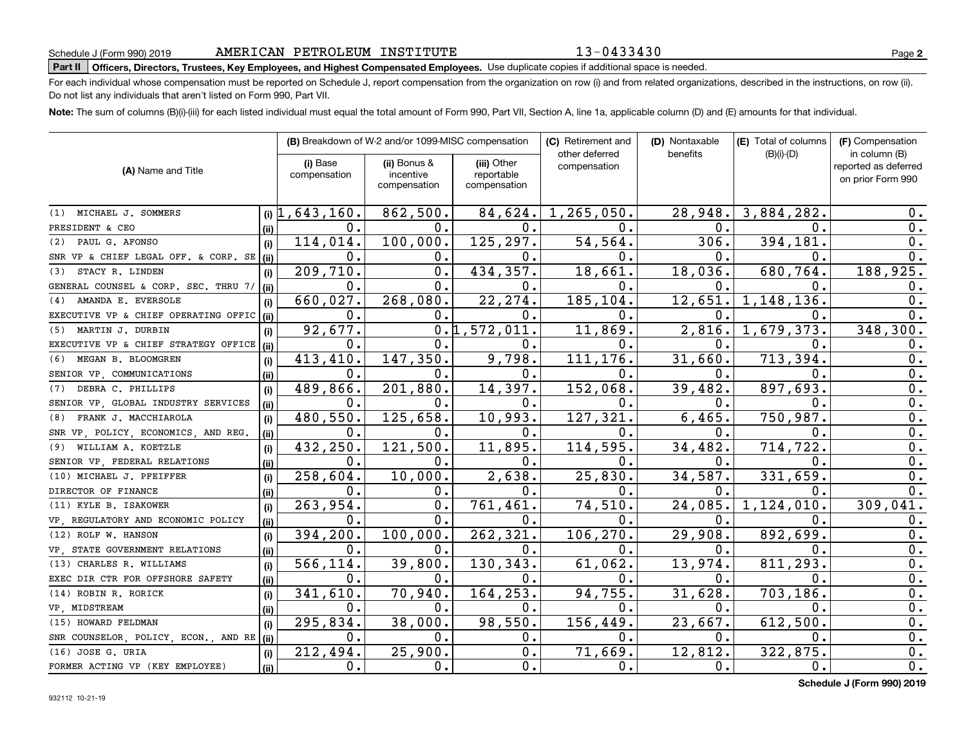13-0433430

# **Part II Officers, Directors, Trustees, Key Employees, and Highest Compensated Employees.**  Schedule J (Form 990) 2019 Page Use duplicate copies if additional space is needed.

For each individual whose compensation must be reported on Schedule J, report compensation from the organization on row (i) and from related organizations, described in the instructions, on row (ii). Do not list any individuals that aren't listed on Form 990, Part VII.

**Note:**  The sum of columns (B)(i)-(iii) for each listed individual must equal the total amount of Form 990, Part VII, Section A, line 1a, applicable column (D) and (E) amounts for that individual.

|                                      |             |                         | (B) Breakdown of W-2 and/or 1099-MISC compensation |                | (C) Retirement and             | (D) Nontaxable | (E) Total of columns | (F) Compensation                      |
|--------------------------------------|-------------|-------------------------|----------------------------------------------------|----------------|--------------------------------|----------------|----------------------|---------------------------------------|
|                                      |             | (i) Base                | (ii) Bonus &                                       | (iii) Other    | other deferred<br>compensation | benefits       | $(B)(i)-(D)$         | in column (B)<br>reported as deferred |
| (A) Name and Title                   |             | compensation            | incentive                                          | reportable     |                                |                |                      | on prior Form 990                     |
|                                      |             |                         | compensation                                       | compensation   |                                |                |                      |                                       |
| MICHAEL J. SOMMERS<br>(1)            | (i) $\vert$ | 643, 160.               | 862,500.                                           | 84,624.        | 1, 265, 050.                   | 28,948.        | 3,884,282            | 0.                                    |
| PRESIDENT & CEO                      | (ii)        | 0.                      | $\mathbf 0$ .                                      | $\mathbf{0}$ . | Ω.                             | $\mathbf{0}$ . | 0.                   | 0.                                    |
| PAUL G. AFONSO<br>(2)                | (i)         | 114,014.                | 100,000.                                           | 125,297.       | 54,564.                        | 306.           | 394,181              | 0.                                    |
| SNR VP & CHIEF LEGAL OFF. & CORP. SE | (iii)       | $\mathbf 0$ .           | 0.                                                 | 0.             | Ο.                             | 0.             | Ω.                   | $\mathbf 0$ .                         |
| STACY R. LINDEN<br>(3)               | (i)         | 209,710.                | 0.                                                 | 434, 357.      | 18,661.                        | 18,036.        | 680, 764.            | 188,925.                              |
| GENERAL COUNSEL & CORP. SEC. THRU 7/ | (ii)        | 0.                      | $\mathbf{0}$ .                                     | 0.             | Ο.                             | 0.             | 0.                   | 0.                                    |
| AMANDA E. EVERSOLE<br>(4)            | (i)         | 660,027.                | 268,080.                                           | 22,274.        | 185,104.                       | 12,651.        | 1,148,136。           | 0.                                    |
| EXECUTIVE VP & CHIEF OPERATING OFFIC | (ii)        | 0.                      | 0.                                                 | Ο.             | Ω.                             | 0.             | 0.                   | $\mathbf 0$ .                         |
| MARTIN J. DURBIN<br>(5)              | (i)         | 92,677.                 |                                                    | 0.1, 572, 011. | 11,869.                        | 2,816.         | 1,679,373            | 348,300                               |
| EXECUTIVE VP & CHIEF STRATEGY OFFICE | (ii)        | 0.                      | $\Omega$ .                                         | 0.             | 0.                             | 0.             | $\mathbf{0}$         | 0.                                    |
| MEGAN B. BLOOMGREN<br>(6)            | (i)         | 413,410.                | 147,350.                                           | 9,798.         | 111, 176.                      | 31,660.        | 713,394              | 0.                                    |
| SENIOR VP COMMUNICATIONS             | (ii)        | 0.                      | 0.                                                 | 0.             | 0.                             | Ο.             | 0                    | 0.                                    |
| DEBRA C. PHILLIPS<br>(7)             | (i)         | 489,866.                | 201,880.                                           | 14,397.        | 152,068.                       | 39,482.        | 897,693              | 0.                                    |
| SENIOR VP GLOBAL INDUSTRY SERVICES   | (ii)        | 0.                      | 0.                                                 | 0.             | 0.                             | 0.             | $\Omega$ .           | 0.                                    |
| FRANK J. MACCHIAROLA<br>(8)          | (i)         | 480,550.                | 125,658.                                           | 10,993.        | 127, 321.                      | 6,465.         | 750,987              | 0.                                    |
| SNR VP, POLICY, ECONOMICS, AND REG.  | (ii)        | 0.                      | 0.                                                 | 0.             | 0.                             | 0.             | 0                    | 0.                                    |
| WILLIAM A. KOETZLE<br>(9)            | (i)         | 432,250.                | 121,500.                                           | 11,895.        | 114,595.                       | 34, 482.       | 714,722              | 0.                                    |
| SENIOR VP, FEDERAL RELATIONS         | (ii)        | 0.                      | $\mathbf 0$ .                                      | 0.             | 0.                             | 0.             | $\mathbf 0$ .        | 0.                                    |
| (10) MICHAEL J. PFEIFFER             | (i)         | 258,604.                | 10,000.                                            | 2,638.         | 25, 830.                       | 34,587.        | 331,659              | 0.                                    |
| DIRECTOR OF FINANCE                  | (ii)        | 0.                      | Ο.                                                 | Ο.             | 0.                             | 0.             | $\Omega$ .           | $\mathbf 0$ .                         |
| (11) KYLE B. ISAKOWER                | (i)         | 263,954.                | 0.                                                 | 761,461.       | 74,510.                        | 24,085.        | 1,124,010            | 309,041.                              |
| VP REGULATORY AND ECONOMIC POLICY    | (ii)        | 0.                      | $\mathbf 0$ .                                      | 0.             | $\overline{0}$ .               | 0.             | 0.                   | 0.                                    |
| (12) ROLF W. HANSON                  | (i)         | 394,200.                | 100,000.                                           | 262,321.       | 106,270.                       | 29,908.        | 892,699              | $\mathbf 0$ .                         |
| VP STATE GOVERNMENT RELATIONS        | (ii)        | 0.                      | 0.                                                 | о.             | 0.                             | 0.             | 0                    | $\mathbf 0$ .                         |
| (13) CHARLES R. WILLIAMS             | (i)         | 566,114.                | 39,800.                                            | 130,343.       | 61,062                         | 13,974.        | 811,293              | 0.                                    |
| EXEC DIR CTR FOR OFFSHORE SAFETY     | (ii)        | 0.                      | Ο.                                                 | О.             | 0.                             | 0.             | $\mathbf 0$ .        | 0.                                    |
| (14) ROBIN R. RORICK                 | (i)         | 341,610.                | 70,940.                                            | 164,253.       | 94,755.                        | 31,628.        | 703,186              | $\mathbf 0$ .                         |
| VP, MIDSTREAM                        | (ii)        | 0.                      | $\mathbf 0$ .                                      | 0.             | Ο.                             | Ο.             | 0.                   | $\mathbf 0$ .                         |
| (15) HOWARD FELDMAN                  | (i)         | 295,834.                | 38,000.                                            | 98,550.        | 156,449.                       | 23,667.        | 612,500              | $\mathbf 0$ .                         |
| SNR COUNSELOR, POLICY, ECON., AND RE | (ii)        | 0.                      | $\mathbf 0$ .                                      | 0.             | 0.                             | 0.             | $\mathbf 0$ .        | $\mathbf 0$ .                         |
| (16) JOSE G. URIA                    | (i)         | $\overline{212}$ , 494. | 25,900.                                            | 0.             | 71,669.                        | 12,812.        | 322,875              | 0.                                    |
| FORMER ACTING VP (KEY EMPLOYEE)      | (ii)        | 0.                      | 0.                                                 | 0.             | 0.                             | 0.             | 0                    | $\mathbf 0$ .                         |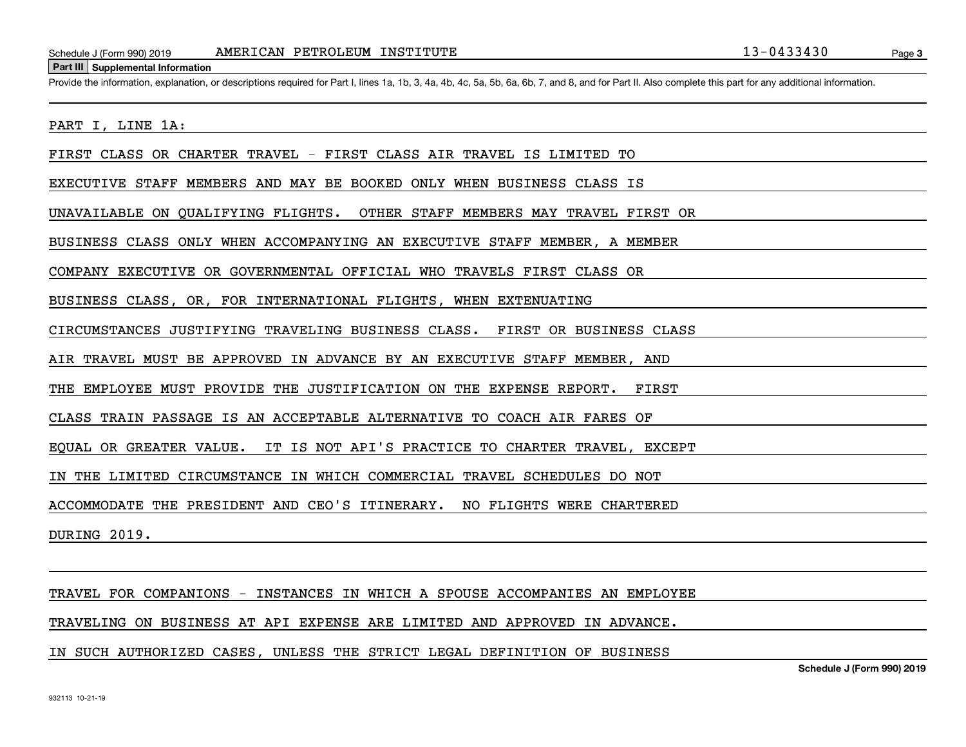Schedule J (Form 990) 2019 **AMERICAN PETROLEUM INSTITUTE** 13-0433430<br> **Part III** Supplemental Information<br>
Provide the information, explanation, or descriptions required for Part I. lines 1a, 1b, 3, 4a, 4b, 4c, 5a, 5b, 6a,

#### PART I, LINE 1A:

FIRST CLASS OR CHARTER TRAVEL - FIRST CLASS AIR TRAVEL IS LIMITED TO

EXECUTIVE STAFF MEMBERS AND MAY BE BOOKED ONLY WHEN BUSINESS CLASS IS

UNAVAILABLE ON QUALIFYING FLIGHTS. OTHER STAFF MEMBERS MAY TRAVEL FIRST OR

BUSINESS CLASS ONLY WHEN ACCOMPANYING AN EXECUTIVE STAFF MEMBER, A MEMBER

COMPANY EXECUTIVE OR GOVERNMENTAL OFFICIAL WHO TRAVELS FIRST CLASS OR

BUSINESS CLASS, OR, FOR INTERNATIONAL FLIGHTS, WHEN EXTENUATING

CIRCUMSTANCES JUSTIFYING TRAVELING BUSINESS CLASS. FIRST OR BUSINESS CLASS

AIR TRAVEL MUST BE APPROVED IN ADVANCE BY AN EXECUTIVE STAFF MEMBER, AND

THE EMPLOYEE MUST PROVIDE THE JUSTIFICATION ON THE EXPENSE REPORT. FIRST

CLASS TRAIN PASSAGE IS AN ACCEPTABLE ALTERNATIVE TO COACH AIR FARES OF

EQUAL OR GREATER VALUE. IT IS NOT API'S PRACTICE TO CHARTER TRAVEL, EXCEPT

IN THE LIMITED CIRCUMSTANCE IN WHICH COMMERCIAL TRAVEL SCHEDULES DO NOT

ACCOMMODATE THE PRESIDENT AND CEO'S ITINERARY. NO FLIGHTS WERE CHARTERED

DURING 2019.

#### TRAVEL FOR COMPANIONS - INSTANCES IN WHICH A SPOUSE ACCOMPANIES AN EMPLOYEE

TRAVELING ON BUSINESS AT API EXPENSE ARE LIMITED AND APPROVED IN ADVANCE.

#### IN SUCH AUTHORIZED CASES, UNLESS THE STRICT LEGAL DEFINITION OF BUSINESS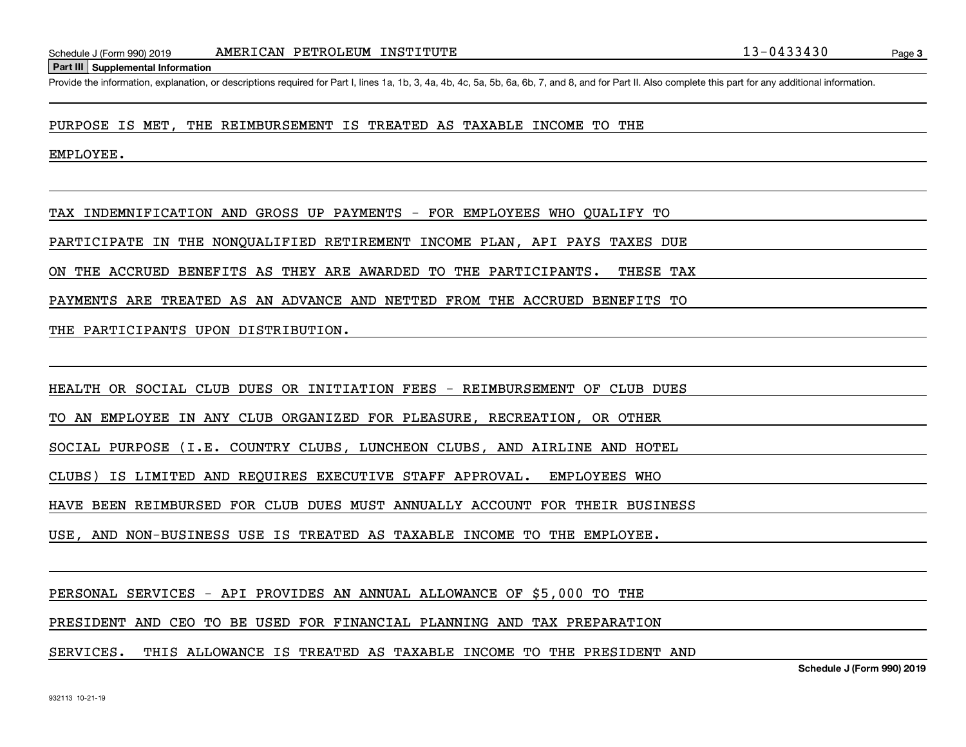Schedule J (Form 990) 2019 **AMERICAN PETROLEUM INSTITUTE** 13-0433430<br>**Part III** Supplemental Information<br>Provide the information, explanation, or descriptions required for Part I, lines 1a, 1b, 3, 4a, 4b, 4c, 5a, 5b, 6a, 6

PURPOSE IS MET, THE REIMBURSEMENT IS TREATED AS TAXABLE INCOME TO THE

EMPLOYEE.

TAX INDEMNIFICATION AND GROSS UP PAYMENTS - FOR EMPLOYEES WHO QUALIFY TO

PARTICIPATE IN THE NONQUALIFIED RETIREMENT INCOME PLAN, API PAYS TAXES DUE

ON THE ACCRUED BENEFITS AS THEY ARE AWARDED TO THE PARTICIPANTS. THESE TAX

PAYMENTS ARE TREATED AS AN ADVANCE AND NETTED FROM THE ACCRUED BENEFITS TO

THE PARTICIPANTS UPON DISTRIBUTION.

HEALTH OR SOCIAL CLUB DUES OR INITIATION FEES - REIMBURSEMENT OF CLUB DUES

TO AN EMPLOYEE IN ANY CLUB ORGANIZED FOR PLEASURE, RECREATION, OR OTHER

SOCIAL PURPOSE (I.E. COUNTRY CLUBS, LUNCHEON CLUBS, AND AIRLINE AND HOTEL

CLUBS) IS LIMITED AND REQUIRES EXECUTIVE STAFF APPROVAL. EMPLOYEES WHO

HAVE BEEN REIMBURSED FOR CLUB DUES MUST ANNUALLY ACCOUNT FOR THEIR BUSINESS

USE, AND NON-BUSINESS USE IS TREATED AS TAXABLE INCOME TO THE EMPLOYEE.

PERSONAL SERVICES - API PROVIDES AN ANNUAL ALLOWANCE OF \$5,000 TO THE

PRESIDENT AND CEO TO BE USED FOR FINANCIAL PLANNING AND TAX PREPARATION

SERVICES. THIS ALLOWANCE IS TREATED AS TAXABLE INCOME TO THE PRESIDENT AND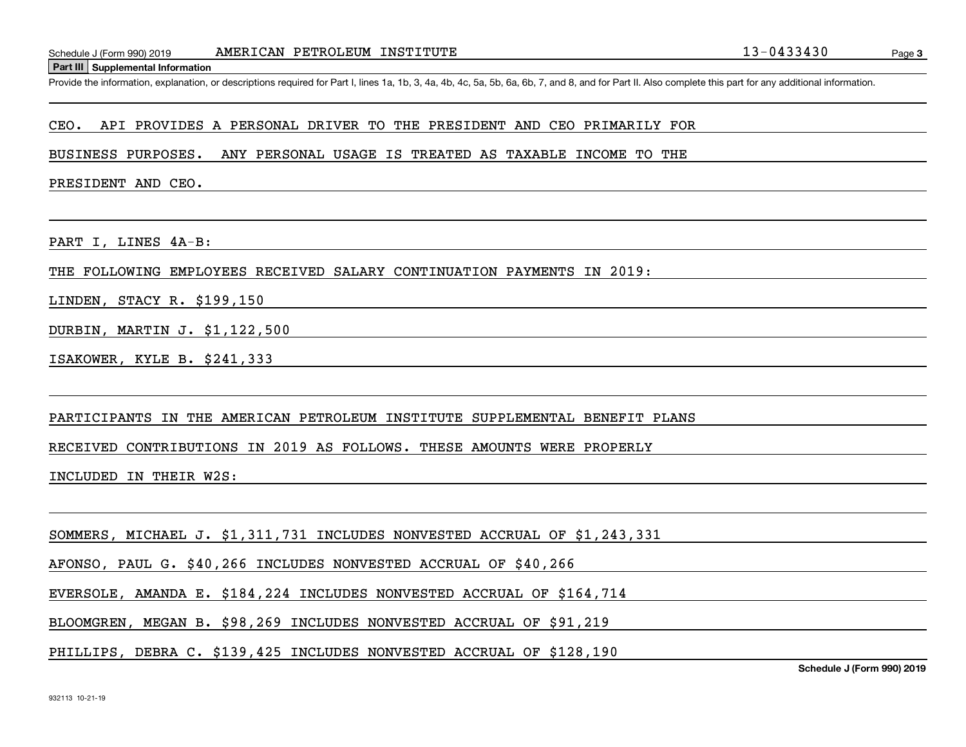Schedule J (Form 990) 2019 **AMERICAN PETROLEUM INSTITUTE** 13-0433430<br>**Part III** Supplemental Information<br>Provide the information, explanation, or descriptions required for Part I, lines 1a, 1b, 3, 4a, 4b, 4c, 5a, 5b, 6a, 6

#### CEO. API PROVIDES A PERSONAL DRIVER TO THE PRESIDENT AND CEO PRIMARILY FOR

BUSINESS PURPOSES. ANY PERSONAL USAGE IS TREATED AS TAXABLE INCOME TO THE

PRESIDENT AND CEO.

PART I, LINES 4A-B:

THE FOLLOWING EMPLOYEES RECEIVED SALARY CONTINUATION PAYMENTS IN 2019:

LINDEN, STACY R. \$199,150

DURBIN, MARTIN J. \$1,122,500

ISAKOWER, KYLE B. \$241,333

PARTICIPANTS IN THE AMERICAN PETROLEUM INSTITUTE SUPPLEMENTAL BENEFIT PLANS

RECEIVED CONTRIBUTIONS IN 2019 AS FOLLOWS. THESE AMOUNTS WERE PROPERLY

INCLUDED IN THEIR W2S:

SOMMERS, MICHAEL J. \$1,311,731 INCLUDES NONVESTED ACCRUAL OF \$1,243,331

AFONSO, PAUL G. \$40,266 INCLUDES NONVESTED ACCRUAL OF \$40,266

EVERSOLE, AMANDA E. \$184,224 INCLUDES NONVESTED ACCRUAL OF \$164,714

BLOOMGREN, MEGAN B. \$98,269 INCLUDES NONVESTED ACCRUAL OF \$91,219

PHILLIPS, DEBRA C. \$139,425 INCLUDES NONVESTED ACCRUAL OF \$128,190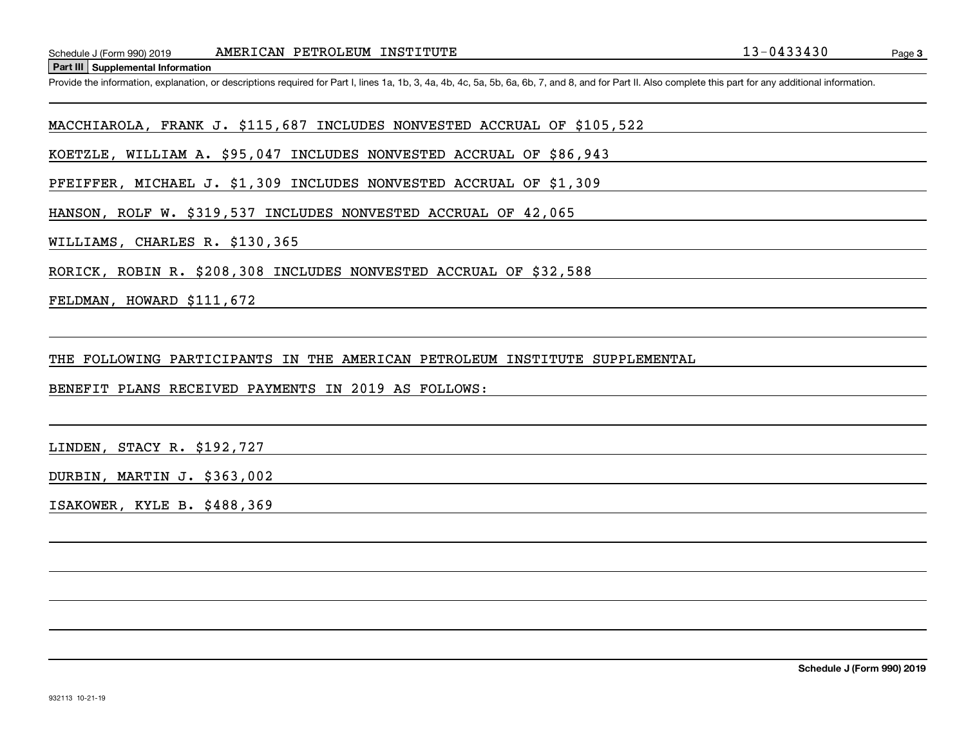Schedule J (Form 990) 2019 MERICAN PETROLEUM INSTITUTE<br>Part III Supplemental Information<br>Provide the information, explanation, or descriptions required for Part I, lines 1a, 1b, 3, 4a, 4b, 4c, 5a, 5b, 6a, 6b, 7, and 8, and

MACCHIAROLA, FRANK J. \$115,687 INCLUDES NONVESTED ACCRUAL OF \$105,522

KOETZLE, WILLIAM A. \$95,047 INCLUDES NONVESTED ACCRUAL OF \$86,943

PFEIFFER, MICHAEL J. \$1,309 INCLUDES NONVESTED ACCRUAL OF \$1,309

HANSON, ROLF W. \$319,537 INCLUDES NONVESTED ACCRUAL OF 42,065

WILLIAMS, CHARLES R. \$130,365

RORICK, ROBIN R. \$208,308 INCLUDES NONVESTED ACCRUAL OF \$32,588

FELDMAN, HOWARD \$111,672

THE FOLLOWING PARTICIPANTS IN THE AMERICAN PETROLEUM INSTITUTE SUPPLEMENTAL

BENEFIT PLANS RECEIVED PAYMENTS IN 2019 AS FOLLOWS:

LINDEN, STACY R. \$192,727

DURBIN, MARTIN J. \$363,002

ISAKOWER, KYLE B. \$488,369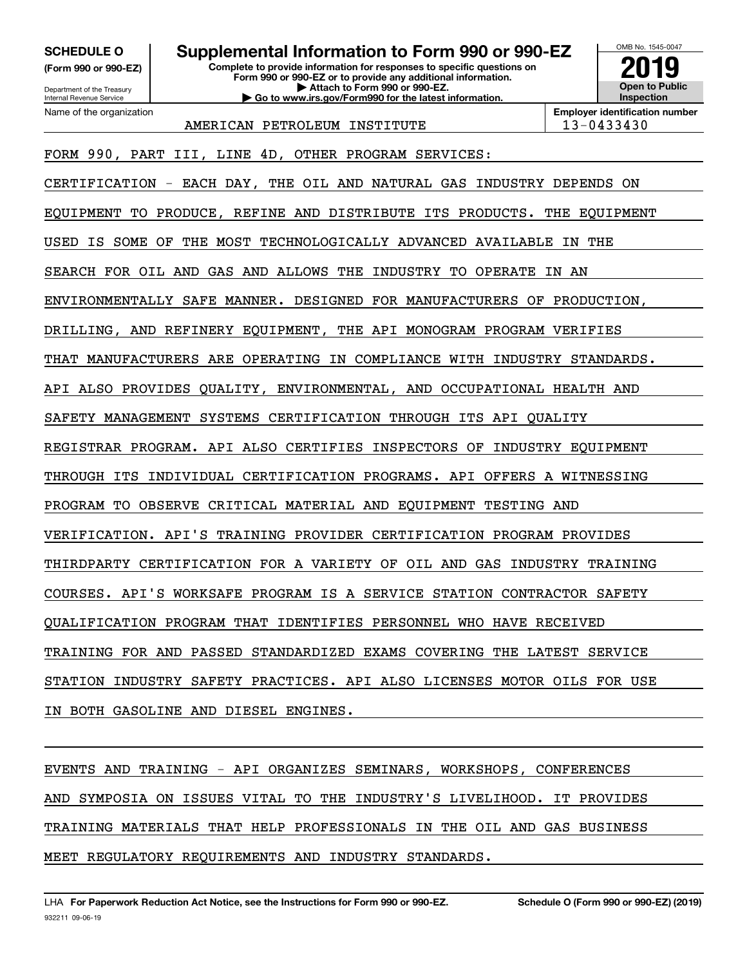**(Form 990 or 990-EZ)**

Department of the Treasury Internal Revenue Service Name of the organization

## **SCHEDULE O Supplemental Information to Form 990 or 990-EZ**

**Complete to provide information for responses to specific questions on Form 990 or 990-EZ or to provide any additional information. | Attach to Form 990 or 990-EZ. | Go to www.irs.gov/Form990 for the latest information.**



**Employer identification number**

AMERICAN PETROLEUM INSTITUTE 13-0433430

FORM 990, PART III, LINE 4D, OTHER PROGRAM SERVICES:

CERTIFICATION - EACH DAY, THE OIL AND NATURAL GAS INDUSTRY DEPENDS ON

EQUIPMENT TO PRODUCE, REFINE AND DISTRIBUTE ITS PRODUCTS. THE EQUIPMENT

USED IS SOME OF THE MOST TECHNOLOGICALLY ADVANCED AVAILABLE IN THE

SEARCH FOR OIL AND GAS AND ALLOWS THE INDUSTRY TO OPERATE IN AN

ENVIRONMENTALLY SAFE MANNER. DESIGNED FOR MANUFACTURERS OF PRODUCTION,

DRILLING, AND REFINERY EQUIPMENT, THE API MONOGRAM PROGRAM VERIFIES

THAT MANUFACTURERS ARE OPERATING IN COMPLIANCE WITH INDUSTRY STANDARDS.

API ALSO PROVIDES QUALITY, ENVIRONMENTAL, AND OCCUPATIONAL HEALTH AND

SAFETY MANAGEMENT SYSTEMS CERTIFICATION THROUGH ITS API QUALITY

REGISTRAR PROGRAM. API ALSO CERTIFIES INSPECTORS OF INDUSTRY EQUIPMENT

THROUGH ITS INDIVIDUAL CERTIFICATION PROGRAMS. API OFFERS A WITNESSING

PROGRAM TO OBSERVE CRITICAL MATERIAL AND EQUIPMENT TESTING AND

VERIFICATION. API'S TRAINING PROVIDER CERTIFICATION PROGRAM PROVIDES

THIRDPARTY CERTIFICATION FOR A VARIETY OF OIL AND GAS INDUSTRY TRAINING

COURSES. API'S WORKSAFE PROGRAM IS A SERVICE STATION CONTRACTOR SAFETY

QUALIFICATION PROGRAM THAT IDENTIFIES PERSONNEL WHO HAVE RECEIVED

TRAINING FOR AND PASSED STANDARDIZED EXAMS COVERING THE LATEST SERVICE

STATION INDUSTRY SAFETY PRACTICES. API ALSO LICENSES MOTOR OILS FOR USE

IN BOTH GASOLINE AND DIESEL ENGINES.

EVENTS AND TRAINING - API ORGANIZES SEMINARS, WORKSHOPS, CONFERENCES AND SYMPOSIA ON ISSUES VITAL TO THE INDUSTRY'S LIVELIHOOD. IT PROVIDES TRAINING MATERIALS THAT HELP PROFESSIONALS IN THE OIL AND GAS BUSINESS MEET REGULATORY REQUIREMENTS AND INDUSTRY STANDARDS.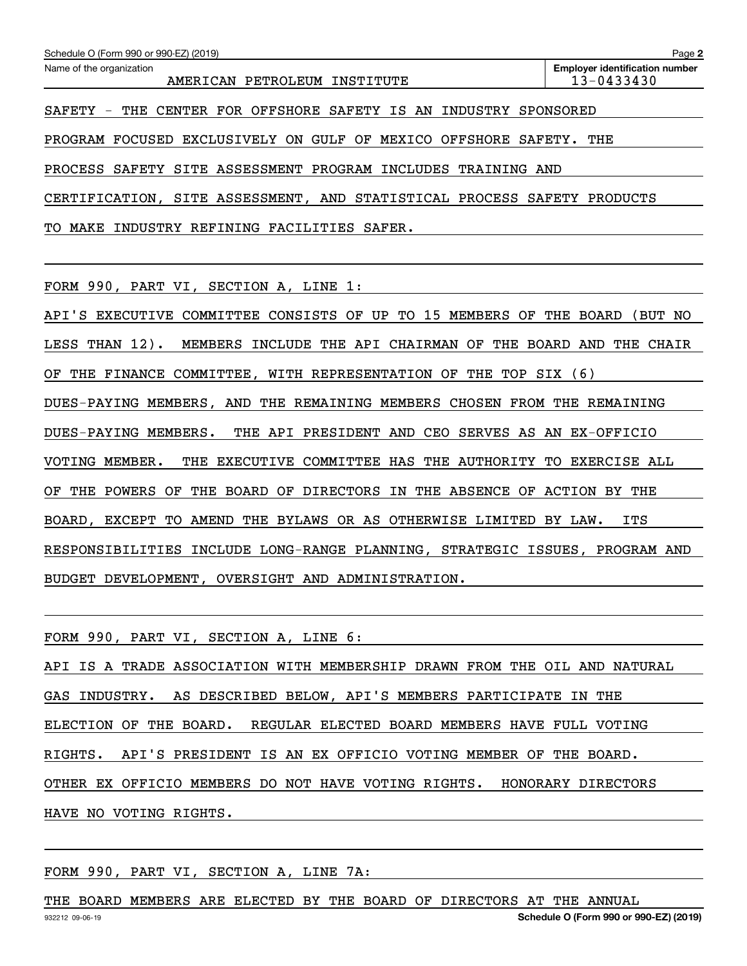| Schedule O (Form 990 or 990-EZ) (2019)                                         | Page 2                                              |
|--------------------------------------------------------------------------------|-----------------------------------------------------|
| Name of the organization<br>AMERICAN PETROLEUM INSTITUTE                       | <b>Employer identification number</b><br>13-0433430 |
| CENTER FOR OFFSHORE SAFETY IS AN INDUSTRY<br>SAFETY - THE                      | SPONSORED                                           |
| PROGRAM FOCUSED<br>EXCLUSIVELY<br>ON GULF<br>OF<br>MEXICO<br><b>OFFSHORE</b>   | SAFETY.<br>THE                                      |
| PROCESS SAFETY<br>SITE<br>ASSESSMENT PROGRAM INCLUDES TRAINING                 | AND                                                 |
| CERTIFICATION, SITE ASSESSMENT, AND STATISTICAL PROCESS SAFETY                 | PRODUCTS                                            |
| MAKE INDUSTRY REFINING FACILITIES SAFER.<br>TO.                                |                                                     |
|                                                                                |                                                     |
| FORM 990, PART VI, SECTION A, LINE 1:                                          |                                                     |
| TO 15<br>CONSISTS<br>OF<br>UP<br>API'S<br>EXECUTIVE COMMITTEE<br>MEMBERS<br>OF | THE<br>BOARD<br>(BUT NO                             |
| LESS THAN 12).<br>INCLUDE<br>THE API<br>CHAIRMAN OF<br>MEMBERS<br>THE          | BOARD<br>AND<br>THE<br>CHAIR                        |
| WITH REPRESENTATION OF<br>THE<br>TOP<br>ΟF<br>THE<br>FINANCE COMMITTEE,        | (6)<br>SIX                                          |

DUES-PAYING MEMBERS, AND THE REMAINING MEMBERS CHOSEN FROM THE REMAINING

DUES-PAYING MEMBERS. THE API PRESIDENT AND CEO SERVES AS AN EX-OFFICIO

VOTING MEMBER. THE EXECUTIVE COMMITTEE HAS THE AUTHORITY TO EXERCISE ALL

OF THE POWERS OF THE BOARD OF DIRECTORS IN THE ABSENCE OF ACTION BY THE

BOARD, EXCEPT TO AMEND THE BYLAWS OR AS OTHERWISE LIMITED BY LAW. ITS

RESPONSIBILITIES INCLUDE LONG-RANGE PLANNING, STRATEGIC ISSUES, PROGRAM AND

BUDGET DEVELOPMENT, OVERSIGHT AND ADMINISTRATION.

FORM 990, PART VI, SECTION A, LINE 6:

API IS A TRADE ASSOCIATION WITH MEMBERSHIP DRAWN FROM THE OIL AND NATURAL GAS INDUSTRY. AS DESCRIBED BELOW, API'S MEMBERS PARTICIPATE IN THE ELECTION OF THE BOARD. REGULAR ELECTED BOARD MEMBERS HAVE FULL VOTING RIGHTS. API'S PRESIDENT IS AN EX OFFICIO VOTING MEMBER OF THE BOARD. OTHER EX OFFICIO MEMBERS DO NOT HAVE VOTING RIGHTS. HONORARY DIRECTORS HAVE NO VOTING RIGHTS.

FORM 990, PART VI, SECTION A, LINE 7A:

THE BOARD MEMBERS ARE ELECTED BY THE BOARD OF DIRECTORS AT THE ANNUAL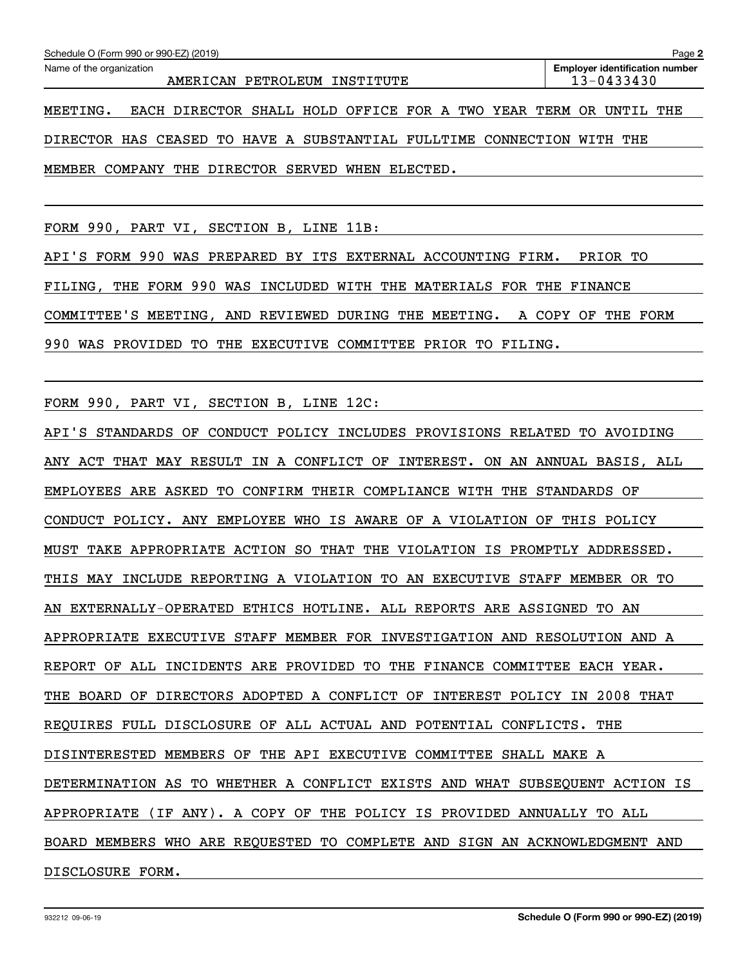| Schedule O (Form 990 or 990-EZ) (2019)<br>Page 2                       |  |                                                                  |  |  |  |  |  |  |  |                                       |  |
|------------------------------------------------------------------------|--|------------------------------------------------------------------|--|--|--|--|--|--|--|---------------------------------------|--|
| Name of the organization                                               |  |                                                                  |  |  |  |  |  |  |  | <b>Employer identification number</b> |  |
|                                                                        |  | AMERICAN PETROLEUM INSTITUTE                                     |  |  |  |  |  |  |  | 13-0433430                            |  |
| MEETING.                                                               |  | EACH DIRECTOR SHALL HOLD OFFICE FOR A TWO YEAR TERM OR UNTIL THE |  |  |  |  |  |  |  |                                       |  |
| DIRECTOR HAS CEASED TO HAVE A SUBSTANTIAL FULLTIME CONNECTION WITH THE |  |                                                                  |  |  |  |  |  |  |  |                                       |  |

MEMBER COMPANY THE DIRECTOR SERVED WHEN ELECTED.

FORM 990, PART VI, SECTION B, LINE 11B:

API'S FORM 990 WAS PREPARED BY ITS EXTERNAL ACCOUNTING FIRM. PRIOR TO FILING, THE FORM 990 WAS INCLUDED WITH THE MATERIALS FOR THE FINANCE COMMITTEE'S MEETING, AND REVIEWED DURING THE MEETING. A COPY OF THE FORM 990 WAS PROVIDED TO THE EXECUTIVE COMMITTEE PRIOR TO FILING.

FORM 990, PART VI, SECTION B, LINE 12C:

API'S STANDARDS OF CONDUCT POLICY INCLUDES PROVISIONS RELATED TO AVOIDING ANY ACT THAT MAY RESULT IN A CONFLICT OF INTEREST. ON AN ANNUAL BASIS, ALL EMPLOYEES ARE ASKED TO CONFIRM THEIR COMPLIANCE WITH THE STANDARDS OF CONDUCT POLICY. ANY EMPLOYEE WHO IS AWARE OF A VIOLATION OF THIS POLICY MUST TAKE APPROPRIATE ACTION SO THAT THE VIOLATION IS PROMPTLY ADDRESSED. THIS MAY INCLUDE REPORTING A VIOLATION TO AN EXECUTIVE STAFF MEMBER OR TO AN EXTERNALLY-OPERATED ETHICS HOTLINE. ALL REPORTS ARE ASSIGNED TO AN APPROPRIATE EXECUTIVE STAFF MEMBER FOR INVESTIGATION AND RESOLUTION AND A REPORT OF ALL INCIDENTS ARE PROVIDED TO THE FINANCE COMMITTEE EACH YEAR. THE BOARD OF DIRECTORS ADOPTED A CONFLICT OF INTEREST POLICY IN 2008 THAT REQUIRES FULL DISCLOSURE OF ALL ACTUAL AND POTENTIAL CONFLICTS. THE DISINTERESTED MEMBERS OF THE API EXECUTIVE COMMITTEE SHALL MAKE A DETERMINATION AS TO WHETHER A CONFLICT EXISTS AND WHAT SUBSEQUENT ACTION IS APPROPRIATE (IF ANY). A COPY OF THE POLICY IS PROVIDED ANNUALLY TO ALL BOARD MEMBERS WHO ARE REQUESTED TO COMPLETE AND SIGN AN ACKNOWLEDGMENT AND DISCLOSURE FORM.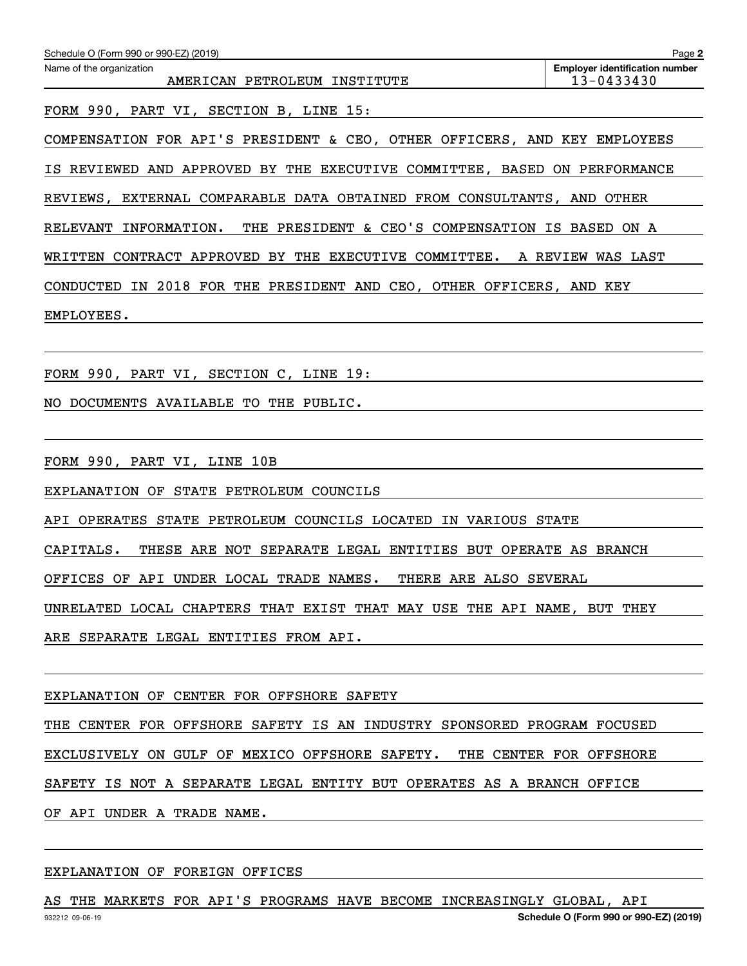| Schedule O (Form 990 or 990-EZ) (2019)                                    | Page 2                                              |
|---------------------------------------------------------------------------|-----------------------------------------------------|
| Name of the organization<br>AMERICAN PETROLEUM INSTITUTE                  | <b>Employer identification number</b><br>13-0433430 |
| FORM 990, PART VI, SECTION B, LINE 15:                                    |                                                     |
| COMPENSATION FOR API'S PRESIDENT & CEO, OTHER OFFICERS, AND KEY EMPLOYEES |                                                     |
| IS REVIEWED AND APPROVED BY THE EXECUTIVE COMMITTEE, BASED ON PERFORMANCE |                                                     |
| REVIEWS, EXTERNAL COMPARABLE DATA OBTAINED FROM CONSULTANTS, AND OTHER    |                                                     |
| RELEVANT INFORMATION. THE PRESIDENT & CEO'S COMPENSATION IS BASED ON A    |                                                     |
| WRITTEN CONTRACT APPROVED BY THE EXECUTIVE COMMITTEE. A REVIEW WAS LAST   |                                                     |
| CONDUCTED IN 2018 FOR THE PRESIDENT AND CEO, OTHER OFFICERS, AND KEY      |                                                     |
| EMPLOYEES.                                                                |                                                     |
|                                                                           |                                                     |
|                                                                           |                                                     |
| NO DOCUMENTS AVAILABLE TO THE PUBLIC.                                     |                                                     |
|                                                                           |                                                     |
| FORM 990, PART VI, LINE 10B                                               |                                                     |
| EXPLANATION OF STATE PETROLEUM COUNCILS                                   |                                                     |
| API OPERATES STATE PETROLEUM COUNCILS LOCATED IN VARIOUS STATE            |                                                     |
| THESE ARE NOT SEPARATE LEGAL ENTITIES BUT OPERATE AS BRANCH<br>CAPITALS.  |                                                     |
| OFFICES OF API UNDER LOCAL TRADE NAMES.<br>THERE ARE ALSO SEVERAL         |                                                     |
| UNRELATED LOCAL CHAPTERS THAT EXIST THAT MAY USE THE API NAME, BUT THEY   |                                                     |
| ARE SEPARATE LEGAL ENTITIES FROM API.                                     |                                                     |
|                                                                           |                                                     |
| EXPLANATION OF CENTER FOR OFFSHORE SAFETY                                 |                                                     |
| THE CENTER FOR OFFSHORE SAFETY IS AN INDUSTRY SPONSORED PROGRAM FOCUSED   |                                                     |
| EXCLUSIVELY ON GULF OF MEXICO OFFSHORE SAFETY. THE CENTER FOR OFFSHORE    |                                                     |
| SAFETY IS NOT A SEPARATE LEGAL ENTITY BUT OPERATES AS A BRANCH OFFICE     |                                                     |
| OF API UNDER A TRADE NAME.                                                |                                                     |
|                                                                           |                                                     |

## EXPLANATION OF FOREIGN OFFICES

AS THE MARKETS FOR API'S PROGRAMS HAVE BECOME INCREASINGLY GLOBAL, API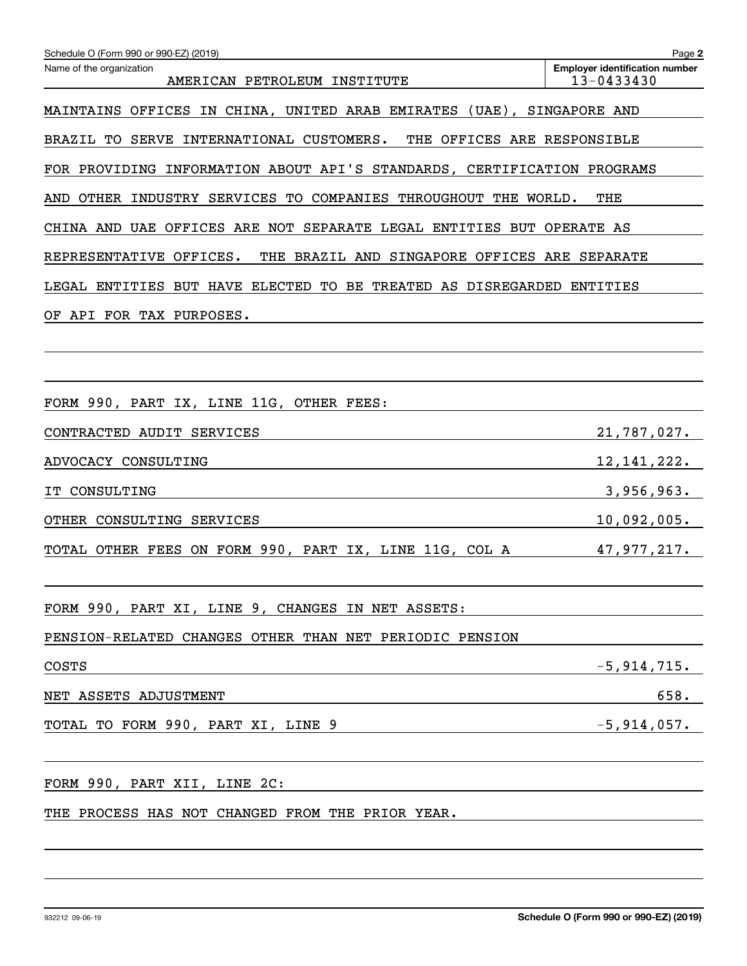| Schedule O (Form 990 or 990-EZ) (2019)                                   | Page 2                                              |  |  |  |  |  |  |
|--------------------------------------------------------------------------|-----------------------------------------------------|--|--|--|--|--|--|
| Name of the organization<br>AMERICAN PETROLEUM INSTITUTE                 | <b>Employer identification number</b><br>13-0433430 |  |  |  |  |  |  |
| MAINTAINS OFFICES IN CHINA, UNITED ARAB EMIRATES (UAE), SINGAPORE AND    |                                                     |  |  |  |  |  |  |
| BRAZIL TO SERVE INTERNATIONAL CUSTOMERS.<br>THE OFFICES ARE RESPONSIBLE  |                                                     |  |  |  |  |  |  |
| FOR PROVIDING INFORMATION ABOUT API'S STANDARDS, CERTIFICATION PROGRAMS  |                                                     |  |  |  |  |  |  |
| OTHER INDUSTRY SERVICES TO COMPANIES THROUGHOUT THE WORLD.<br>THE<br>AND |                                                     |  |  |  |  |  |  |
| CHINA AND UAE OFFICES ARE NOT SEPARATE LEGAL ENTITIES BUT OPERATE AS     |                                                     |  |  |  |  |  |  |
| THE BRAZIL AND SINGAPORE OFFICES ARE SEPARATE<br>REPRESENTATIVE OFFICES. |                                                     |  |  |  |  |  |  |
| LEGAL ENTITIES BUT HAVE ELECTED TO BE TREATED AS DISREGARDED ENTITIES    |                                                     |  |  |  |  |  |  |
| OF API FOR TAX PURPOSES.                                                 |                                                     |  |  |  |  |  |  |
|                                                                          |                                                     |  |  |  |  |  |  |
|                                                                          |                                                     |  |  |  |  |  |  |
| FORM 990, PART IX, LINE 11G, OTHER FEES:                                 |                                                     |  |  |  |  |  |  |
| CONTRACTED AUDIT SERVICES                                                | 21,787,027.                                         |  |  |  |  |  |  |
| ADVOCACY CONSULTING                                                      | 12, 141, 222.                                       |  |  |  |  |  |  |
| CONSULTING                                                               | 3,956,963.                                          |  |  |  |  |  |  |
| OTHER CONSULTING SERVICES                                                | 10,092,005.                                         |  |  |  |  |  |  |
| TOTAL OTHER FEES ON FORM 990, PART IX, LINE 11G, COL A                   | 47,977,217.                                         |  |  |  |  |  |  |
|                                                                          |                                                     |  |  |  |  |  |  |
| FORM 990, PART XI, LINE 9, CHANGES IN NET ASSETS:                        |                                                     |  |  |  |  |  |  |
| PENSION-RELATED CHANGES OTHER THAN NET PERIODIC PENSION                  |                                                     |  |  |  |  |  |  |
| <b>COSTS</b>                                                             | $-5,914,715.$                                       |  |  |  |  |  |  |
| NET ASSETS ADJUSTMENT                                                    | 658.                                                |  |  |  |  |  |  |
| TOTAL TO FORM 990, PART XI, LINE 9                                       | $-5$ ,914,057.                                      |  |  |  |  |  |  |
|                                                                          |                                                     |  |  |  |  |  |  |
| FORM 990, PART XII, LINE 2C:                                             |                                                     |  |  |  |  |  |  |
| THE PROCESS HAS NOT CHANGED FROM THE PRIOR YEAR.                         |                                                     |  |  |  |  |  |  |
|                                                                          |                                                     |  |  |  |  |  |  |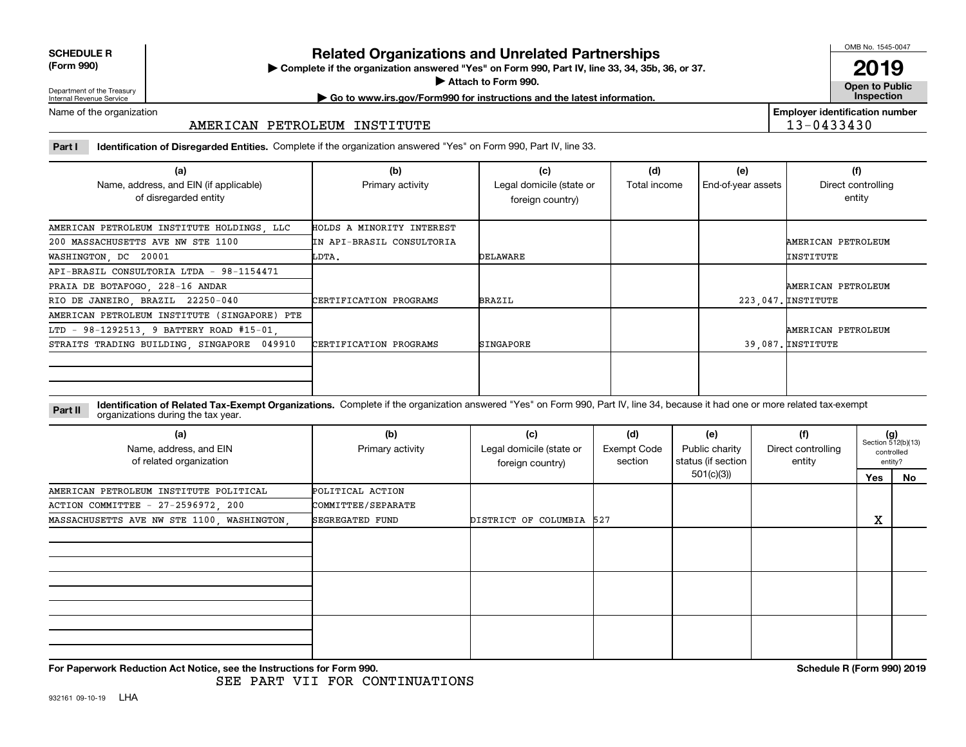**SCHEDULE R**

**(Form 990)**

## **Related Organizations and Unrelated Partnerships**

**Complete if the organization answered "Yes" on Form 990, Part IV, line 33, 34, 35b, 36, or 37.** |

**Attach to Form 990.**  |

OMB No. 1545-0047

**Open to Public 2019**

**Employer identification number**

13-0433430

Department of the Treasury Internal Revenue Service

## **| Go to www.irs.gov/Form990 for instructions and the latest information. Inspection**

Name of the organization

#### AMERICAN PETROLEUM INSTITUTE

**Part I Identification of Disregarded Entities.**  Complete if the organization answered "Yes" on Form 990, Part IV, line 33.

| (a)                                                             | (b)                       | (c)                                          | (d)          | (e)                | (f)                          |
|-----------------------------------------------------------------|---------------------------|----------------------------------------------|--------------|--------------------|------------------------------|
| Name, address, and EIN (if applicable)<br>of disregarded entity | Primary activity          | Legal domicile (state or<br>foreign country) | Total income | End-of-year assets | Direct controlling<br>entity |
| AMERICAN PETROLEUM INSTITUTE HOLDINGS, LLC                      | HOLDS A MINORITY INTEREST |                                              |              |                    |                              |
| 200 MASSACHUSETTS AVE NW STE 1100                               | IN API-BRASIL CONSULTORIA |                                              |              |                    | AMERICAN PETROLEUM           |
| WASHINGTON, DC 20001                                            | LDTA.                     | DELAWARE                                     |              |                    | INSTITUTE                    |
| API-BRASIL CONSULTORIA LTDA - 98-1154471                        |                           |                                              |              |                    |                              |
| PRAIA DE BOTAFOGO, 228-16 ANDAR                                 |                           |                                              |              |                    | AMERICAN PETROLEUM           |
| RIO DE JANEIRO, BRAZIL 22250-040                                | CERTIFICATION PROGRAMS    | <b>BRAZIL</b>                                |              |                    | 223,047. INSTITUTE           |
| AMERICAN PETROLEUM INSTITUTE (SINGAPORE) PTE                    |                           |                                              |              |                    |                              |
| LTD - 98-1292513, 9 BATTERY ROAD #15-01,                        |                           |                                              |              |                    | AMERICAN PETROLEUM           |
| STRAITS TRADING BUILDING, SINGAPORE 049910                      | CERTIFICATION PROGRAMS    | SINGAPORE                                    |              |                    | 39.087. INSTITUTE            |
|                                                                 |                           |                                              |              |                    |                              |

**Identification of Related Tax-Exempt Organizations.** Complete if the organization answered "Yes" on Form 990, Part IV, line 34, because it had one or more related tax-exempt **Part II** organizations during the tax year.

| (a)<br>Name, address, and EIN<br>of related organization | (b)<br>Primary activity | (c)<br>Legal domicile (state or<br>foreign country) | (d)<br>Exempt Code<br>section | (e)<br>Public charity<br>status (if section | (f)<br>Direct controlling<br>entity |     | $(g)$<br>Section 512(b)(13)<br>controlled<br>entity? |
|----------------------------------------------------------|-------------------------|-----------------------------------------------------|-------------------------------|---------------------------------------------|-------------------------------------|-----|------------------------------------------------------|
|                                                          |                         |                                                     |                               | 501(c)(3))                                  |                                     | Yes | No                                                   |
| AMERICAN PETROLEUM INSTITUTE POLITICAL                   | POLITICAL ACTION        |                                                     |                               |                                             |                                     |     |                                                      |
| ACTION COMMITTEE - 27-2596972, 200                       | COMMITTEE/SEPARATE      |                                                     |                               |                                             |                                     |     |                                                      |
| MASSACHUSETTS AVE NW STE 1100, WASHINGTON,               | SEGREGATED FUND         | DISTRICT OF COLUMBIA 527                            |                               |                                             |                                     | X   |                                                      |
|                                                          |                         |                                                     |                               |                                             |                                     |     |                                                      |
|                                                          |                         |                                                     |                               |                                             |                                     |     |                                                      |
|                                                          |                         |                                                     |                               |                                             |                                     |     |                                                      |

**For Paperwork Reduction Act Notice, see the Instructions for Form 990. Schedule R (Form 990) 2019**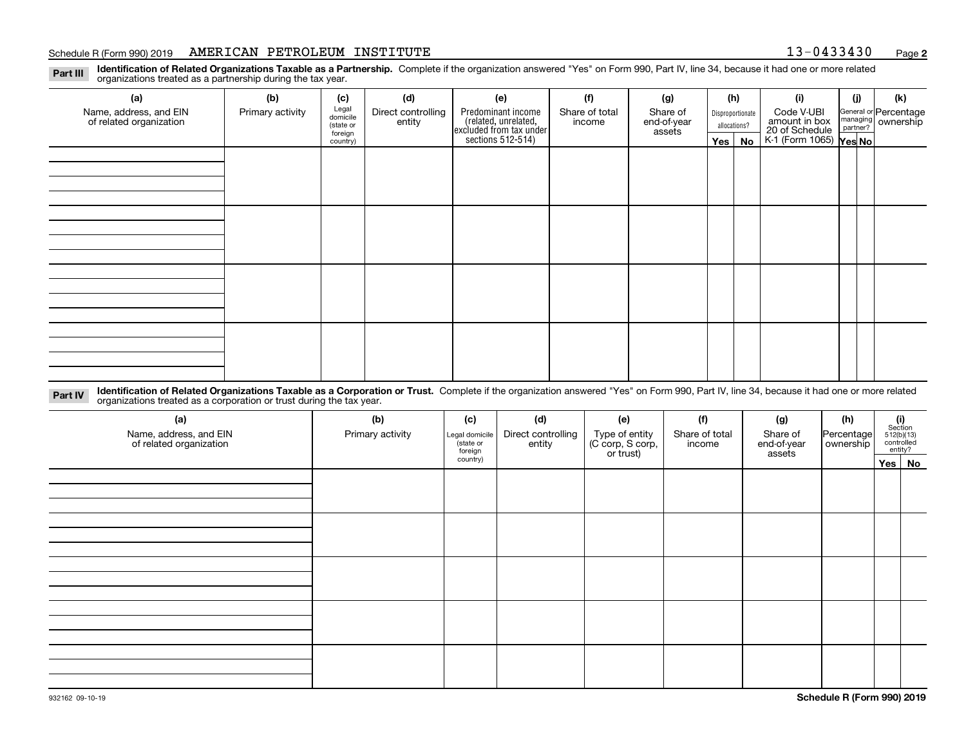#### Schedule R (Form 990) 2019 Page AMERICAN PETROLEUM INSTITUTE 13-0433430

**2**

**Identification of Related Organizations Taxable as a Partnership.** Complete if the organization answered "Yes" on Form 990, Part IV, line 34, because it had one or more related **Part III** organizations treated as a partnership during the tax year.

| (a)                                               | (b)              | (c)                  | (d)                          | (e)                                                                  | (f)                      | (g)                     |                                  | (h)           | (i)                                                       | (j) | (k)                                                       |
|---------------------------------------------------|------------------|----------------------|------------------------------|----------------------------------------------------------------------|--------------------------|-------------------------|----------------------------------|---------------|-----------------------------------------------------------|-----|-----------------------------------------------------------|
| Name, address, and EIN<br>of related organization | Primary activity | Legal<br>domicile    | Direct controlling<br>entity | Predominant income                                                   | Share of total<br>income | Share of<br>end-of-year | Disproportionate<br>allocations? |               | Code V-UBI                                                |     | General or Percentage<br>managing<br>partner?<br>partner? |
|                                                   |                  | (state or<br>foreign |                              | (related, unrelated,<br>excluded from tax under<br>sections 512-514) |                          | assets                  |                                  |               |                                                           |     |                                                           |
|                                                   |                  | country)             |                              |                                                                      |                          |                         |                                  | $Yes \mid No$ | amount in box<br>20 of Schedule<br>K-1 (Form 1065) Yes No |     |                                                           |
|                                                   |                  |                      |                              |                                                                      |                          |                         |                                  |               |                                                           |     |                                                           |
|                                                   |                  |                      |                              |                                                                      |                          |                         |                                  |               |                                                           |     |                                                           |
|                                                   |                  |                      |                              |                                                                      |                          |                         |                                  |               |                                                           |     |                                                           |
|                                                   |                  |                      |                              |                                                                      |                          |                         |                                  |               |                                                           |     |                                                           |
|                                                   |                  |                      |                              |                                                                      |                          |                         |                                  |               |                                                           |     |                                                           |
|                                                   |                  |                      |                              |                                                                      |                          |                         |                                  |               |                                                           |     |                                                           |
|                                                   |                  |                      |                              |                                                                      |                          |                         |                                  |               |                                                           |     |                                                           |
|                                                   |                  |                      |                              |                                                                      |                          |                         |                                  |               |                                                           |     |                                                           |
|                                                   |                  |                      |                              |                                                                      |                          |                         |                                  |               |                                                           |     |                                                           |
|                                                   |                  |                      |                              |                                                                      |                          |                         |                                  |               |                                                           |     |                                                           |
|                                                   |                  |                      |                              |                                                                      |                          |                         |                                  |               |                                                           |     |                                                           |
|                                                   |                  |                      |                              |                                                                      |                          |                         |                                  |               |                                                           |     |                                                           |
|                                                   |                  |                      |                              |                                                                      |                          |                         |                                  |               |                                                           |     |                                                           |
|                                                   |                  |                      |                              |                                                                      |                          |                         |                                  |               |                                                           |     |                                                           |
|                                                   |                  |                      |                              |                                                                      |                          |                         |                                  |               |                                                           |     |                                                           |
|                                                   |                  |                      |                              |                                                                      |                          |                         |                                  |               |                                                           |     |                                                           |
|                                                   |                  |                      |                              |                                                                      |                          |                         |                                  |               |                                                           |     |                                                           |

**Identification of Related Organizations Taxable as a Corporation or Trust.** Complete if the organization answered "Yes" on Form 990, Part IV, line 34, because it had one or more related **Part IV** organizations treated as a corporation or trust during the tax year.

| (a)<br>Name, address, and EIN<br>of related organization | (b)<br>Primary activity | (c)<br>Legal domicile<br>(state or<br>foreign | (d)<br>Direct controlling<br>entity | (e)<br>Type of entity<br>(C corp, S corp,<br>or trust) | (f)<br>Share of total<br>income | (g)<br>Share of<br>end-of-year<br>assets | (h)<br>Percentage<br>ownership | $(i)$ Section<br>512(b)(13)<br>controlled<br>entity? |
|----------------------------------------------------------|-------------------------|-----------------------------------------------|-------------------------------------|--------------------------------------------------------|---------------------------------|------------------------------------------|--------------------------------|------------------------------------------------------|
|                                                          |                         | country)                                      |                                     |                                                        |                                 |                                          |                                | Yes   No                                             |
|                                                          |                         |                                               |                                     |                                                        |                                 |                                          |                                |                                                      |
|                                                          |                         |                                               |                                     |                                                        |                                 |                                          |                                |                                                      |
|                                                          |                         |                                               |                                     |                                                        |                                 |                                          |                                |                                                      |
|                                                          |                         |                                               |                                     |                                                        |                                 |                                          |                                |                                                      |
|                                                          |                         |                                               |                                     |                                                        |                                 |                                          |                                |                                                      |
|                                                          |                         |                                               |                                     |                                                        |                                 |                                          |                                |                                                      |
|                                                          |                         |                                               |                                     |                                                        |                                 |                                          |                                |                                                      |
|                                                          |                         |                                               |                                     |                                                        |                                 |                                          |                                |                                                      |
|                                                          |                         |                                               |                                     |                                                        |                                 |                                          |                                |                                                      |
|                                                          |                         |                                               |                                     |                                                        |                                 |                                          |                                |                                                      |
|                                                          |                         |                                               |                                     |                                                        |                                 |                                          |                                |                                                      |
|                                                          |                         |                                               |                                     |                                                        |                                 |                                          |                                |                                                      |
|                                                          |                         |                                               |                                     |                                                        |                                 |                                          |                                |                                                      |
|                                                          |                         |                                               |                                     |                                                        |                                 |                                          |                                |                                                      |
|                                                          |                         |                                               |                                     |                                                        |                                 |                                          |                                |                                                      |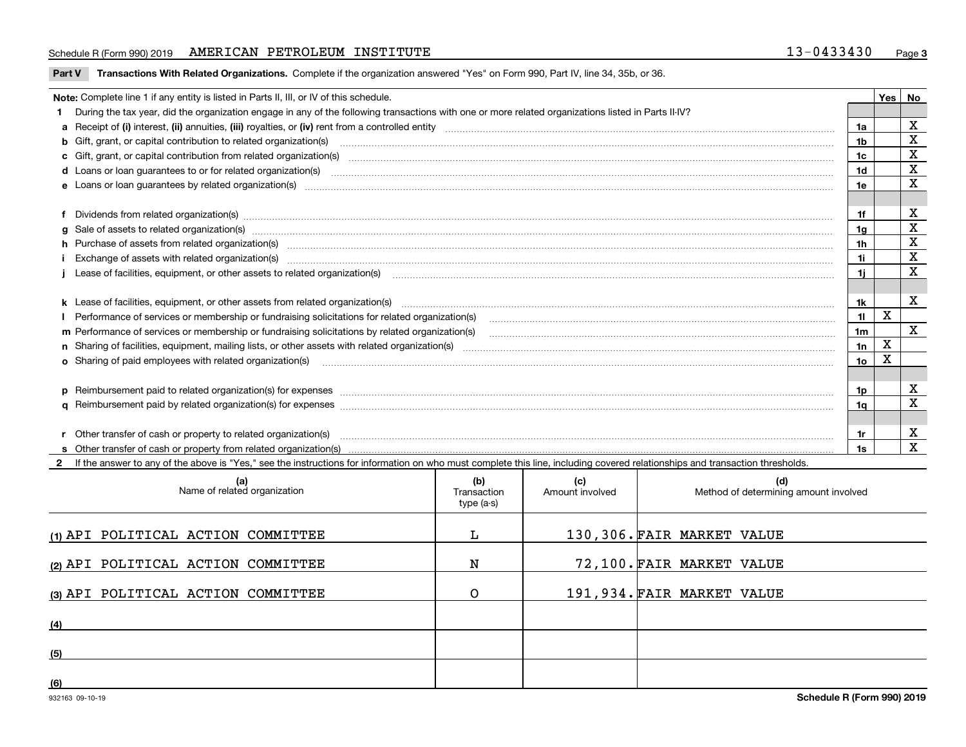#### Schedule R (Form 990) 2019 Page AMERICAN PETROLEUM INSTITUTE 13-0433430

**Part V** T**ransactions With Related Organizations.** Complete if the organization answered "Yes" on Form 990, Part IV, line 34, 35b, or 36.

| Note: Complete line 1 if any entity is listed in Parts II, III, or IV of this schedule. |                                                                                                                                                                                                                                |                |             |                         |  |  |
|-----------------------------------------------------------------------------------------|--------------------------------------------------------------------------------------------------------------------------------------------------------------------------------------------------------------------------------|----------------|-------------|-------------------------|--|--|
|                                                                                         | 1 During the tax year, did the organization engage in any of the following transactions with one or more related organizations listed in Parts II-IV?                                                                          |                |             |                         |  |  |
|                                                                                         |                                                                                                                                                                                                                                | 1a             |             | х                       |  |  |
|                                                                                         | b Gift, grant, or capital contribution to related organization(s) material contracts and contribution to related organization(s)                                                                                               | 1b             |             | X                       |  |  |
|                                                                                         | c Gift, grant, or capital contribution from related organization(s) manufaction(s) and contain an account of the substitution of the state or capital contribution from related organization(s) manufaction contains and conta | 1c             |             | $\mathbf X$             |  |  |
|                                                                                         | <b>d</b> Loans or loan quarantees to or for related organization(s)                                                                                                                                                            | 1d             |             | $\mathbf X$             |  |  |
|                                                                                         |                                                                                                                                                                                                                                | 1e             |             | $\overline{\mathbf{X}}$ |  |  |
|                                                                                         |                                                                                                                                                                                                                                |                |             |                         |  |  |
|                                                                                         |                                                                                                                                                                                                                                | 1f             |             | х                       |  |  |
|                                                                                         | g Sale of assets to related organization(s) manufactured content and content to content the set of assets to related organization(s) manufactured content and content and content of the set of the set of the set of the set  | 1g             |             | $\mathbf X$             |  |  |
|                                                                                         | h Purchase of assets from related organization(s) www.assettion.com/www.assettion.com/www.assettion.com/www.assettion.com/www.assettion.com/www.assettion.com/www.assettion.com/www.assettion.com/www.assettion.com/www.assett | 1 <sub>h</sub> |             | X                       |  |  |
|                                                                                         | Exchange of assets with related organization(s) www.assettion.com/www.assettion.com/www.assettion.com/www.assettion.com/www.assettion.com/www.assettion.com/www.assettion.com/www.assettion.com/www.assettion.com/www.assettio | 1i.            |             | X                       |  |  |
|                                                                                         |                                                                                                                                                                                                                                | 11             |             | X                       |  |  |
|                                                                                         |                                                                                                                                                                                                                                |                |             |                         |  |  |
|                                                                                         |                                                                                                                                                                                                                                | 1k             |             | х                       |  |  |
|                                                                                         |                                                                                                                                                                                                                                | 11             | X           |                         |  |  |
|                                                                                         | m Performance of services or membership or fundraising solicitations by related organization(s)                                                                                                                                | 1 <sub>m</sub> |             | X                       |  |  |
|                                                                                         |                                                                                                                                                                                                                                | 1n             | $\mathbf X$ |                         |  |  |
|                                                                                         | <b>o</b> Sharing of paid employees with related organization(s)                                                                                                                                                                | 10             | Χ           |                         |  |  |
|                                                                                         |                                                                                                                                                                                                                                |                |             |                         |  |  |
|                                                                                         | p Reimbursement paid to related organization(s) for expenses [1111] and manufacture manufacture manufacture manufacture manufacture manufacture manufacture manufacture manufacture manufacture manufacture manufacture manufa | 1p             |             | х                       |  |  |
|                                                                                         |                                                                                                                                                                                                                                | 1q             |             | $\mathbf x$             |  |  |
|                                                                                         |                                                                                                                                                                                                                                |                |             |                         |  |  |
|                                                                                         | r Other transfer of cash or property to related organization(s)                                                                                                                                                                | 1r             |             | х                       |  |  |
|                                                                                         |                                                                                                                                                                                                                                | 1s             |             | $\mathbf X$             |  |  |
|                                                                                         | 2 If the answer to any of the above is "Yes," see the instructions for information on who must complete this line, including covered relationships and transaction thresholds.                                                 |                |             |                         |  |  |

| (a)<br>Name of related organization | (b)<br>Transaction<br>type (a-s) | (c)<br>Amount involved | (d)<br>Method of determining amount involved |
|-------------------------------------|----------------------------------|------------------------|----------------------------------------------|
| (1) API POLITICAL ACTION COMMITTEE  |                                  |                        | 130,306. FAIR MARKET VALUE                   |
| (2) API POLITICAL ACTION COMMITTEE  | N                                |                        | 72,100. FAIR MARKET VALUE                    |
| (3) API POLITICAL ACTION COMMITTEE  |                                  |                        | 191,934. FAIR MARKET VALUE                   |
| (4)                                 |                                  |                        |                                              |
| (5)                                 |                                  |                        |                                              |
| (6)                                 |                                  |                        |                                              |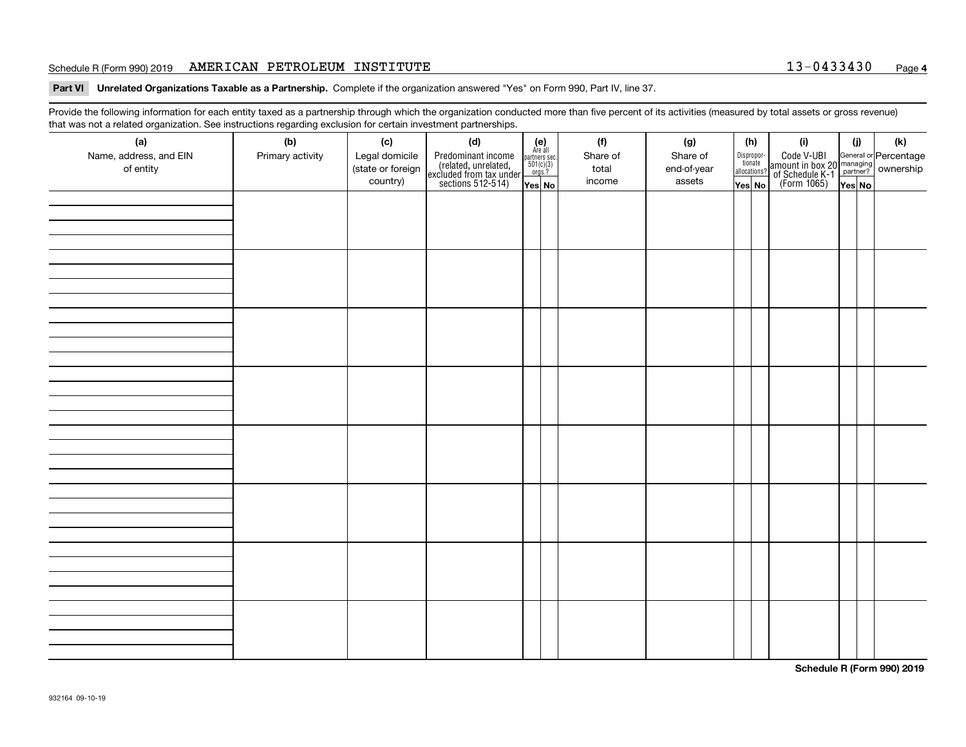#### Schedule R (Form 990) 2019 Page AMERICAN PETROLEUM INSTITUTE 13-0433430

**Part VI Unrelated Organizations Taxable as a Partnership. Complete if the organization answered "Yes" on Form 990, Part IV, line 37.** 

Provide the following information for each entity taxed as a partnership through which the organization conducted more than five percent of its activities (measured by total assets or gross revenue) that was not a related organization. See instructions regarding exclusion for certain investment partnerships.

| ັ<br>(a)               | ັ<br>ັ<br>(b)    | (c)               | (d)                                                                                        |                |                                                                                     | (f)      | (g)         |                                       | (h)    | (i)                                                                                          | (i)    | (k) |  |
|------------------------|------------------|-------------------|--------------------------------------------------------------------------------------------|----------------|-------------------------------------------------------------------------------------|----------|-------------|---------------------------------------|--------|----------------------------------------------------------------------------------------------|--------|-----|--|
| Name, address, and EIN | Primary activity | Legal domicile    |                                                                                            | (e)<br>Are all |                                                                                     | Share of | Share of    |                                       |        |                                                                                              |        |     |  |
| of entity              |                  | (state or foreign | Predominant income<br>(related, unrelated,<br>excluded from tax under<br>sections 512-514) |                | $\begin{array}{c}\n\text{partners} \sec.\n\\ \n501(c)(3)\n\\ \n0rgs.?\n\end{array}$ | total    | end-of-year | Dispropor-<br>tionate<br>allocations? |        | Code V-UBI<br>amount in box 20 managing<br>of Schedule K-1 partner?<br>(Form 1065)<br>ves No |        |     |  |
|                        |                  | country)          |                                                                                            | Yes No         |                                                                                     | income   | assets      |                                       | Yes No |                                                                                              | Yes No |     |  |
|                        |                  |                   |                                                                                            |                |                                                                                     |          |             |                                       |        |                                                                                              |        |     |  |
|                        |                  |                   |                                                                                            |                |                                                                                     |          |             |                                       |        |                                                                                              |        |     |  |
|                        |                  |                   |                                                                                            |                |                                                                                     |          |             |                                       |        |                                                                                              |        |     |  |
|                        |                  |                   |                                                                                            |                |                                                                                     |          |             |                                       |        |                                                                                              |        |     |  |
|                        |                  |                   |                                                                                            |                |                                                                                     |          |             |                                       |        |                                                                                              |        |     |  |
|                        |                  |                   |                                                                                            |                |                                                                                     |          |             |                                       |        |                                                                                              |        |     |  |
|                        |                  |                   |                                                                                            |                |                                                                                     |          |             |                                       |        |                                                                                              |        |     |  |
|                        |                  |                   |                                                                                            |                |                                                                                     |          |             |                                       |        |                                                                                              |        |     |  |
|                        |                  |                   |                                                                                            |                |                                                                                     |          |             |                                       |        |                                                                                              |        |     |  |
|                        |                  |                   |                                                                                            |                |                                                                                     |          |             |                                       |        |                                                                                              |        |     |  |
|                        |                  |                   |                                                                                            |                |                                                                                     |          |             |                                       |        |                                                                                              |        |     |  |
|                        |                  |                   |                                                                                            |                |                                                                                     |          |             |                                       |        |                                                                                              |        |     |  |
|                        |                  |                   |                                                                                            |                |                                                                                     |          |             |                                       |        |                                                                                              |        |     |  |
|                        |                  |                   |                                                                                            |                |                                                                                     |          |             |                                       |        |                                                                                              |        |     |  |
|                        |                  |                   |                                                                                            |                |                                                                                     |          |             |                                       |        |                                                                                              |        |     |  |
|                        |                  |                   |                                                                                            |                |                                                                                     |          |             |                                       |        |                                                                                              |        |     |  |
|                        |                  |                   |                                                                                            |                |                                                                                     |          |             |                                       |        |                                                                                              |        |     |  |
|                        |                  |                   |                                                                                            |                |                                                                                     |          |             |                                       |        |                                                                                              |        |     |  |
|                        |                  |                   |                                                                                            |                |                                                                                     |          |             |                                       |        |                                                                                              |        |     |  |
|                        |                  |                   |                                                                                            |                |                                                                                     |          |             |                                       |        |                                                                                              |        |     |  |
|                        |                  |                   |                                                                                            |                |                                                                                     |          |             |                                       |        |                                                                                              |        |     |  |
|                        |                  |                   |                                                                                            |                |                                                                                     |          |             |                                       |        |                                                                                              |        |     |  |
|                        |                  |                   |                                                                                            |                |                                                                                     |          |             |                                       |        |                                                                                              |        |     |  |
|                        |                  |                   |                                                                                            |                |                                                                                     |          |             |                                       |        |                                                                                              |        |     |  |
|                        |                  |                   |                                                                                            |                |                                                                                     |          |             |                                       |        |                                                                                              |        |     |  |
|                        |                  |                   |                                                                                            |                |                                                                                     |          |             |                                       |        |                                                                                              |        |     |  |
|                        |                  |                   |                                                                                            |                |                                                                                     |          |             |                                       |        |                                                                                              |        |     |  |
|                        |                  |                   |                                                                                            |                |                                                                                     |          |             |                                       |        |                                                                                              |        |     |  |
|                        |                  |                   |                                                                                            |                |                                                                                     |          |             |                                       |        |                                                                                              |        |     |  |
|                        |                  |                   |                                                                                            |                |                                                                                     |          |             |                                       |        |                                                                                              |        |     |  |
|                        |                  |                   |                                                                                            |                |                                                                                     |          |             |                                       |        |                                                                                              |        |     |  |
|                        |                  |                   |                                                                                            |                |                                                                                     |          |             |                                       |        |                                                                                              |        |     |  |
|                        |                  |                   |                                                                                            |                |                                                                                     |          |             |                                       |        |                                                                                              |        |     |  |
|                        |                  |                   |                                                                                            |                |                                                                                     |          |             |                                       |        |                                                                                              |        |     |  |